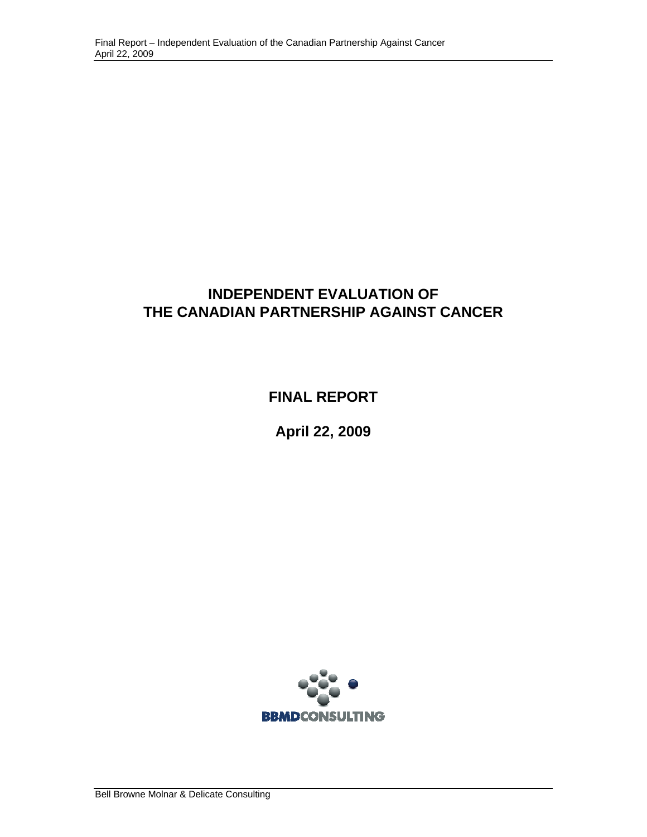## **INDEPENDENT EVALUATION OF THE CANADIAN PARTNERSHIP AGAINST CANCER**

**FINAL REPORT** 

**April 22, 2009** 

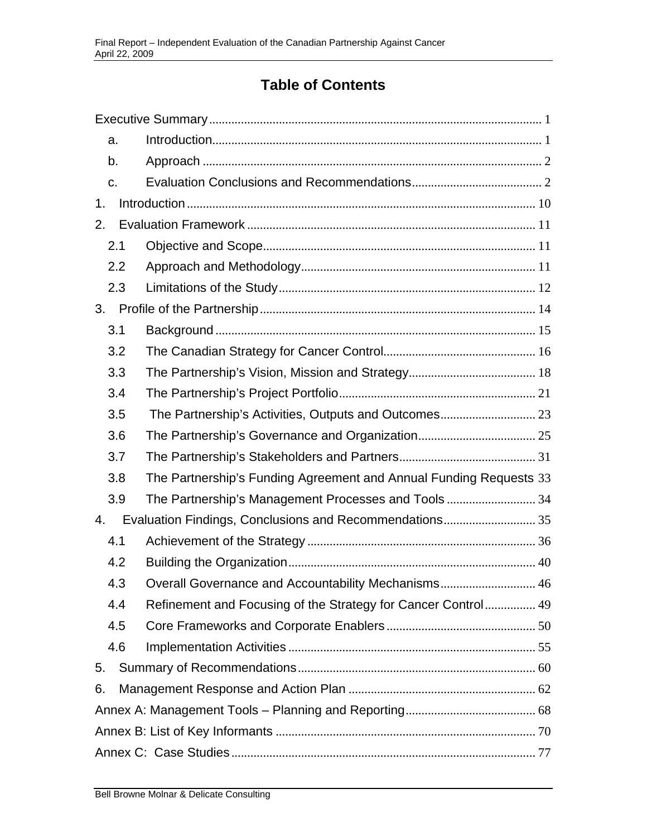# **Table of Contents**

| a.                                                                        |    |
|---------------------------------------------------------------------------|----|
| b.                                                                        |    |
| C <sub>1</sub>                                                            |    |
| 1.                                                                        |    |
| 2.                                                                        |    |
| 2.1                                                                       |    |
| 2.2                                                                       |    |
| 2.3                                                                       |    |
| 3.                                                                        |    |
| 3.1                                                                       |    |
| 3.2                                                                       |    |
| 3.3                                                                       |    |
| 3.4                                                                       |    |
| 3.5                                                                       |    |
| 3.6                                                                       |    |
| 3.7                                                                       |    |
| The Partnership's Funding Agreement and Annual Funding Requests 33<br>3.8 |    |
| The Partnership's Management Processes and Tools34<br>3.9                 |    |
| Evaluation Findings, Conclusions and Recommendations 35<br>4.             |    |
| 4.1                                                                       |    |
| 4.2                                                                       |    |
| 4.3<br>Overall Governance and Accountability Mechanisms                   | 46 |
| Refinement and Focusing of the Strategy for Cancer Control 49<br>4.4      |    |
| 4.5                                                                       |    |
| 4.6                                                                       |    |
| 5.                                                                        |    |
| 6.                                                                        |    |
|                                                                           |    |
|                                                                           |    |
|                                                                           |    |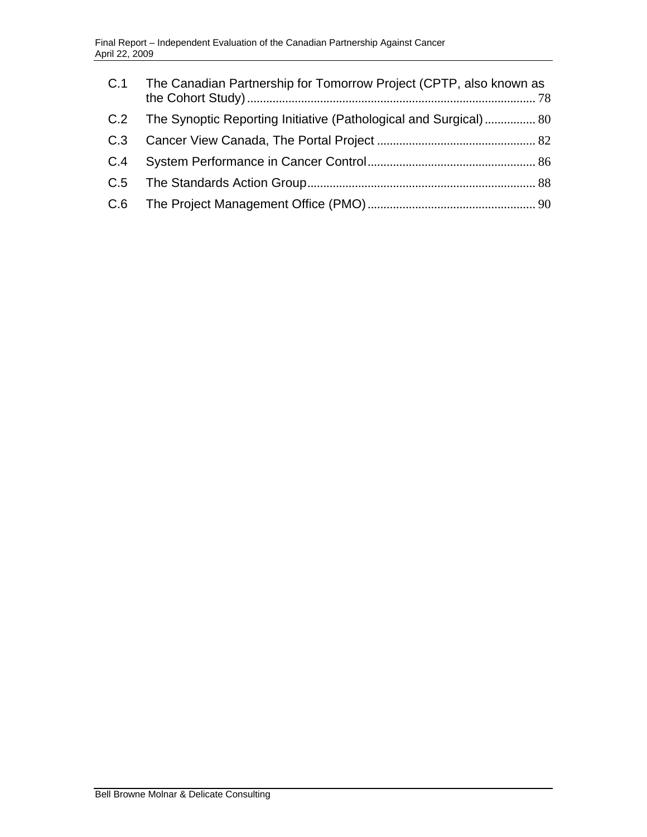| C.1 | The Canadian Partnership for Tomorrow Project (CPTP, also known as |  |
|-----|--------------------------------------------------------------------|--|
| C.2 | The Synoptic Reporting Initiative (Pathological and Surgical) 80   |  |
| C.3 |                                                                    |  |
| C.4 |                                                                    |  |
|     |                                                                    |  |
|     |                                                                    |  |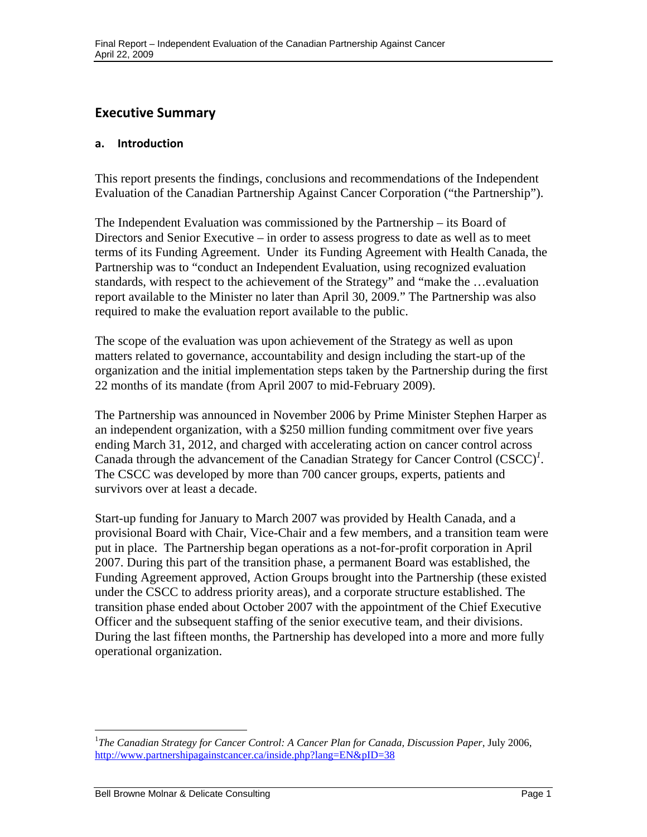## <span id="page-3-0"></span> **Executive Summary**

#### **a. Introduction**

This report presents the findings, conclusions and recommendations of the Independent Evaluation of the Canadian Partnership Against Cancer Corporation ("the Partnership").

The Independent Evaluation was commissioned by the Partnership – its Board of Directors and Senior Executive – in order to assess progress to date as well as to meet terms of its Funding Agreement. Under its Funding Agreement with Health Canada, the Partnership was to "conduct an Independent Evaluation, using recognized evaluation standards, with respect to the achievement of the Strategy" and "make the …evaluation report available to the Minister no later than April 30, 2009." The Partnership was also required to make the evaluation report available to the public.

The scope of the evaluation was upon achievement of the Strategy as well as upon matters related to governance, accountability and design including the start-up of the organization and the initial implementation steps taken by the Partnership during the first 22 months of its mandate (from April 2007 to mid-February 2009).

The Partnership was announced in November 2006 by Prime Minister Stephen Harper as an independent organization, with a \$250 million funding commitment over five years ending March 31, 2012, and charged with accelerating action on cancer control across Canada through the advancement of the Canadian Strategy for Cancer Control (CSCC)*<sup>1</sup>* . The CSCC was developed by more than 700 cancer groups, experts, patients and survivors over at least a decade.

Start-up funding for January to March 2007 was provided by Health Canada, and a provisional Board with Chair, Vice-Chair and a few members, and a transition team were put in place. The Partnership began operations as a not-for-profit corporation in April 2007. During this part of the transition phase, a permanent Board was established, the Funding Agreement approved, Action Groups brought into the Partnership (these existed under the CSCC to address priority areas), and a corporate structure established. The transition phase ended about October 2007 with the appointment of the Chief Executive Officer and the subsequent staffing of the senior executive team, and their divisions. During the last fifteen months, the Partnership has developed into a more and more fully operational organization.

1

http://www.partnershipagainstcancer.ca/inside.php?lang=EN&pID=38 <sup>1</sup>The Canadian Strategy for Cancer Control: A Cancer Plan for Canada, Discussion Paper, July 2006,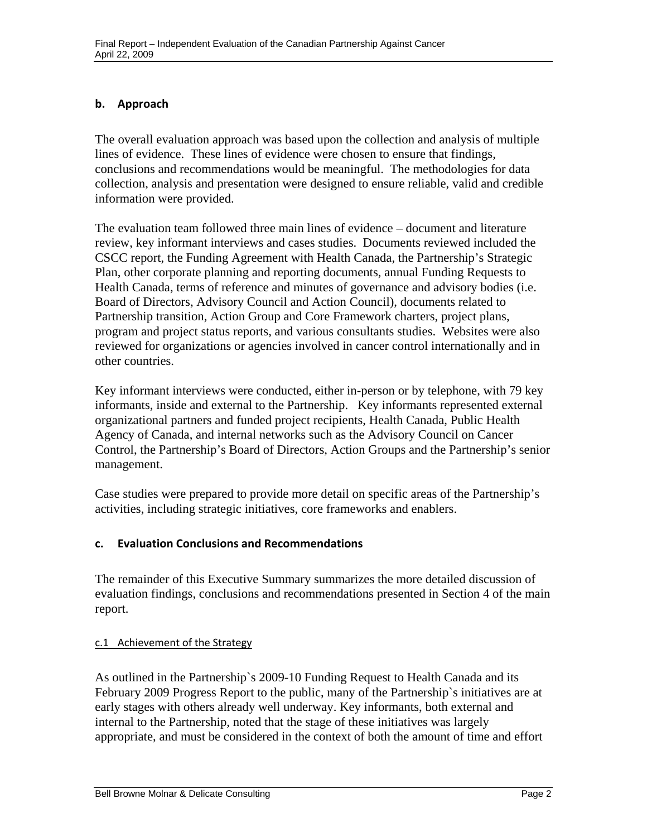#### <span id="page-4-0"></span>**b. Approach**

The overall evaluation approach was based upon the collection and analysis of multiple lines of evidence. These lines of evidence were chosen to ensure that findings, conclusions and recommendations would be meaningful. The methodologies for data collection, analysis and presentation were designed to ensure reliable, valid and credible information were provided.

The evaluation team followed three main lines of evidence – document and literature review, key informant interviews and cases studies. Documents reviewed included the CSCC report, the Funding Agreement with Health Canada, the Partnership's Strategic Plan, other corporate planning and reporting documents, annual Funding Requests to Health Canada, terms of reference and minutes of governance and advisory bodies (i.e. Board of Directors, Advisory Council and Action Council), documents related to Partnership transition, Action Group and Core Framework charters, project plans, program and project status reports, and various consultants studies. Websites were also reviewed for organizations or agencies involved in cancer control internationally and in other countries.

Key informant interviews were conducted, either in-person or by telephone, with 79 key informants, inside and external to the Partnership. Key informants represented external organizational partners and funded project recipients, Health Canada, Public Health Agency of Canada, and internal networks such as the Advisory Council on Cancer Control, the Partnership's Board of Directors, Action Groups and the Partnership's senior management.

Case studies were prepared to provide more detail on specific areas of the Partnership's activities, including strategic initiatives, core frameworks and enablers.

#### **c. Evaluation Conclusions and Recommendations**

The remainder of this Executive Summary summarizes the more detailed discussion of evaluation findings, conclusions and recommendations presented in Section 4 of the main report.

#### c.1 Achievement of the Strategy

As outlined in the Partnership`s 2009-10 Funding Request to Health Canada and its February 2009 Progress Report to the public, many of the Partnership`s initiatives are at early stages with others already well underway. Key informants, both external and internal to the Partnership, noted that the stage of these initiatives was largely appropriate, and must be considered in the context of both the amount of time and effort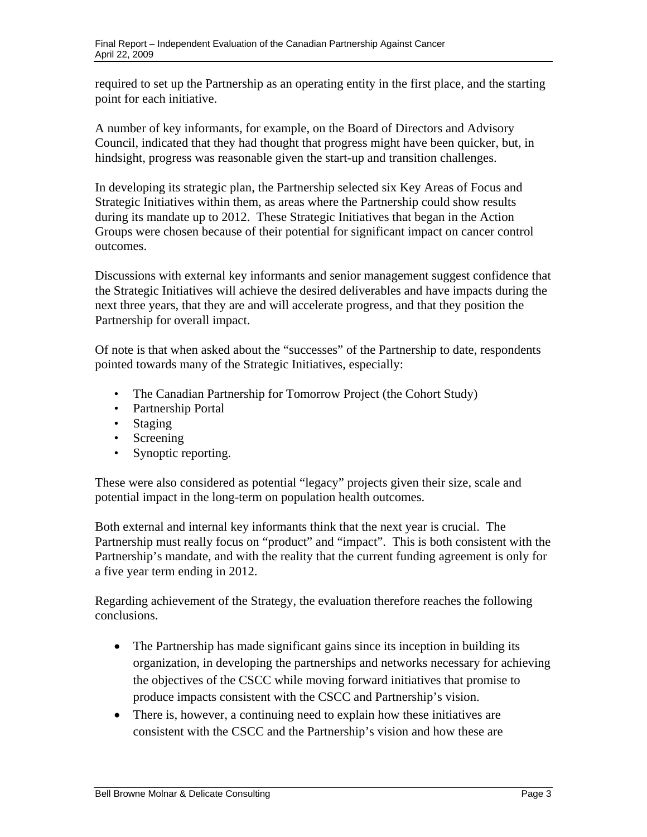required to set up the Partnership as an operating entity in the first place, and the starting point for each initiative.

A number of key informants, for example, on the Board of Directors and Advisory Council, indicated that they had thought that progress might have been quicker, but, in hindsight, progress was reasonable given the start-up and transition challenges.

In developing its strategic plan, the Partnership selected six Key Areas of Focus and Strategic Initiatives within them, as areas where the Partnership could show results during its mandate up to 2012. These Strategic Initiatives that began in the Action Groups were chosen because of their potential for significant impact on cancer control outcomes.

Discussions with external key informants and senior management suggest confidence that the Strategic Initiatives will achieve the desired deliverables and have impacts during the next three years, that they are and will accelerate progress, and that they position the Partnership for overall impact.

Of note is that when asked about the "successes" of the Partnership to date, respondents pointed towards many of the Strategic Initiatives, especially:

- The Canadian Partnership for Tomorrow Project (the Cohort Study)
- Partnership Portal
- Staging
- Screening
- Synoptic reporting.

These were also considered as potential "legacy" projects given their size, scale and potential impact in the long-term on population health outcomes.

Both external and internal key informants think that the next year is crucial. The Partnership must really focus on "product" and "impact". This is both consistent with the Partnership's mandate, and with the reality that the current funding agreement is only for a five year term ending in 2012.

Regarding achievement of the Strategy, the evaluation therefore reaches the following conclusions.

- The Partnership has made significant gains since its inception in building its organization, in developing the partnerships and networks necessary for achieving the objectives of the CSCC while moving forward initiatives that promise to produce impacts consistent with the CSCC and Partnership's vision.
- There is, however, a continuing need to explain how these initiatives are consistent with the CSCC and the Partnership's vision and how these are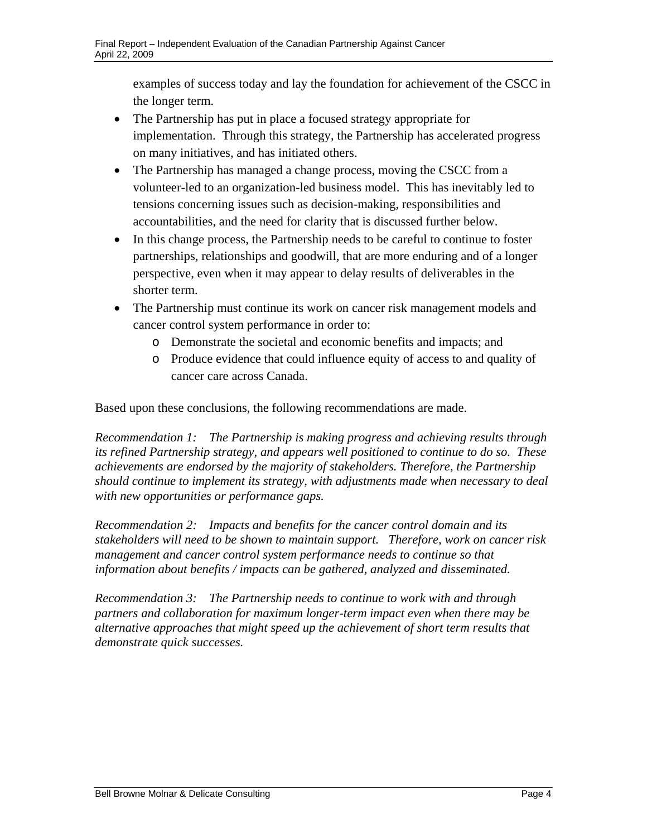examples of success today and lay the foundation for achievement of the CSCC in the longer term.

- The Partnership has put in place a focused strategy appropriate for implementation. Through this strategy, the Partnership has accelerated progress on many initiatives, and has initiated others.
- The Partnership has managed a change process, moving the CSCC from a volunteer-led to an organization-led business model. This has inevitably led to tensions concerning issues such as decision-making, responsibilities and accountabilities, and the need for clarity that is discussed further below.
- In this change process, the Partnership needs to be careful to continue to foster partnerships, relationships and goodwill, that are more enduring and of a longer perspective, even when it may appear to delay results of deliverables in the shorter term.
- The Partnership must continue its work on cancer risk management models and cancer control system performance in order to:
	- o Demonstrate the societal and economic benefits and impacts; and
	- o Produce evidence that could influence equity of access to and quality of cancer care across Canada.

Based upon these conclusions, the following recommendations are made.

*Recommendation 1: The Partnership is making progress and achieving results through its refined Partnership strategy, and appears well positioned to continue to do so. These achievements are endorsed by the majority of stakeholders. Therefore, the Partnership should continue to implement its strategy, with adjustments made when necessary to deal with new opportunities or performance gaps.* 

*Recommendation 2: Impacts and benefits for the cancer control domain and its stakeholders will need to be shown to maintain support. Therefore, work on cancer risk management and cancer control system performance needs to continue so that information about benefits / impacts can be gathered, analyzed and disseminated.* 

*Recommendation 3: The Partnership needs to continue to work with and through partners and collaboration for maximum longer-term impact even when there may be alternative approaches that might speed up the achievement of short term results that demonstrate quick successes.*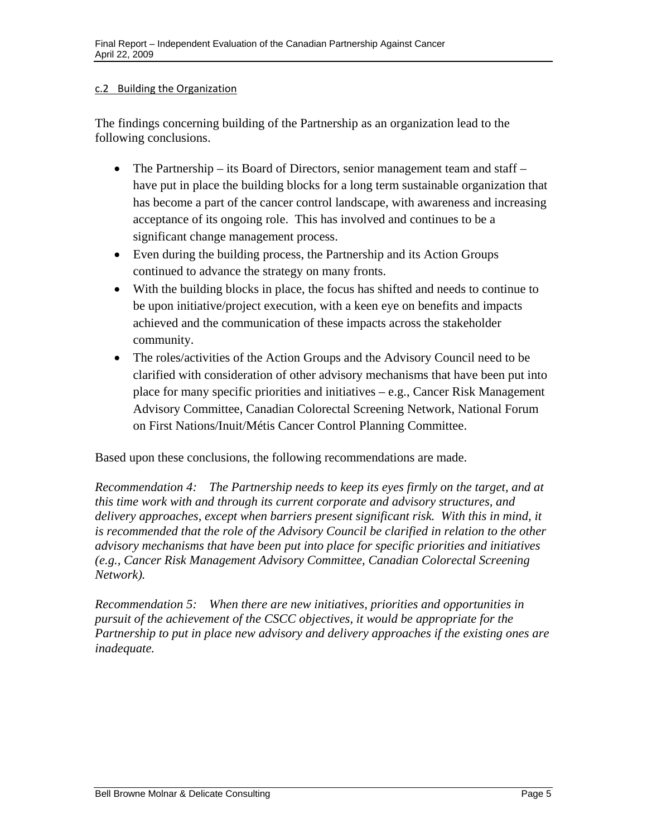#### c.2 Building the Organization

The findings concerning building of the Partnership as an organization lead to the following conclusions.

- The Partnership its Board of Directors, senior management team and staff have put in place the building blocks for a long term sustainable organization that has become a part of the cancer control landscape, with awareness and increasing acceptance of its ongoing role. This has involved and continues to be a significant change management process.
- Even during the building process, the Partnership and its Action Groups continued to advance the strategy on many fronts.
- With the building blocks in place, the focus has shifted and needs to continue to be upon initiative/project execution, with a keen eye on benefits and impacts achieved and the communication of these impacts across the stakeholder community.
- The roles/activities of the Action Groups and the Advisory Council need to be clarified with consideration of other advisory mechanisms that have been put into place for many specific priorities and initiatives – e.g., Cancer Risk Management Advisory Committee, Canadian Colorectal Screening Network, National Forum on First Nations/Inuit/Métis Cancer Control Planning Committee.

Based upon these conclusions, the following recommendations are made.

*Recommendation 4: The Partnership needs to keep its eyes firmly on the target, and at this time work with and through its current corporate and advisory structures, and delivery approaches, except when barriers present significant risk. With this in mind, it*  is recommended that the role of the Advisory Council be clarified in relation to the other *advisory mechanisms that have been put into place for specific priorities and initiatives (e.g., Cancer Risk Management Advisory Committee, Canadian Colorectal Screening Network).* 

*Recommendation 5: When there are new initiatives, priorities and opportunities in pursuit of the achievement of the CSCC objectives, it would be appropriate for the Partnership to put in place new advisory and delivery approaches if the existing ones are inadequate.*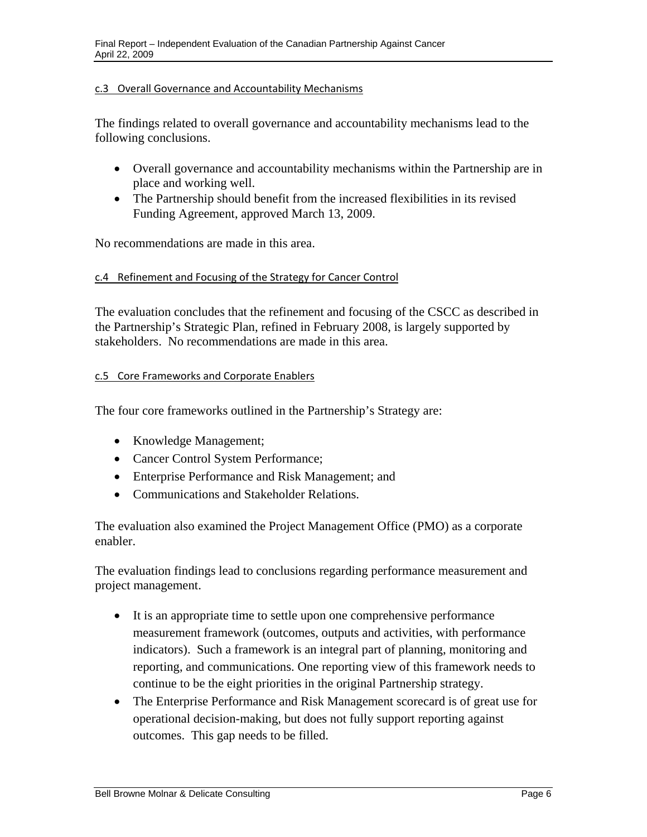#### c.3 Overall Governance and Accountability Mechanisms

The findings related to overall governance and accountability mechanisms lead to the following conclusions.

- Overall governance and accountability mechanisms within the Partnership are in place and working well.
- The Partnership should benefit from the increased flexibilities in its revised Funding Agreement, approved March 13, 2009.

No recommendations are made in this area.

#### c.4 Refinement and Focusing of the Strategy for Cancer Control

The evaluation concludes that the refinement and focusing of the CSCC as described in the Partnership's Strategic Plan, refined in February 2008, is largely supported by stakeholders. No recommendations are made in this area.

#### c.5 Core Frameworks and Corporate Enablers

The four core frameworks outlined in the Partnership's Strategy are:

- Knowledge Management;
- Cancer Control System Performance;
- Enterprise Performance and Risk Management; and
- Communications and Stakeholder Relations.

The evaluation also examined the Project Management Office (PMO) as a corporate enabler.

The evaluation findings lead to conclusions regarding performance measurement and project management.

- It is an appropriate time to settle upon one comprehensive performance measurement framework (outcomes, outputs and activities, with performance indicators). Such a framework is an integral part of planning, monitoring and reporting, and communications. One reporting view of this framework needs to continue to be the eight priorities in the original Partnership strategy.
- The Enterprise Performance and Risk Management scorecard is of great use for operational decision-making, but does not fully support reporting against outcomes. This gap needs to be filled.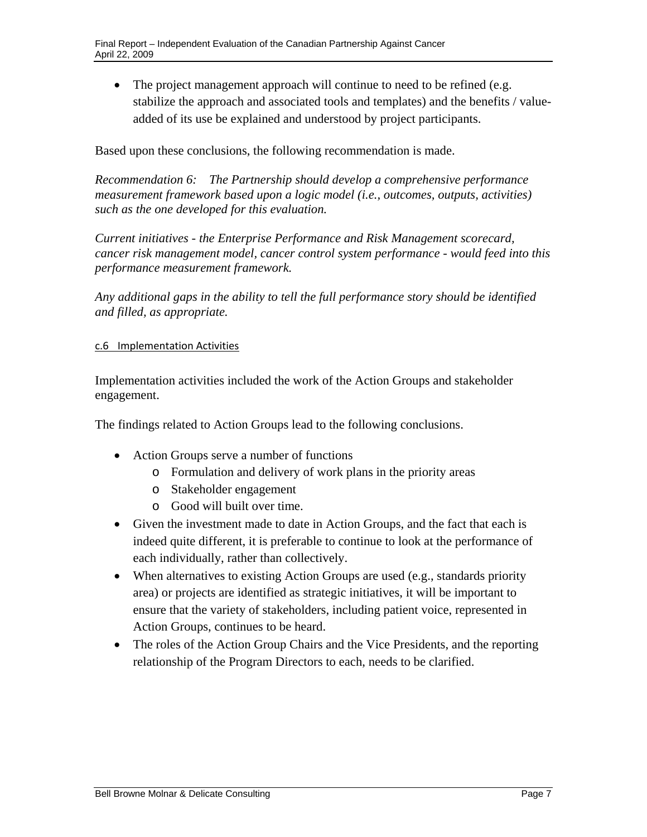• The project management approach will continue to need to be refined (e.g. stabilize the approach and associated tools and templates) and the benefits / valueadded of its use be explained and understood by project participants.

Based upon these conclusions, the following recommendation is made.

*Recommendation 6: The Partnership should develop a comprehensive performance measurement framework based upon a logic model (i.e., outcomes, outputs, activities) such as the one developed for this evaluation.* 

*Current initiatives - the Enterprise Performance and Risk Management scorecard, cancer risk management model, cancer control system performance - would feed into this performance measurement framework.* 

*Any additional gaps in the ability to tell the full performance story should be identified and filled, as appropriate.* 

#### c.6 Implementation Activities

Implementation activities included the work of the Action Groups and stakeholder engagement.

The findings related to Action Groups lead to the following conclusions.

- Action Groups serve a number of functions
	- o Formulation and delivery of work plans in the priority areas
	- o Stakeholder engagement
	- o Good will built over time.
- Given the investment made to date in Action Groups, and the fact that each is indeed quite different, it is preferable to continue to look at the performance of each individually, rather than collectively.
- When alternatives to existing Action Groups are used (e.g., standards priority area) or projects are identified as strategic initiatives, it will be important to ensure that the variety of stakeholders, including patient voice, represented in Action Groups, continues to be heard.
- The roles of the Action Group Chairs and the Vice Presidents, and the reporting relationship of the Program Directors to each, needs to be clarified.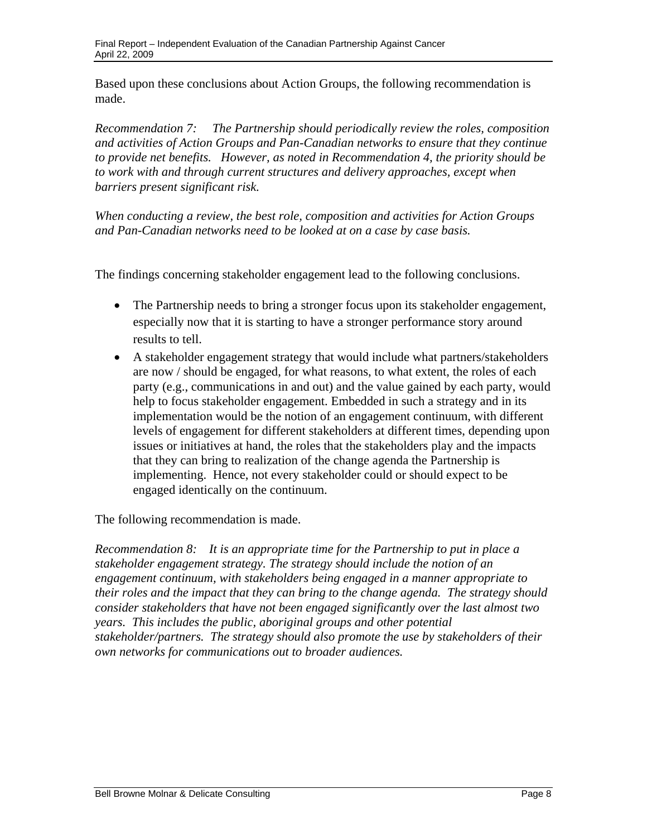Based upon these conclusions about Action Groups, the following recommendation is made.

*Recommendation 7: The Partnership should periodically review the roles, composition and activities of Action Groups and Pan-Canadian networks to ensure that they continue to provide net benefits. However, as noted in Recommendation 4, the priority should be to work with and through current structures and delivery approaches, except when barriers present significant risk.* 

 *and Pan-Canadian networks need to be looked at on a case by case basis. When conducting a review, the best role, composition and activities for Action Groups* 

The findings concerning stakeholder engagement lead to the following conclusions.

- The Partnership needs to bring a stronger focus upon its stakeholder engagement, especially now that it is starting to have a stronger performance story around results to tell.
- A stakeholder engagement strategy that would include what partners/stakeholders are now / should be engaged, for what reasons, to what extent, the roles of each party (e.g., communications in and out) and the value gained by each party, would help to focus stakeholder engagement. Embedded in such a strategy and in its implementation would be the notion of an engagement continuum, with different levels of engagement for different stakeholders at different times, depending upon issues or initiatives at hand, the roles that the stakeholders play and the impacts that they can bring to realization of the change agenda the Partnership is implementing. Hence, not every stakeholder could or should expect to be engaged identically on the continuum.

The following recommendation is made.

*Recommendation 8: It is an appropriate time for the Partnership to put in place a stakeholder engagement strategy. The strategy should include the notion of an engagement continuum, with stakeholders being engaged in a manner appropriate to their roles and the impact that they can bring to the change agenda. The strategy should consider stakeholders that have not been engaged significantly over the last almost two years. This includes the public, aboriginal groups and other potential stakeholder/partners. The strategy should also promote the use by stakeholders of their own networks for communications out to broader audiences.*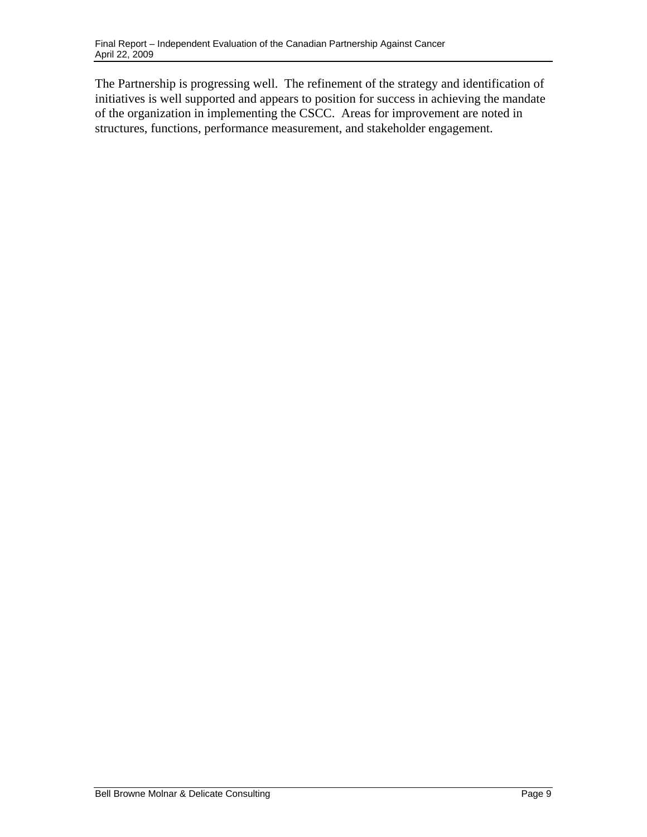The Partnership is progressing well. The refinement of the strategy and identification of initiatives is well supported and appears to position for success in achieving the mandate of the organization in implementing the CSCC. Areas for improvement are noted in structures, functions, performance measurement, and stakeholder engagement.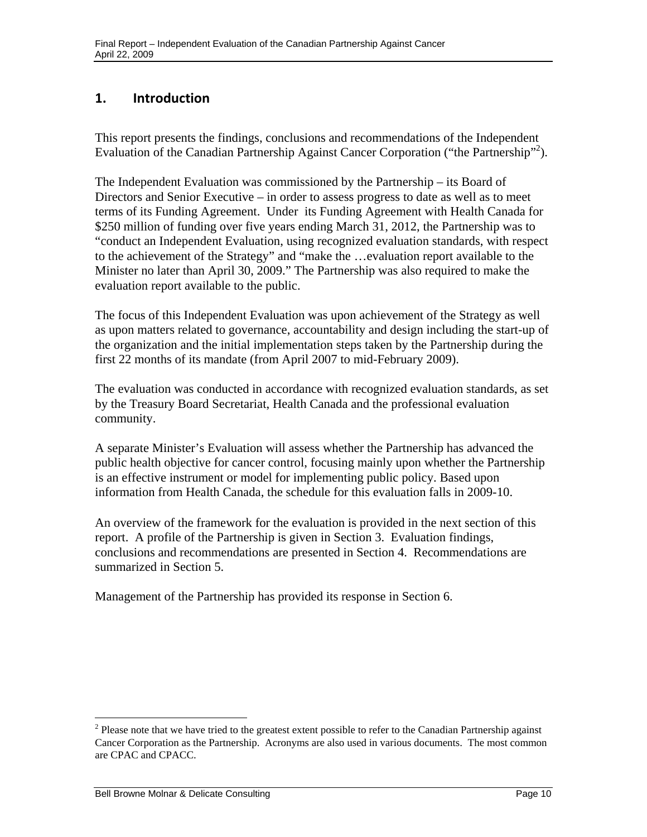### <span id="page-12-0"></span>**1. Introduction**

This report presents the findings, conclusions and recommendations of the Independent Evaluation of the Canadian Partnership Against Cancer Corporation ("the Partnership"<sup>2</sup>).

The Independent Evaluation was commissioned by the Partnership – its Board of Directors and Senior Executive – in order to assess progress to date as well as to meet terms of its Funding Agreement. Under its Funding Agreement with Health Canada for \$250 million of funding over five years ending March 31, 2012, the Partnership was to "conduct an Independent Evaluation, using recognized evaluation standards, with respect to the achievement of the Strategy" and "make the …evaluation report available to the Minister no later than April 30, 2009." The Partnership was also required to make the evaluation report available to the public.

The focus of this Independent Evaluation was upon achievement of the Strategy as well as upon matters related to governance, accountability and design including the start-up of the organization and the initial implementation steps taken by the Partnership during the first 22 months of its mandate (from April 2007 to mid-February 2009).

The evaluation was conducted in accordance with recognized evaluation standards, as set by the Treasury Board Secretariat, Health Canada and the professional evaluation community.

A separate Minister's Evaluation will assess whether the Partnership has advanced the public health objective for cancer control, focusing mainly upon whether the Partnership is an effective instrument or model for implementing public policy. Based upon information from Health Canada, the schedule for this evaluation falls in 2009-10.

An overview of the framework for the evaluation is provided in the next section of this report. A profile of the Partnership is given in Section 3. Evaluation findings, conclusions and recommendations are presented in Section 4. Recommendations are summarized in Section 5.

Management of the Partnership has provided its response in Section 6.

 $2$  Please note that we have tried to the greatest extent possible to refer to the Canadian Partnership against Cancer Corporation as the Partnership. Acronyms are also used in various documents. The most common are CPAC and CPACC.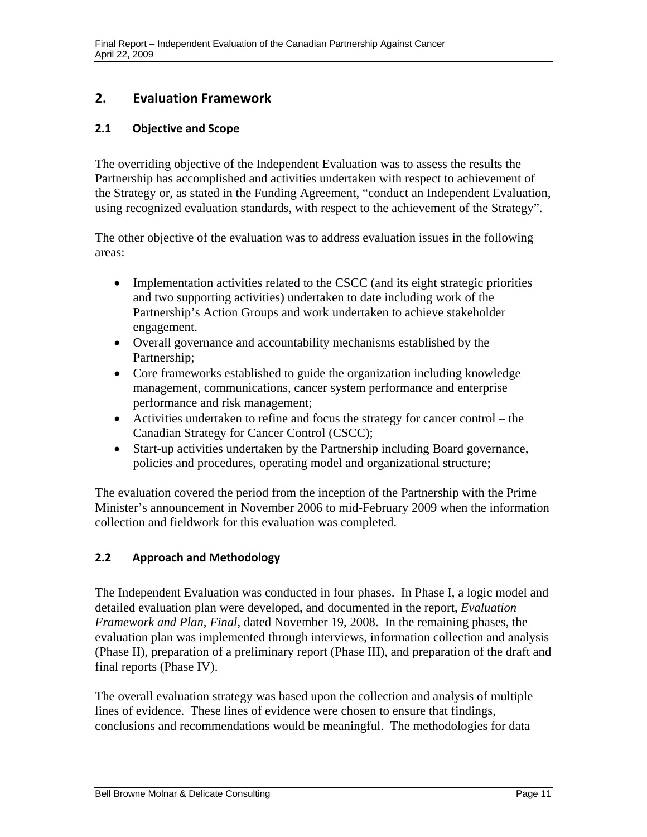### <span id="page-13-0"></span> **2. Evaluation Framework**

#### **2.1 Objective and Scope**

The overriding objective of the Independent Evaluation was to assess the results the Partnership has accomplished and activities undertaken with respect to achievement of the Strategy or, as stated in the Funding Agreement, "conduct an Independent Evaluation, using recognized evaluation standards, with respect to the achievement of the Strategy".

The other objective of the evaluation was to address evaluation issues in the following areas:

- Implementation activities related to the CSCC (and its eight strategic priorities and two supporting activities) undertaken to date including work of the Partnership's Action Groups and work undertaken to achieve stakeholder engagement.
- Overall governance and accountability mechanisms established by the Partnership;
- Core frameworks established to guide the organization including knowledge management, communications, cancer system performance and enterprise performance and risk management;
- Activities undertaken to refine and focus the strategy for cancer control the Canadian Strategy for Cancer Control (CSCC);
- Start-up activities undertaken by the Partnership including Board governance, policies and procedures, operating model and organizational structure;

The evaluation covered the period from the inception of the Partnership with the Prime Minister's announcement in November 2006 to mid-February 2009 when the information collection and fieldwork for this evaluation was completed.

#### **2.2 Approach and Methodology**

The Independent Evaluation was conducted in four phases. In Phase I, a logic model and detailed evaluation plan were developed, and documented in the report, *Evaluation Framework and Plan, Final*, dated November 19, 2008. In the remaining phases, the evaluation plan was implemented through interviews, information collection and analysis (Phase II), preparation of a preliminary report (Phase III), and preparation of the draft and final reports (Phase IV).

The overall evaluation strategy was based upon the collection and analysis of multiple lines of evidence. These lines of evidence were chosen to ensure that findings, conclusions and recommendations would be meaningful. The methodologies for data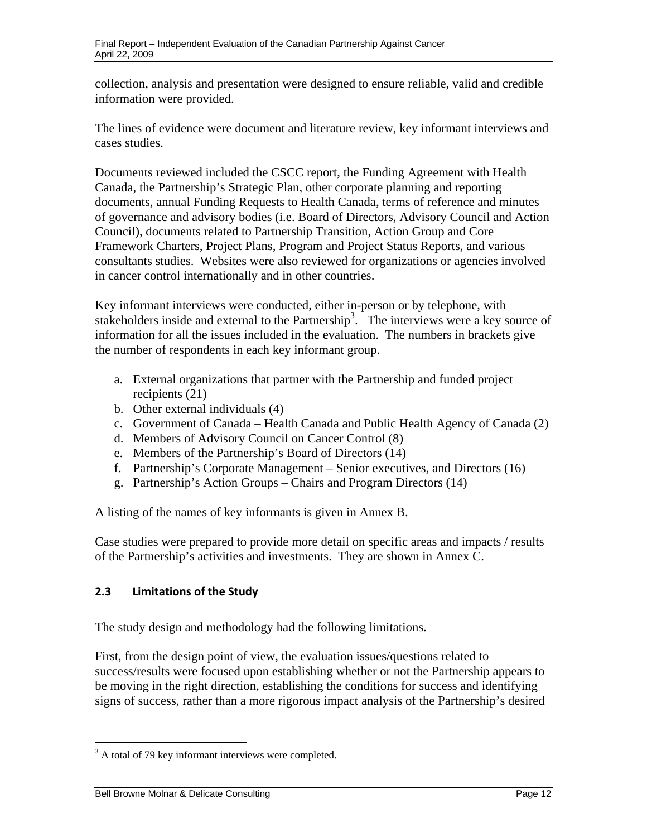<span id="page-14-0"></span>collection, analysis and presentation were designed to ensure reliable, valid and credible information were provided.

The lines of evidence were document and literature review, key informant interviews and cases studies.

Documents reviewed included the CSCC report, the Funding Agreement with Health Canada, the Partnership's Strategic Plan, other corporate planning and reporting documents, annual Funding Requests to Health Canada, terms of reference and minutes of governance and advisory bodies (i.e. Board of Directors, Advisory Council and Action Council), documents related to Partnership Transition, Action Group and Core Framework Charters, Project Plans, Program and Project Status Reports, and various consultants studies. Websites were also reviewed for organizations or agencies involved in cancer control internationally and in other countries.

Key informant interviews were conducted, either in-person or by telephone, with stakeholders inside and external to the Partnership<sup>3</sup>. The interviews were a key source of information for all the issues included in the evaluation. The numbers in brackets give the number of respondents in each key informant group.

- a. External organizations that partner with the Partnership and funded project recipients (21)
- b. Other external individuals (4)
- c. Government of Canada Health Canada and Public Health Agency of Canada (2)
- d. Members of Advisory Council on Cancer Control (8)
- e. Members of the Partnership's Board of Directors (14)
- f. Partnership's Corporate Management Senior executives, and Directors (16)
- g. Partnership's Action Groups Chairs and Program Directors (14)

A listing of the names of key informants is given in Annex B.

Case studies were prepared to provide more detail on specific areas and impacts / results of the Partnership's activities and investments. They are shown in Annex C.

### **2.3 Limitations of the Study**

The study design and methodology had the following limitations.

First, from the design point of view, the evaluation issues/questions related to success/results were focused upon establishing whether or not the Partnership appears to be moving in the right direction, establishing the conditions for success and identifying signs of success, rather than a more rigorous impact analysis of the Partnership's desired

 $3$  A total of 79 key informant interviews were completed.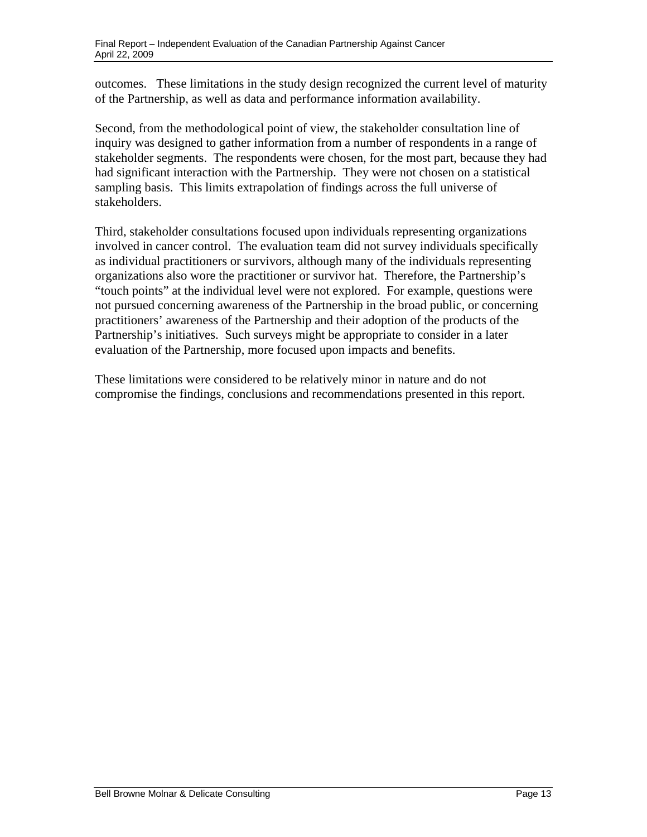outcomes. These limitations in the study design recognized the current level of maturity of the Partnership, as well as data and performance information availability.

Second, from the methodological point of view, the stakeholder consultation line of inquiry was designed to gather information from a number of respondents in a range of stakeholder segments. The respondents were chosen, for the most part, because they had had significant interaction with the Partnership. They were not chosen on a statistical sampling basis. This limits extrapolation of findings across the full universe of stakeholders.

Third, stakeholder consultations focused upon individuals representing organizations involved in cancer control. The evaluation team did not survey individuals specifically as individual practitioners or survivors, although many of the individuals representing organizations also wore the practitioner or survivor hat. Therefore, the Partnership's "touch points" at the individual level were not explored. For example, questions were not pursued concerning awareness of the Partnership in the broad public, or concerning practitioners' awareness of the Partnership and their adoption of the products of the Partnership's initiatives. Such surveys might be appropriate to consider in a later evaluation of the Partnership, more focused upon impacts and benefits.

These limitations were considered to be relatively minor in nature and do not compromise the findings, conclusions and recommendations presented in this report.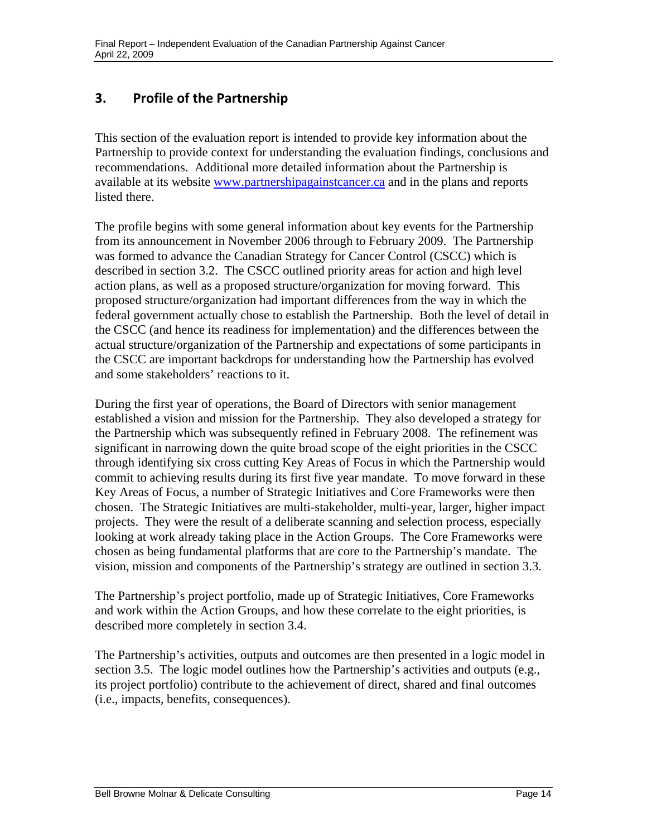### <span id="page-16-0"></span> **3. Profile of the Partnership**

This section of the evaluation report is intended to provide key information about the Partnership to provide context for understanding the evaluation findings, conclusions and recommendations. Additional more detailed information about the Partnership is available at its website www.partnershipagainstcancer.ca and in the plans and reports listed there.

The profile begins with some general information about key events for the Partnership from its announcement in November 2006 through to February 2009. The Partnership was formed to advance the Canadian Strategy for Cancer Control (CSCC) which is described in section 3.2. The CSCC outlined priority areas for action and high level action plans, as well as a proposed structure/organization for moving forward. This proposed structure/organization had important differences from the way in which the federal government actually chose to establish the Partnership. Both the level of detail in the CSCC (and hence its readiness for implementation) and the differences between the actual structure/organization of the Partnership and expectations of some participants in the CSCC are important backdrops for understanding how the Partnership has evolved and some stakeholders' reactions to it.

During the first year of operations, the Board of Directors with senior management established a vision and mission for the Partnership. They also developed a strategy for the Partnership which was subsequently refined in February 2008. The refinement was significant in narrowing down the quite broad scope of the eight priorities in the CSCC through identifying six cross cutting Key Areas of Focus in which the Partnership would commit to achieving results during its first five year mandate. To move forward in these Key Areas of Focus, a number of Strategic Initiatives and Core Frameworks were then chosen. The Strategic Initiatives are multi-stakeholder, multi-year, larger, higher impact projects. They were the result of a deliberate scanning and selection process, especially looking at work already taking place in the Action Groups. The Core Frameworks were chosen as being fundamental platforms that are core to the Partnership's mandate. The vision, mission and components of the Partnership's strategy are outlined in section 3.3.

The Partnership's project portfolio, made up of Strategic Initiatives, Core Frameworks and work within the Action Groups, and how these correlate to the eight priorities, is described more completely in section 3.4.

The Partnership's activities, outputs and outcomes are then presented in a logic model in section 3.5. The logic model outlines how the Partnership's activities and outputs (e.g., its project portfolio) contribute to the achievement of direct, shared and final outcomes (i.e., impacts, benefits, consequences).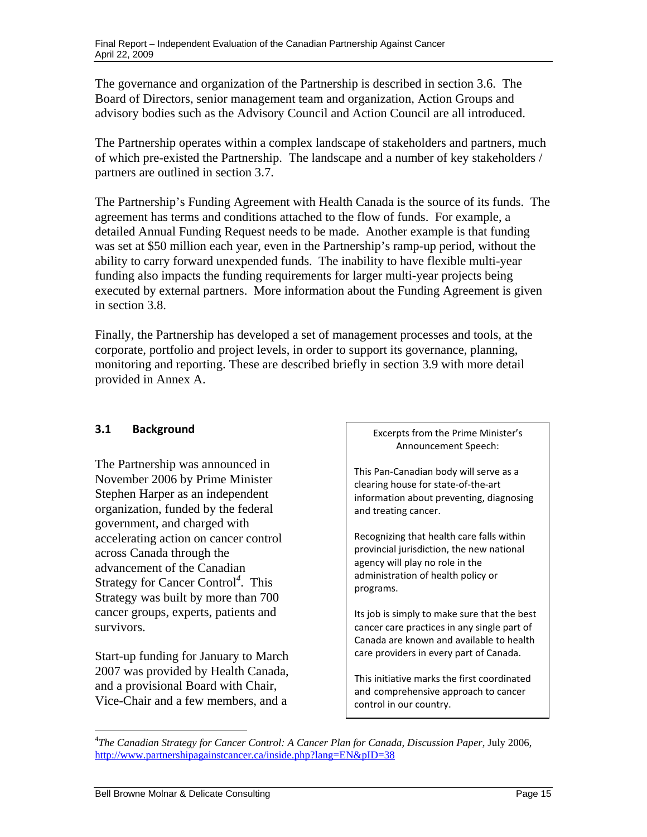<span id="page-17-0"></span>The governance and organization of the Partnership is described in section 3.6. The Board of Directors, senior management team and organization, Action Groups and advisory bodies such as the Advisory Council and Action Council are all introduced.

The Partnership operates within a complex landscape of stakeholders and partners, much of which pre-existed the Partnership. The landscape and a number of key stakeholders / partners are outlined in section 3.7.

The Partnership's Funding Agreement with Health Canada is the source of its funds. The agreement has terms and conditions attached to the flow of funds. For example, a detailed Annual Funding Request needs to be made. Another example is that funding was set at \$50 million each year, even in the Partnership's ramp-up period, without the ability to carry forward unexpended funds. The inability to have flexible multi-year funding also impacts the funding requirements for larger multi-year projects being executed by external partners. More information about the Funding Agreement is given in section 3.8.

Finally, the Partnership has developed a set of management processes and tools, at the corporate, portfolio and project levels, in order to support its governance, planning, monitoring and reporting. These are described briefly in section 3.9 with more detail provided in Annex A.

#### **3.1 Background**

The Partnership was announced in November 2006 by Prime Minister Stephen Harper as an independent organization, funded by the federal government, and charged with accelerating action on cancer control across Canada through the advancement of the Canadian Strategy for Cancer Control*<sup>4</sup>*. This Strategy was built by more than 700 cancer groups, experts, patients and survivors.

Start-up funding for January to March 2007 was provided by Health Canada, and a provisional Board with Chair, Vice-Chair and a few members, and a

 Excerpts from the Prime Minister's Announcement Speech:

 This Pan‐Canadian body will serve as a clearing house for state‐of‐the‐art information about preventing, diagnosing and treating cancer.

 Recognizing that health care falls within provincial jurisdiction, the new national agency will play no role in the administration of health policy or programs.

 Its job is simply to make sure that the best cancer care practices in any single part of Canada are known and available to health care providers in every part of Canada.

 This initiative marks the first coordinated and comprehensive approach to cancer control in our country.

 $\overline{a}$ http://www.partnershipagainstcancer.ca/inside.php?lang=EN&pID=38 4 *The Canadian Strategy for Cancer Control: A Cancer Plan for Canada, Discussion Paper*, July 2006,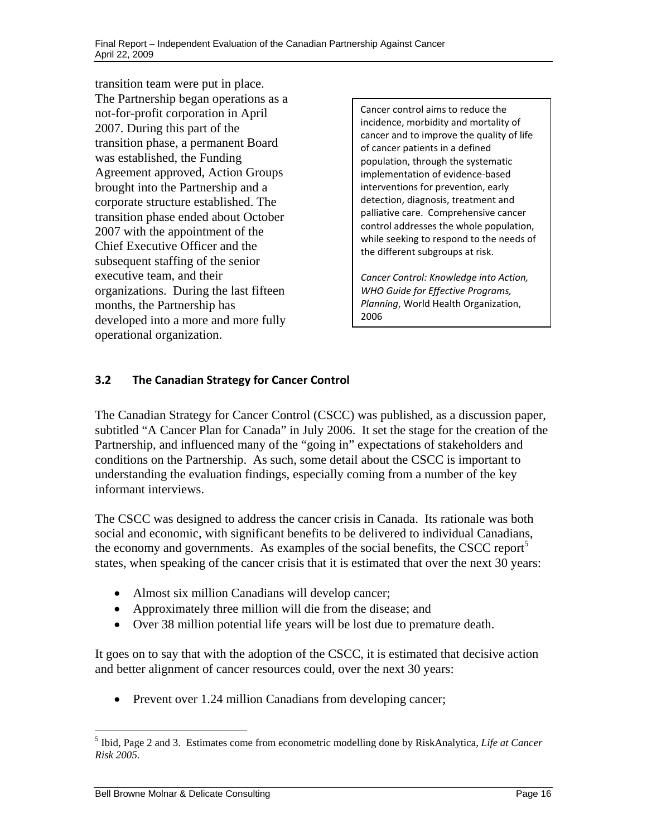transition team were put in place. The Partnership began operations as a not-for-profit corporation in April 2007. During this part of the transition phase, a permanent Board was established, the Funding Agreement approved, Action Groups brought into the Partnership and a corporate structure established. The transition phase ended about October 2007 with the appointment of the Chief Executive Officer and the subsequent staffing of the senior executive team, and their organizations. During the last fifteen months, the Partnership has developed into a more and more fully operational organization.

Cancer control aims to reduce the incidence, morbidity and mortality of cancer and to improve the quality of life of cancer patients in a defined population, through the systematic implementation of evidence‐based interventions for prevention, early detection, diagnosis, treatment and palliative care. Comprehensive cancer control addresses the whole population, while seeking to respond to the needs of the different subgroups at risk.

*Cancer Control: Knowledge into Action, WHO Guide for Effective Programs, Planning*, World Health Organization, 2006

### **3.2 The Canadian Strategy for Cancer Control**

The Canadian Strategy for Cancer Control (CSCC) was published, as a discussion paper, subtitled "A Cancer Plan for Canada" in July 2006. It set the stage for the creation of the Partnership, and influenced many of the "going in" expectations of stakeholders and conditions on the Partnership. As such, some detail about the CSCC is important to understanding the evaluation findings, especially coming from a number of the key informant interviews.

The CSCC was designed to address the cancer crisis in Canada. Its rationale was both social and economic, with significant benefits to be delivered to individual Canadians, the economy and governments. As examples of the social benefits, the CSCC report<sup>5</sup> states, when speaking of the cancer crisis that it is estimated that over the next 30 years:

- Almost six million Canadians will develop cancer;
- Approximately three million will die from the disease; and
- Over 38 million potential life years will be lost due to premature death.

It goes on to say that with the adoption of the CSCC, it is estimated that decisive action and better alignment of cancer resources could, over the next 30 years:

• Prevent over 1.24 million Canadians from developing cancer;

<sup>5</sup> Ibid, Page 2 and 3. Estimates come from econometric modelling done by RiskAnalytica, *Life at Cancer Risk 2005.*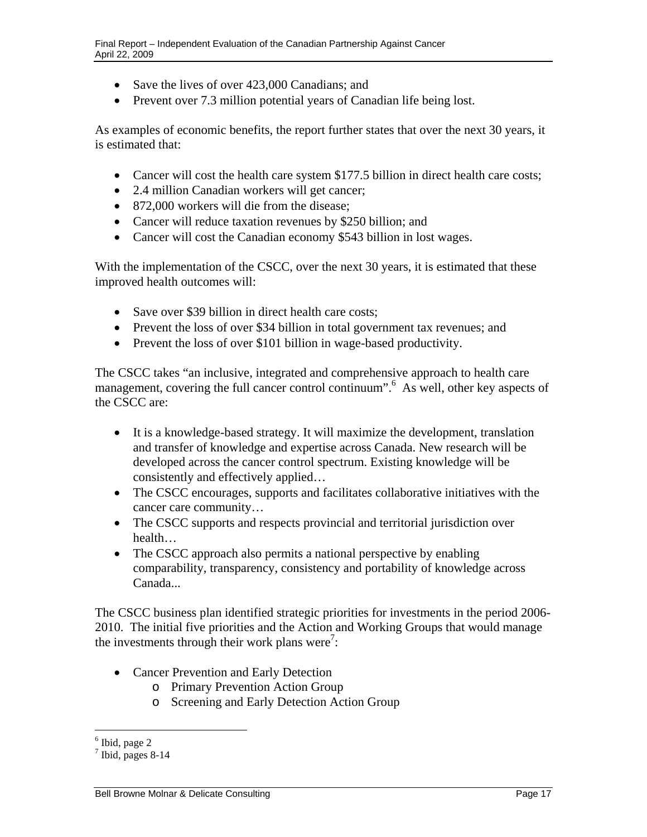- Save the lives of over 423,000 Canadians; and
- Prevent over 7.3 million potential years of Canadian life being lost.

As examples of economic benefits, the report further states that over the next 30 years, it is estimated that:

- Cancer will cost the health care system \$177.5 billion in direct health care costs;
- 2.4 million Canadian workers will get cancer;
- 872,000 workers will die from the disease;
- Cancer will reduce taxation revenues by \$250 billion; and
- Cancer will cost the Canadian economy \$543 billion in lost wages.

With the implementation of the CSCC, over the next 30 years, it is estimated that these improved health outcomes will:

- Save over \$39 billion in direct health care costs:
- Prevent the loss of over \$34 billion in total government tax revenues; and
- Prevent the loss of over \$101 billion in wage-based productivity.

The CSCC takes "an inclusive, integrated and comprehensive approach to health care management, covering the full cancer control continuum".6 As well, other key aspects of the CSCC are:

- It is a knowledge-based strategy. It will maximize the development, translation and transfer of knowledge and expertise across Canada. New research will be developed across the cancer control spectrum. Existing knowledge will be consistently and effectively applied…
- The CSCC encourages, supports and facilitates collaborative initiatives with the cancer care community…
- The CSCC supports and respects provincial and territorial jurisdiction over health…
- The CSCC approach also permits a national perspective by enabling comparability, transparency, consistency and portability of knowledge across Canada...

The CSCC business plan identified strategic priorities for investments in the period 2006 2010. The initial five priorities and the Action and Working Groups that would manage the investments through their work plans were<sup>7</sup>:

- Cancer Prevention and Early Detection
	- o Primary Prevention Action Group
	- o Screening and Early Detection Action Group

 6 Ibid, page 2

 $<sup>7</sup>$  Ibid, pages 8-14</sup>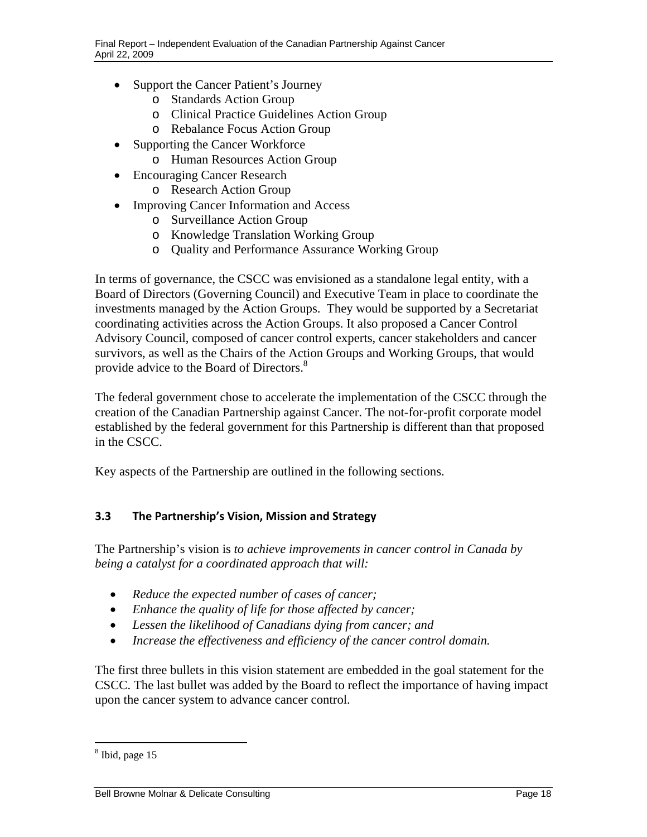- <span id="page-20-0"></span>• Support the Cancer Patient's Journey
	- o Standards Action Group
	- o Clinical Practice Guidelines Action Group
	- o Rebalance Focus Action Group
- Supporting the Cancer Workforce
	- o Human Resources Action Group
- Encouraging Cancer Research
	- o Research Action Group
- Improving Cancer Information and Access
	- o Surveillance Action Group
	- o Knowledge Translation Working Group
	- o Quality and Performance Assurance Working Group

In terms of governance, the CSCC was envisioned as a standalone legal entity, with a Board of Directors (Governing Council) and Executive Team in place to coordinate the investments managed by the Action Groups. They would be supported by a Secretariat coordinating activities across the Action Groups. It also proposed a Cancer Control Advisory Council, composed of cancer control experts, cancer stakeholders and cancer survivors, as well as the Chairs of the Action Groups and Working Groups, that would provide advice to the Board of Directors.<sup>8</sup>

The federal government chose to accelerate the implementation of the CSCC through the creation of the Canadian Partnership against Cancer. The not-for-profit corporate model established by the federal government for this Partnership is different than that proposed in the CSCC.

Key aspects of the Partnership are outlined in the following sections.

#### **3.3 The Partnership's Vision, Mission and Strategy**

The Partnership's vision is *to achieve improvements in cancer control in Canada by being a catalyst for a coordinated approach that will:* 

- *Reduce the expected number of cases of cancer;*
- *Enhance the quality of life for those affected by cancer;*
- *Lessen the likelihood of Canadians dying from cancer; and*
- *Increase the effectiveness and efficiency of the cancer control domain.*

The first three bullets in this vision statement are embedded in the goal statement for the CSCC. The last bullet was added by the Board to reflect the importance of having impact upon the cancer system to advance cancer control.

<sup>&</sup>lt;sup>8</sup> Ibid, page 15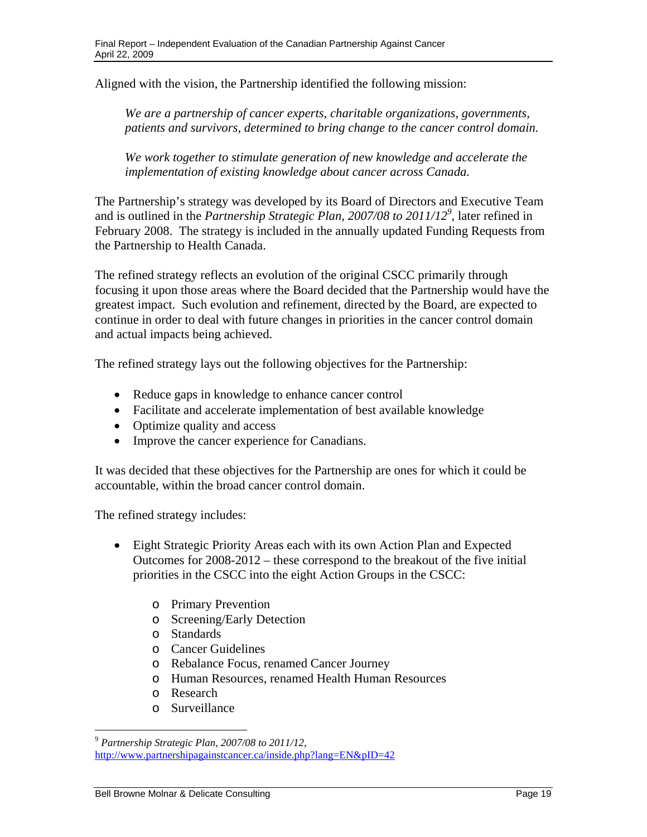Aligned with the vision, the Partnership identified the following mission:

*We are a partnership of cancer experts, charitable organizations, governments, patients and survivors, determined to bring change to the cancer control domain.* 

*We work together to stimulate generation of new knowledge and accelerate the implementation of existing knowledge about cancer across Canada.* 

The Partnership's strategy was developed by its Board of Directors and Executive Team and is outlined in the *Partnership Strategic Plan, 2007/08 to 2011/129* , later refined in February 2008. The strategy is included in the annually updated Funding Requests from the Partnership to Health Canada.

The refined strategy reflects an evolution of the original CSCC primarily through<br>focusing it upon those areas where the Board decided that the Partnership would regreatest impact. Such evolution and erfinement, directed focusing it upon those areas where the Board decided that the Partnership would have the greatest impact. Such evolution and refinement, directed by the Board, are expected to continue in order to deal with future changes in priorities in the cancer control domain and actual impacts being achieved.

The refined strategy lays out the following objectives for the Partnership:

- Reduce gaps in knowledge to enhance cancer control
- Facilitate and accelerate implementation of best available knowledge
- Optimize quality and access
- Improve the cancer experience for Canadians.

It was decided that these objectives for the Partnership are ones for which it could be accountable, within the broad cancer control domain.

The refined strategy includes:

- Eight Strategic Priority Areas each with its own Action Plan and Expected Outcomes for 2008-2012 – these correspond to the breakout of the five initial priorities in the CSCC into the eight Action Groups in the CSCC:
	- o Primary Prevention
	- o Screening/Early Detection
	- o Standards
	- o Cancer Guidelines
	- o Rebalance Focus, renamed Cancer Journey
	- o Human Resources, renamed Health Human Resources
	- o Research

 $\overline{a}$ 

o Surveillance

http://www.partnershipagainstcancer.ca/inside.php?lang=EN&pID=42 <sup>9</sup>*Partnership Strategic Plan, 2007/08 to 2011/12,*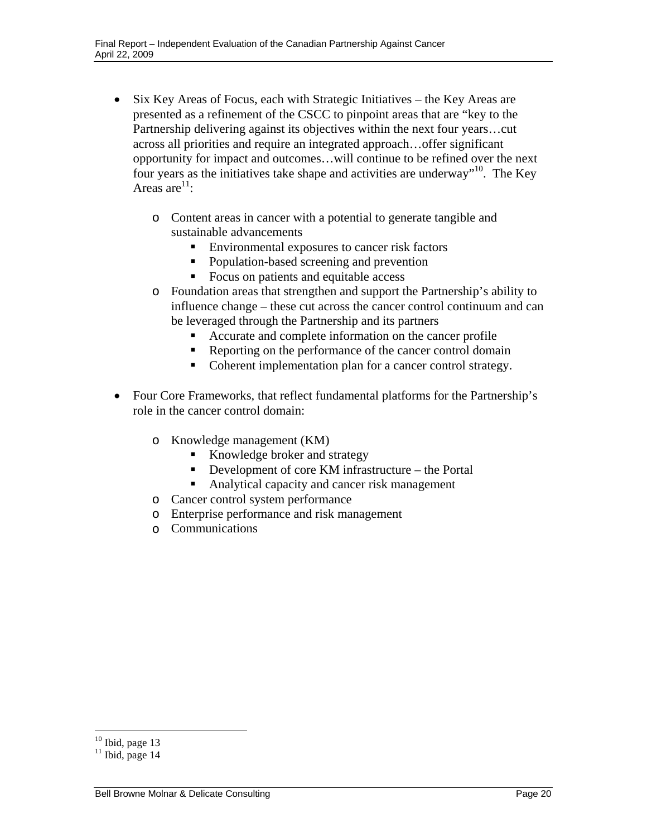- Six Key Areas of Focus, each with Strategic Initiatives the Key Areas are presented as a refinement of the CSCC to pinpoint areas that are "key to the Partnership delivering against its objectives within the next four years…cut across all priorities and require an integrated approach…offer significant opportunity for impact and outcomes…will continue to be refined over the next four years as the initiatives take shape and activities are underway"<sup>10</sup>. The Key Areas are $^{11}$ :
	- o Content areas in cancer with a potential to generate tangible and sustainable advancements
		- Environmental exposures to cancer risk factors
		- Population-based screening and prevention
		- Focus on patients and equitable access
	- o Foundation areas that strengthen and support the Partnership's ability to influence change – these cut across the cancer control continuum and can be leveraged through the Partnership and its partners
		- Accurate and complete information on the cancer profile
		- Reporting on the performance of the cancer control domain
		- Coherent implementation plan for a cancer control strategy.
- Four Core Frameworks, that reflect fundamental platforms for the Partnership's role in the cancer control domain:
	- o Knowledge management (KM)
		- Knowledge broker and strategy
		- Development of core KM infrastructure the Portal
		- Analytical capacity and cancer risk management
	- o Cancer control system performance
	- o Enterprise performance and risk management
	- o Communications

 $10$  Ibid, page 13

 $11$  Ibid, page 14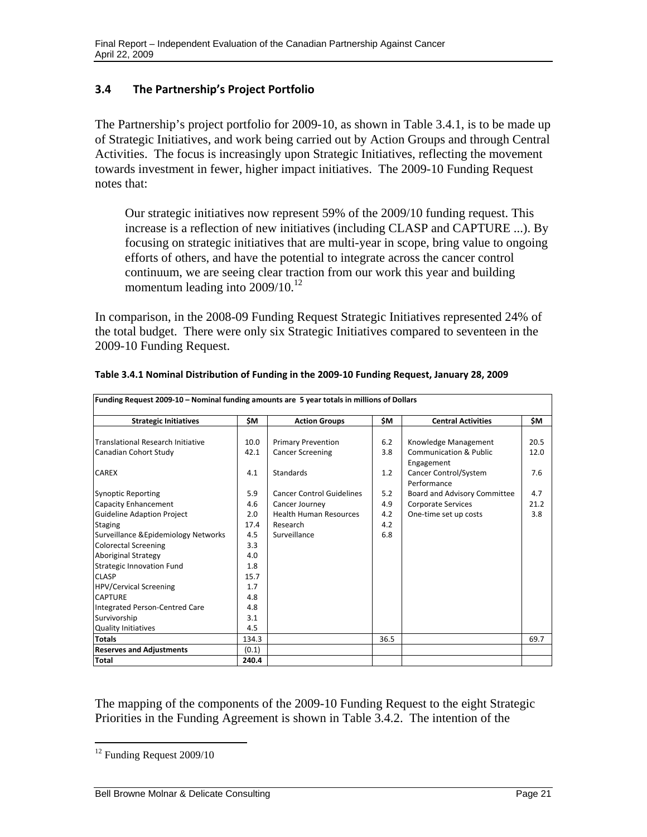#### <span id="page-23-0"></span> **3.4 The Partnership's Project Portfolio**

The Partnership's project portfolio for 2009-10, as shown in Table 3.4.1, is to be made up of Strategic Initiatives, and work being carried out by Action Groups and through Central Activities. The focus is increasingly upon Strategic Initiatives, reflecting the movement towards investment in fewer, higher impact initiatives. The 2009-10 Funding Request notes that:

Our strategic initiatives now represent 59% of the 2009/10 funding request. This increase is a reflection of new initiatives (including CLASP and CAPTURE ...). By focusing on strategic initiatives that are multi-year in scope, bring value to ongoing efforts of others, and have the potential to integrate across the cancer control continuum, we are seeing clear traction from our work this year and building momentum leading into 2009/10.<sup>12</sup>

In comparison, in the 2008-09 Funding Request Strategic Initiatives represented 24% of the total budget. There were only six Strategic Initiatives compared to seventeen in the 2009-10 Funding Request.

| Funding Request 2009-10 - Nominal funding amounts are 5 year totals in millions of Dollars |       |                                  |      |                                                 |      |  |  |  |  |
|--------------------------------------------------------------------------------------------|-------|----------------------------------|------|-------------------------------------------------|------|--|--|--|--|
| <b>Strategic Initiatives</b>                                                               | \$Μ   | <b>Action Groups</b>             | \$Μ  | <b>Central Activities</b>                       | \$M  |  |  |  |  |
|                                                                                            |       |                                  |      |                                                 |      |  |  |  |  |
| Translational Research Initiative                                                          | 10.0  | <b>Primary Prevention</b>        | 6.2  | Knowledge Management                            | 20.5 |  |  |  |  |
| Canadian Cohort Study                                                                      | 42.1  | <b>Cancer Screening</b>          | 3.8  | <b>Communication &amp; Public</b><br>Engagement | 12.0 |  |  |  |  |
| <b>CAREX</b>                                                                               | 4.1   | <b>Standards</b>                 | 1.2  | Cancer Control/System<br>Performance            | 7.6  |  |  |  |  |
| <b>Synoptic Reporting</b>                                                                  | 5.9   | <b>Cancer Control Guidelines</b> | 5.2  | Board and Advisory Committee                    | 4.7  |  |  |  |  |
| Capacity Enhancement                                                                       | 4.6   | Cancer Journey                   | 4.9  | <b>Corporate Services</b>                       | 21.2 |  |  |  |  |
| <b>Guideline Adaption Project</b>                                                          | 2.0   | <b>Health Human Resources</b>    | 4.2  | One-time set up costs                           | 3.8  |  |  |  |  |
| <b>Staging</b>                                                                             | 17.4  | Research                         | 4.2  |                                                 |      |  |  |  |  |
| Surveillance & Epidemiology Networks                                                       | 4.5   | Surveillance                     | 6.8  |                                                 |      |  |  |  |  |
| <b>Colorectal Screening</b>                                                                | 3.3   |                                  |      |                                                 |      |  |  |  |  |
| Aboriginal Strategy                                                                        | 4.0   |                                  |      |                                                 |      |  |  |  |  |
| <b>Strategic Innovation Fund</b>                                                           | 1.8   |                                  |      |                                                 |      |  |  |  |  |
| <b>CLASP</b>                                                                               | 15.7  |                                  |      |                                                 |      |  |  |  |  |
| <b>HPV/Cervical Screening</b>                                                              | 1.7   |                                  |      |                                                 |      |  |  |  |  |
| <b>CAPTURE</b>                                                                             | 4.8   |                                  |      |                                                 |      |  |  |  |  |
| Integrated Person-Centred Care                                                             | 4.8   |                                  |      |                                                 |      |  |  |  |  |
| Survivorship                                                                               | 3.1   |                                  |      |                                                 |      |  |  |  |  |
| <b>Quality Initiatives</b>                                                                 | 4.5   |                                  |      |                                                 |      |  |  |  |  |
| <b>Totals</b>                                                                              | 134.3 |                                  | 36.5 |                                                 | 69.7 |  |  |  |  |
| <b>Reserves and Adjustments</b>                                                            | (0.1) |                                  |      |                                                 |      |  |  |  |  |
| <b>Total</b>                                                                               | 240.4 |                                  |      |                                                 |      |  |  |  |  |

| Table 3.4.1 Nominal Distribution of Funding in the 2009-10 Funding Request, January 28, 2009 |  |  |  |
|----------------------------------------------------------------------------------------------|--|--|--|
|                                                                                              |  |  |  |

The mapping of the components of the 2009-10 Funding Request to the eight Strategic Priorities in the Funding Agreement is shown in Table 3.4.2. The intention of the

<sup>&</sup>lt;sup>12</sup> Funding Request 2009/10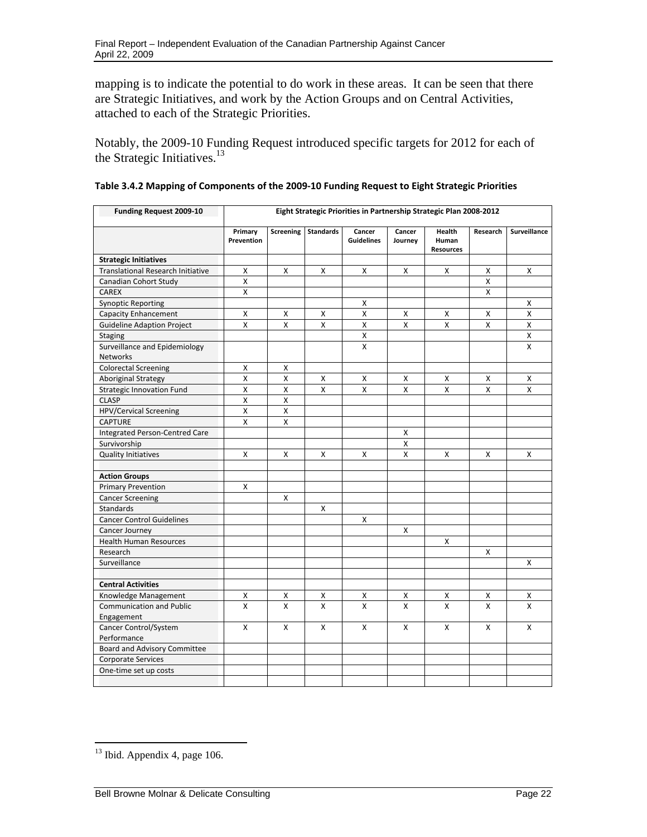mapping is to indicate the potential to do work in these areas. It can be seen that there are Strategic Initiatives, and work by the Action Groups and on Central Activities, attached to each of the Strategic Priorities.

Notably, the 2009-10 Funding Request introduced specific targets for 2012 for each of the Strategic Initiatives.<sup>13</sup>

| <b>Funding Request 2009-10</b>                   | Eight Strategic Priorities in Partnership Strategic Plan 2008-2012 |                    |                  |                             |                   |                                     |          |              |
|--------------------------------------------------|--------------------------------------------------------------------|--------------------|------------------|-----------------------------|-------------------|-------------------------------------|----------|--------------|
|                                                  | Primary<br>Prevention                                              | Screening          | <b>Standards</b> | Cancer<br><b>Guidelines</b> | Cancer<br>Journey | Health<br>Human<br><b>Resources</b> | Research | Surveillance |
| <b>Strategic Initiatives</b>                     |                                                                    |                    |                  |                             |                   |                                     |          |              |
| <b>Translational Research Initiative</b>         | X                                                                  | X                  | X                | X                           | X                 | X                                   | X        | x            |
| Canadian Cohort Study                            | $\mathsf{x}$                                                       |                    |                  |                             |                   |                                     | X        |              |
| <b>CAREX</b>                                     | X                                                                  |                    |                  |                             |                   |                                     | X        |              |
| <b>Synoptic Reporting</b>                        |                                                                    |                    |                  | X                           |                   |                                     |          | x            |
| <b>Capacity Enhancement</b>                      | X                                                                  | х                  | X                | X                           | X                 | x                                   | х        | x            |
| <b>Guideline Adaption Project</b>                | $\mathsf{x}$                                                       | X                  | $\mathsf{x}$     | $\pmb{\times}$              | X                 | X                                   | X        | X            |
| <b>Staging</b>                                   |                                                                    |                    |                  | X                           |                   |                                     |          | x            |
| Surveillance and Epidemiology<br><b>Networks</b> |                                                                    |                    |                  | $\mathsf{x}$                |                   |                                     |          | X            |
| <b>Colorectal Screening</b>                      | X                                                                  | X                  |                  |                             |                   |                                     |          |              |
| Aboriginal Strategy                              | $\mathsf{x}$                                                       | X                  | X                | X                           | X                 | X                                   | X        | x            |
| <b>Strategic Innovation Fund</b>                 | $\pmb{\times}$                                                     | X                  | X                | X                           | $\mathsf{x}$      | X                                   | X        | X            |
| <b>CLASP</b>                                     | $\pmb{\mathsf{X}}$                                                 | $\pmb{\mathsf{X}}$ |                  |                             |                   |                                     |          |              |
| HPV/Cervical Screening                           | X                                                                  | X                  |                  |                             |                   |                                     |          |              |
| <b>CAPTURE</b>                                   | X                                                                  | X                  |                  |                             |                   |                                     |          |              |
| <b>Integrated Person-Centred Care</b>            |                                                                    |                    |                  |                             | X                 |                                     |          |              |
| Survivorship                                     |                                                                    |                    |                  |                             | Χ                 |                                     |          |              |
| <b>Quality Initiatives</b>                       | X                                                                  | X                  | X                | X                           | X                 | X                                   | X        | X            |
| <b>Action Groups</b>                             |                                                                    |                    |                  |                             |                   |                                     |          |              |
| <b>Primary Prevention</b>                        | Χ                                                                  |                    |                  |                             |                   |                                     |          |              |
| <b>Cancer Screening</b>                          |                                                                    | X                  |                  |                             |                   |                                     |          |              |
| <b>Standards</b>                                 |                                                                    |                    | X                |                             |                   |                                     |          |              |
| <b>Cancer Control Guidelines</b>                 |                                                                    |                    |                  | X                           |                   |                                     |          |              |
| Cancer Journey                                   |                                                                    |                    |                  |                             | X                 |                                     |          |              |
| <b>Health Human Resources</b>                    |                                                                    |                    |                  |                             |                   | х                                   |          |              |
| Research                                         |                                                                    |                    |                  |                             |                   |                                     | X        |              |
| Surveillance                                     |                                                                    |                    |                  |                             |                   |                                     |          | X            |
|                                                  |                                                                    |                    |                  |                             |                   |                                     |          |              |
| <b>Central Activities</b>                        |                                                                    |                    |                  |                             |                   |                                     |          |              |
| Knowledge Management                             | X                                                                  | x                  | X                | х                           | х                 | x                                   | х        | X            |
| <b>Communication and Public</b><br>Engagement    | X                                                                  | X                  | X                | $\mathsf{x}$                | $\mathsf{x}$      | $\mathsf{x}$                        | X        | x            |
| Cancer Control/System<br>Performance             | X                                                                  | X                  | X                | $\mathsf{x}$                | X                 | $\mathsf{x}$                        | X        | X            |
| <b>Board and Advisory Committee</b>              |                                                                    |                    |                  |                             |                   |                                     |          |              |
| <b>Corporate Services</b>                        |                                                                    |                    |                  |                             |                   |                                     |          |              |
| One-time set up costs                            |                                                                    |                    |                  |                             |                   |                                     |          |              |
|                                                  |                                                                    |                    |                  |                             |                   |                                     |          |              |

| Table 3.4.2 Mapping of Components of the 2009-10 Funding Request to Eight Strategic Priorities |  |
|------------------------------------------------------------------------------------------------|--|
|------------------------------------------------------------------------------------------------|--|

 $13$  Ibid. Appendix 4, page 106.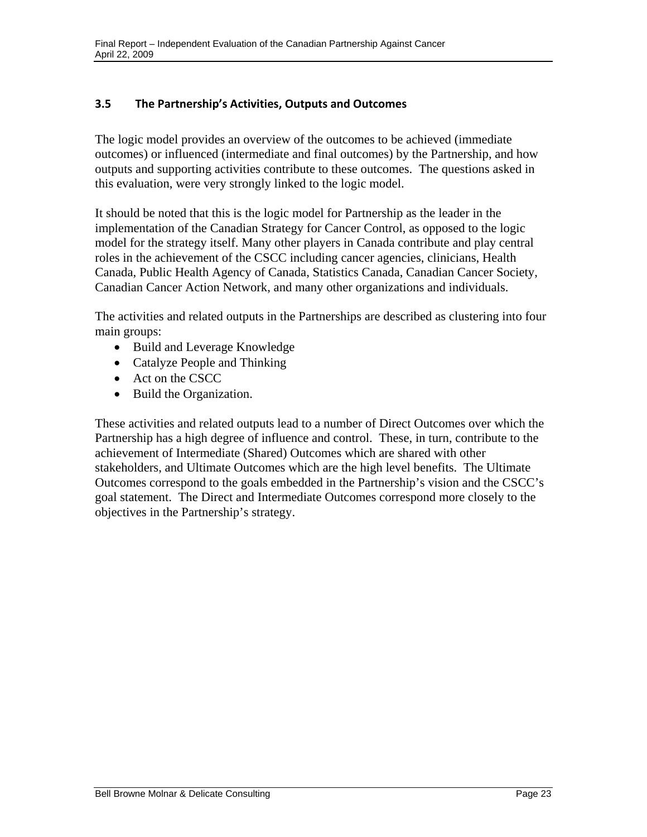#### <span id="page-25-0"></span> **3.5 The Partnership's Activities, Outputs and Outcomes**

The logic model provides an overview of the outcomes to be achieved (immediate outcomes) or influenced (intermediate and final outcomes) by the Partnership, and how outputs and supporting activities contribute to these outcomes. The questions asked in this evaluation, were very strongly linked to the logic model.

It should be noted that this is the logic model for Partnership as the leader in the implementation of the Canadian Strategy for Cancer Control, as opposed to the logic model for the strategy itself. Many other players in Canada contribute and play central roles in the achievement of the CSCC including cancer agencies, clinicians, Health Canada, Public Health Agency of Canada, Statistics Canada, Canadian Cancer Society, Canadian Cancer Action Network, and many other organizations and individuals.

The activities and related outputs in the Partnerships are described as clustering into four main groups:

- Build and Leverage Knowledge
- Catalyze People and Thinking
- Act on the CSCC
- Build the Organization.

These activities and related outputs lead to a number of Direct Outcomes over which the Partnership has a high degree of influence and control. These, in turn, contribute to the achievement of Intermediate (Shared) Outcomes which are shared with other stakeholders, and Ultimate Outcomes which are the high level benefits. The Ultimate Outcomes correspond to the goals embedded in the Partnership's vision and the CSCC's goal statement. The Direct and Intermediate Outcomes correspond more closely to the objectives in the Partnership's strategy.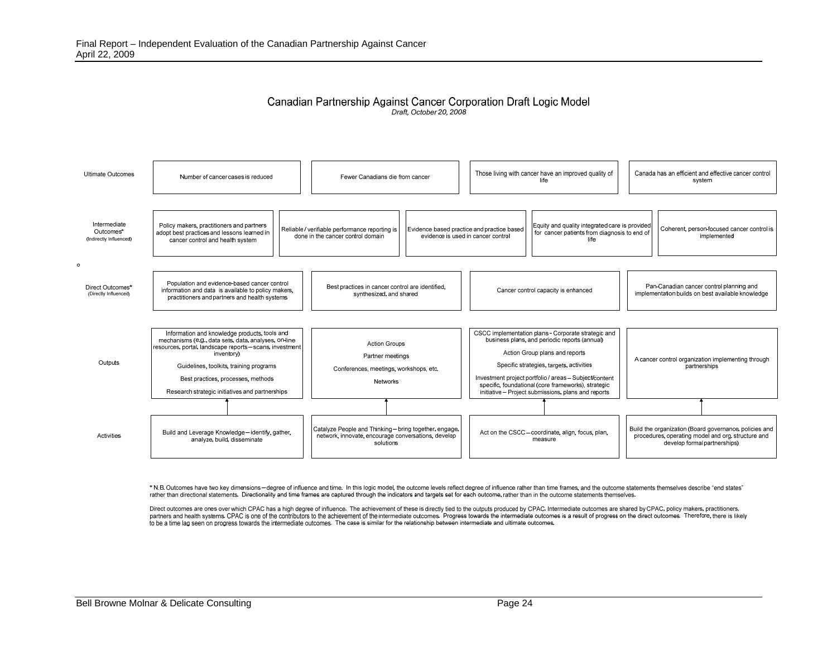#### Canadian Partnership Against Cancer Corporation Draft Logic Model Draft, October 20, 2008



\* N.B. Outcomes have two key dimensions - degree of influence and time. In this logic model, the outcome levels reflect degree of influence rather than time frames, and the outcome statements themselves describe "end state rather than directional statements. Directionality and time frames are captured through the indicators and targets set for each outcome, rather than in the outcome statements themselves.

Direct outcomes are ones over which CPAC has a high degree of influence. The achievement of these is directly tied to the outputs produced by CPAC. Intermediate outcomes are shared by CPAC, policy makers, practitioners, partners and health systems. CPAC is one of the contributors to the achievement of the intermediate outcomes. Progress towards the intermediate outcomes is a result of progress on the direct outcomes. Therefore, there is l to be a time lag seen on progress towards the intermediate outcomes. The case is similar for the relationship between intermediate and ultimate outcomes.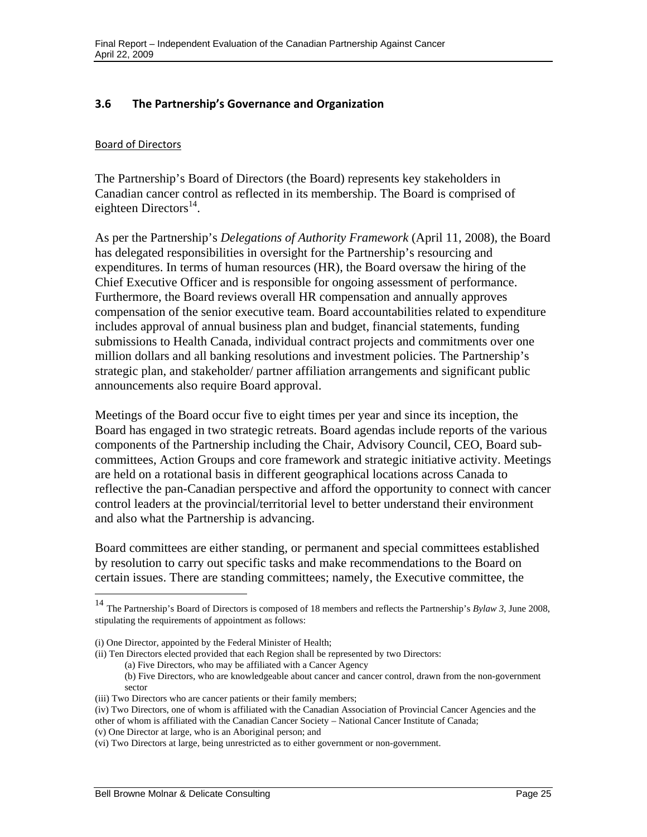#### <span id="page-27-0"></span> **3.6 The Partnership's Governance and Organization**

#### Board of Directors

The Partnership's Board of Directors (the Board) represents key stakeholders in Canadian cancer control as reflected in its membership. The Board is comprised of eighteen Directors $^{14}$ .

As per the Partnership's *Delegations of Authority Framework* (April 11, 2008), the Board has delegated responsibilities in oversight for the Partnership's resourcing and expenditures. In terms of human resources (HR), the Board oversaw the hiring of the Chief Executive Officer and is responsible for ongoing assessment of performance. Furthermore, the Board reviews overall HR compensation and annually approves compensation of the senior executive team. Board accountabilities related to expenditure includes approval of annual business plan and budget, financial statements, funding submissions to Health Canada, individual contract projects and commitments over one million dollars and all banking resolutions and investment policies. The Partnership's strategic plan, and stakeholder/ partner affiliation arrangements and significant public announcements also require Board approval.

Meetings of the Board occur five to eight times per year and since its inception, the Board has engaged in two strategic retreats. Board agendas include reports of the various components of the Partnership including the Chair, Advisory Council, CEO, Board subcommittees, Action Groups and core framework and strategic initiative activity. Meetings are held on a rotational basis in different geographical locations across Canada to reflective the pan-Canadian perspective and afford the opportunity to connect with cancer control leaders at the provincial/territorial level to better understand their environment and also what the Partnership is advancing.

Board committees are either standing, or permanent and special committees established by resolution to carry out specific tasks and make recommendations to the Board on certain issues. There are standing committees; namely, the Executive committee, the

<sup>14</sup> The Partnership's Board of Directors is composed of 18 members and reflects the Partnership's *Bylaw 3*, June 2008, stipulating the requirements of appointment as follows:

<sup>(</sup>i) One Director, appointed by the Federal Minister of Health;

<sup>(</sup>ii) Ten Directors elected provided that each Region shall be represented by two Directors:

<sup>(</sup>a) Five Directors, who may be affiliated with a Cancer Agency

<sup>(</sup>b) Five Directors, who are knowledgeable about cancer and cancer control, drawn from the non-government sector

<sup>(</sup>iii) Two Directors who are cancer patients or their family members;

<sup>(</sup>iv) Two Directors, one of whom is affiliated with the Canadian Association of Provincial Cancer Agencies and the other of whom is affiliated with the Canadian Cancer Society – National Cancer Institute of Canada;

<sup>(</sup>v) One Director at large, who is an Aboriginal person; and

<sup>(</sup>vi) Two Directors at large, being unrestricted as to either government or non-government.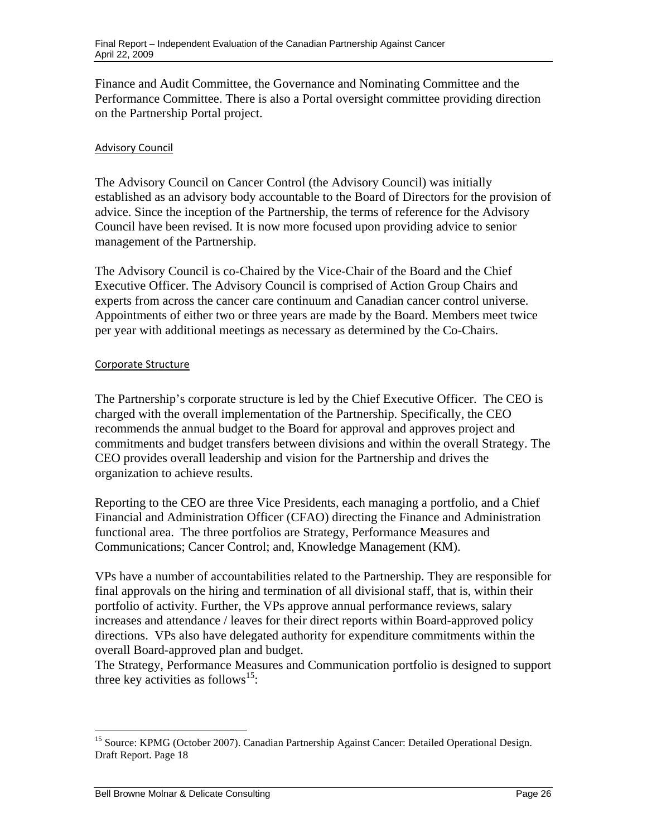Finance and Audit Committee, the Governance and Nominating Committee and the Performance Committee. There is also a Portal oversight committee providing direction on the Partnership Portal project.

#### Advisory Council

The Advisory Council on Cancer Control (the Advisory Council) was initially established as an advisory body accountable to the Board of Directors for the provision of advice. Since the inception of the Partnership, the terms of reference for the Advisory Council have been revised. It is now more focused upon providing advice to senior management of the Partnership.

The Advisory Council is co-Chaired by the Vice-Chair of the Board and the Chief Executive Officer. The Advisory Council is comprised of Action Group Chairs and experts from across the cancer care continuum and Canadian cancer control universe. Appointments of either two or three years are made by the Board. Members meet twice per year with additional meetings as necessary as determined by the Co-Chairs.

#### Corporate Structure

The Partnership's corporate structure is led by the Chief Executive Officer. The CEO is charged with the overall implementation of the Partnership. Specifically, the CEO recommends the annual budget to the Board for approval and approves project and commitments and budget transfers between divisions and within the overall Strategy. The CEO provides overall leadership and vision for the Partnership and drives the organization to achieve results.

Reporting to the CEO are three Vice Presidents, each managing a portfolio, and a Chief Financial and Administration Officer (CFAO) directing the Finance and Administration functional area. The three portfolios are Strategy, Performance Measures and Communications; Cancer Control; and, Knowledge Management (KM).

VPs have a number of accountabilities related to the Partnership. They are responsible for final approvals on the hiring and termination of all divisional staff, that is, within their portfolio of activity. Further, the VPs approve annual performance reviews, salary increases and attendance / leaves for their direct reports within Board-approved policy directions. VPs also have delegated authority for expenditure commitments within the overall Board-approved plan and budget.

The Strategy, Performance Measures and Communication portfolio is designed to support three key activities as follows<sup>15</sup>:

 $\overline{a}$ <sup>15</sup> Source: KPMG (October 2007). Canadian Partnership Against Cancer: Detailed Operational Design. Draft Report. Page 18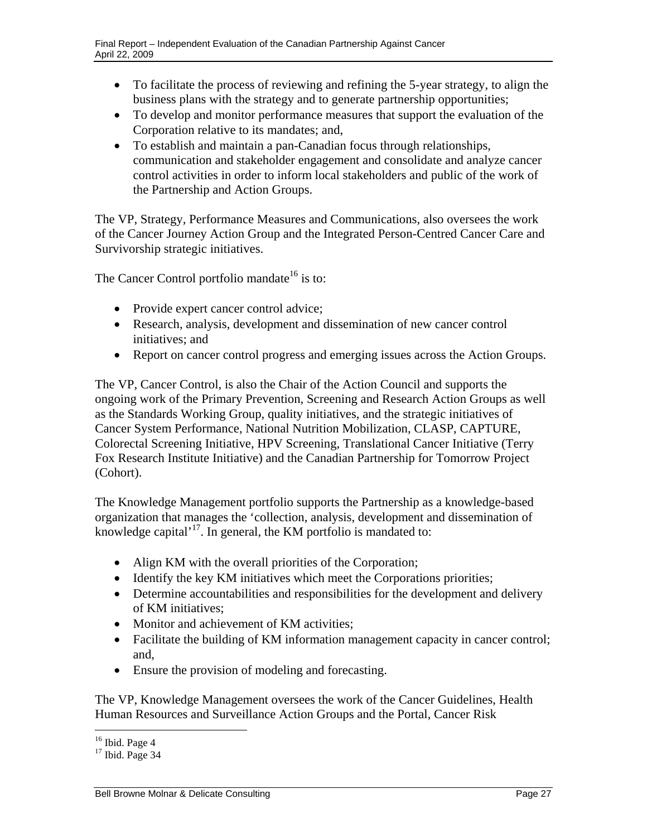- To facilitate the process of reviewing and refining the 5-year strategy, to align the business plans with the strategy and to generate partnership opportunities;
- To develop and monitor performance measures that support the evaluation of the Corporation relative to its mandates; and,
- To establish and maintain a pan-Canadian focus through relationships, communication and stakeholder engagement and consolidate and analyze cancer control activities in order to inform local stakeholders and public of the work of the Partnership and Action Groups.

The VP, Strategy, Performance Measures and Communications, also oversees the work of the Cancer Journey Action Group and the Integrated Person-Centred Cancer Care and Survivorship strategic initiatives.

The Cancer Control portfolio mandate<sup>16</sup> is to:

- Provide expert cancer control advice;
- Research, analysis, development and dissemination of new cancer control initiatives; and
- Report on cancer control progress and emerging issues across the Action Groups.

The VP, Cancer Control, is also the Chair of the Action Council and supports the ongoing work of the Primary Prevention, Screening and Research Action Groups as well as the Standards Working Group, quality initiatives, and the strategic initiatives of Cancer System Performance, National Nutrition Mobilization, CLASP, CAPTURE, Colorectal Screening Initiative, HPV Screening, Translational Cancer Initiative (Terry Fox Research Institute Initiative) and the Canadian Partnership for Tomorrow Project (Cohort).

The Knowledge Management portfolio supports the Partnership as a knowledge-based organization that manages the 'collection, analysis, development and dissemination of knowledge capital'<sup>17</sup>. In general, the KM portfolio is mandated to:

- Align KM with the overall priorities of the Corporation;
- Identify the key KM initiatives which meet the Corporations priorities;
- Determine accountabilities and responsibilities for the development and delivery of KM initiatives;
- Monitor and achievement of KM activities:
- Facilitate the building of KM information management capacity in cancer control; and,
- Ensure the provision of modeling and forecasting.

The VP, Knowledge Management oversees the work of the Cancer Guidelines, Health Human Resources and Surveillance Action Groups and the Portal, Cancer Risk

 $\overline{a}$  $16$  Ibid. Page 4

 $17$  Ibid. Page 34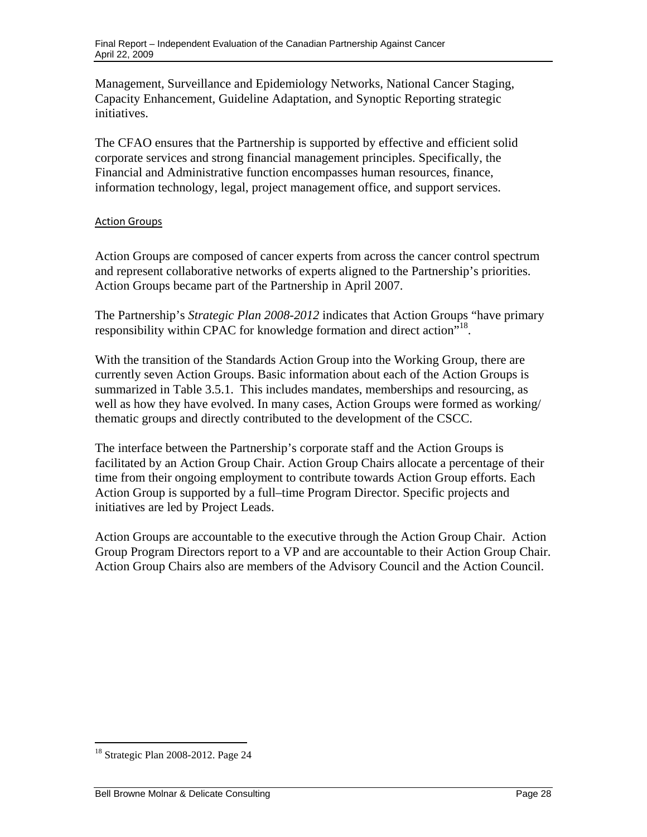Management, Surveillance and Epidemiology Networks, National Cancer Staging, Capacity Enhancement, Guideline Adaptation, and Synoptic Reporting strategic initiatives.

The CFAO ensures that the Partnership is supported by effective and efficient solid corporate services and strong financial management principles. Specifically, the Financial and Administrative function encompasses human resources, finance, information technology, legal, project management office, and support services.

#### Action Groups

Action Groups are composed of cancer experts from across the cancer control spectrum and represent collaborative networks of experts aligned to the Partnership's priorities. Action Groups became part of the Partnership in April 2007.

The Partnership's *Strategic Plan 2008-2012* indicates that Action Groups "have primary responsibility within CPAC for knowledge formation and direct action<sup>718</sup>.

With the transition of the Standards Action Group into the Working Group, there are currently seven Action Groups. Basic information about each of the Action Groups is summarized in Table 3.5.1. This includes mandates, memberships and resourcing, as well as how they have evolved. In many cases, Action Groups were formed as working/ thematic groups and directly contributed to the development of the CSCC.

The interface between the Partnership's corporate staff and the Action Groups is facilitated by an Action Group Chair. Action Group Chairs allocate a percentage of their time from their ongoing employment to contribute towards Action Group efforts. Each Action Group is supported by a full–time Program Director. Specific projects and initiatives are led by Project Leads.

Action Groups are accountable to the executive through the Action Group Chair. Action Group Program Directors report to a VP and are accountable to their Action Group Chair. Action Group Chairs also are members of the Advisory Council and the Action Council.

<sup>18</sup> Strategic Plan 2008-2012. Page 24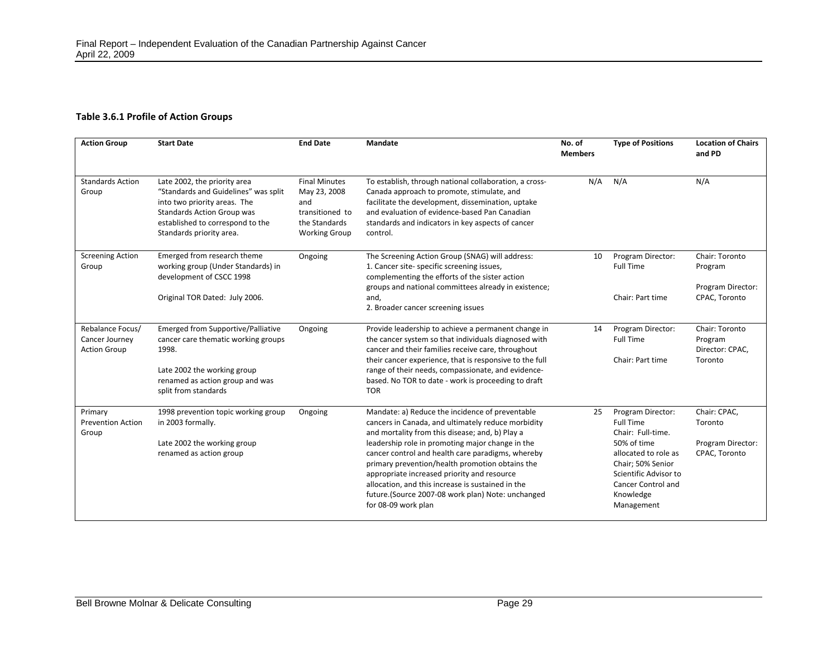#### **Table 3.6.1 Profile of Action Groups**

| <b>Action Group</b>                                       | <b>Start Date</b>                                                                                                                                                                                         | <b>End Date</b>                                                                                         | <b>Mandate</b>                                                                                                                                                                                                                                                                                                                                                                                                                                                                                       | No. of<br><b>Members</b> | <b>Type of Positions</b>                                                                                                                                                                                | <b>Location of Chairs</b><br>and PD                             |
|-----------------------------------------------------------|-----------------------------------------------------------------------------------------------------------------------------------------------------------------------------------------------------------|---------------------------------------------------------------------------------------------------------|------------------------------------------------------------------------------------------------------------------------------------------------------------------------------------------------------------------------------------------------------------------------------------------------------------------------------------------------------------------------------------------------------------------------------------------------------------------------------------------------------|--------------------------|---------------------------------------------------------------------------------------------------------------------------------------------------------------------------------------------------------|-----------------------------------------------------------------|
| <b>Standards Action</b><br>Group                          | Late 2002, the priority area<br>"Standards and Guidelines" was split<br>into two priority areas. The<br><b>Standards Action Group was</b><br>established to correspond to the<br>Standards priority area. | <b>Final Minutes</b><br>May 23, 2008<br>and<br>transitioned to<br>the Standards<br><b>Working Group</b> | To establish, through national collaboration, a cross-<br>Canada approach to promote, stimulate, and<br>facilitate the development, dissemination, uptake<br>and evaluation of evidence-based Pan Canadian<br>standards and indicators in key aspects of cancer<br>control.                                                                                                                                                                                                                          | N/A                      | N/A                                                                                                                                                                                                     | N/A                                                             |
| <b>Screening Action</b><br>Group                          | Emerged from research theme<br>working group (Under Standards) in<br>development of CSCC 1998<br>Original TOR Dated: July 2006.                                                                           | Ongoing                                                                                                 | The Screening Action Group (SNAG) will address:<br>1. Cancer site- specific screening issues,<br>complementing the efforts of the sister action<br>groups and national committees already in existence;<br>and,<br>2. Broader cancer screening issues                                                                                                                                                                                                                                                | 10                       | Program Director:<br>Full Time<br>Chair: Part time                                                                                                                                                      | Chair: Toronto<br>Program<br>Program Director:<br>CPAC, Toronto |
| Rebalance Focus/<br>Cancer Journey<br><b>Action Group</b> | <b>Emerged from Supportive/Palliative</b><br>cancer care thematic working groups<br>1998.<br>Late 2002 the working group<br>renamed as action group and was<br>split from standards                       | Ongoing                                                                                                 | Provide leadership to achieve a permanent change in<br>the cancer system so that individuals diagnosed with<br>cancer and their families receive care, throughout<br>their cancer experience, that is responsive to the full<br>range of their needs, compassionate, and evidence-<br>based. No TOR to date - work is proceeding to draft<br><b>TOR</b>                                                                                                                                              | 14                       | Program Director:<br>Full Time<br>Chair: Part time                                                                                                                                                      | Chair: Toronto<br>Program<br>Director: CPAC,<br>Toronto         |
| Primary<br><b>Prevention Action</b><br>Group              | 1998 prevention topic working group<br>in 2003 formally.<br>Late 2002 the working group<br>renamed as action group                                                                                        | Ongoing                                                                                                 | Mandate: a) Reduce the incidence of preventable<br>cancers in Canada, and ultimately reduce morbidity<br>and mortality from this disease; and, b) Play a<br>leadership role in promoting major change in the<br>cancer control and health care paradigms, whereby<br>primary prevention/health promotion obtains the<br>appropriate increased priority and resource<br>allocation, and this increase is sustained in the<br>future.(Source 2007-08 work plan) Note: unchanged<br>for 08-09 work plan | 25                       | Program Director:<br><b>Full Time</b><br>Chair: Full-time.<br>50% of time<br>allocated to role as<br>Chair; 50% Senior<br>Scientific Advisor to<br><b>Cancer Control and</b><br>Knowledge<br>Management | Chair: CPAC,<br>Toronto<br>Program Director:<br>CPAC, Toronto   |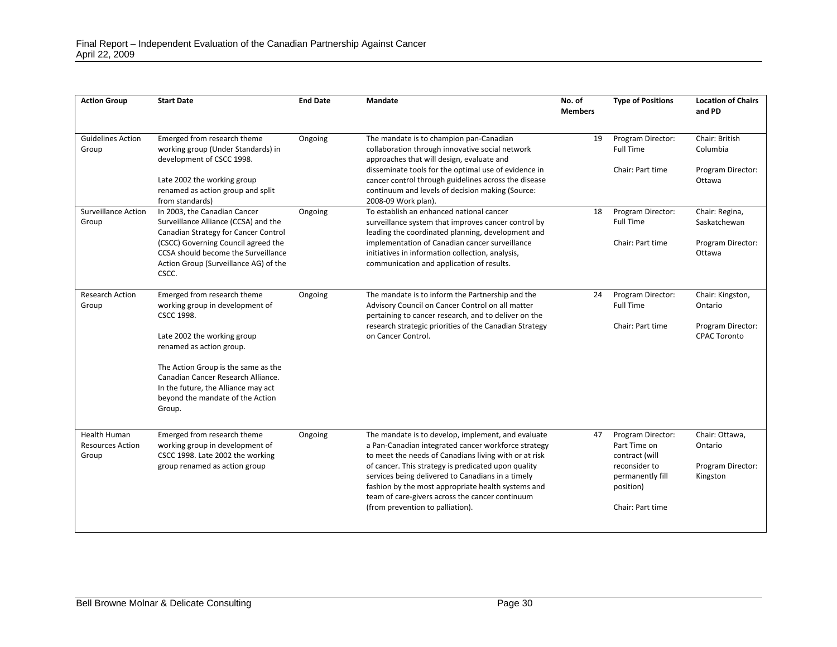| <b>Action Group</b>                                     | <b>Start Date</b>                                                                                                                                              | <b>End Date</b> | <b>Mandate</b>                                                                                                                                                                                                                                                                                                                                                                          | No. of<br><b>Members</b> | <b>Type of Positions</b>                                                                              | <b>Location of Chairs</b><br>and PD                        |
|---------------------------------------------------------|----------------------------------------------------------------------------------------------------------------------------------------------------------------|-----------------|-----------------------------------------------------------------------------------------------------------------------------------------------------------------------------------------------------------------------------------------------------------------------------------------------------------------------------------------------------------------------------------------|--------------------------|-------------------------------------------------------------------------------------------------------|------------------------------------------------------------|
| <b>Guidelines Action</b><br>Group                       | Emerged from research theme<br>working group (Under Standards) in<br>development of CSCC 1998.                                                                 | Ongoing         | The mandate is to champion pan-Canadian<br>collaboration through innovative social network<br>approaches that will design, evaluate and<br>disseminate tools for the optimal use of evidence in                                                                                                                                                                                         | 19                       | Program Director:<br><b>Full Time</b><br>Chair: Part time                                             | Chair: British<br>Columbia<br>Program Director:            |
|                                                         | Late 2002 the working group<br>renamed as action group and split<br>from standards)                                                                            |                 | cancer control through guidelines across the disease<br>continuum and levels of decision making (Source:<br>2008-09 Work plan).                                                                                                                                                                                                                                                         |                          |                                                                                                       | Ottawa                                                     |
| <b>Surveillance Action</b><br>Group                     | In 2003, the Canadian Cancer<br>Surveillance Alliance (CCSA) and the<br>Canadian Strategy for Cancer Control                                                   | Ongoing         | To establish an enhanced national cancer<br>surveillance system that improves cancer control by<br>leading the coordinated planning, development and                                                                                                                                                                                                                                    | 18                       | Program Director:<br><b>Full Time</b>                                                                 | Chair: Regina,<br>Saskatchewan                             |
|                                                         | (CSCC) Governing Council agreed the<br>CCSA should become the Surveillance<br>Action Group (Surveillance AG) of the<br>CSCC.                                   |                 | implementation of Canadian cancer surveillance<br>initiatives in information collection, analysis,<br>communication and application of results.                                                                                                                                                                                                                                         |                          | Chair: Part time                                                                                      | Program Director:<br>Ottawa                                |
| <b>Research Action</b><br>Group                         | Emerged from research theme<br>working group in development of<br><b>CSCC 1998.</b>                                                                            | Ongoing         | The mandate is to inform the Partnership and the<br>Advisory Council on Cancer Control on all matter<br>pertaining to cancer research, and to deliver on the<br>research strategic priorities of the Canadian Strategy                                                                                                                                                                  | 24                       | Program Director:<br><b>Full Time</b><br>Chair: Part time                                             | Chair: Kingston,<br>Ontario<br>Program Director:           |
|                                                         | Late 2002 the working group<br>renamed as action group.                                                                                                        |                 | on Cancer Control.                                                                                                                                                                                                                                                                                                                                                                      |                          |                                                                                                       | <b>CPAC Toronto</b>                                        |
|                                                         | The Action Group is the same as the<br>Canadian Cancer Research Alliance.<br>In the future, the Alliance may act<br>beyond the mandate of the Action<br>Group. |                 |                                                                                                                                                                                                                                                                                                                                                                                         |                          |                                                                                                       |                                                            |
| <b>Health Human</b><br><b>Resources Action</b><br>Group | Emerged from research theme<br>working group in development of<br>CSCC 1998. Late 2002 the working<br>group renamed as action group                            | Ongoing         | The mandate is to develop, implement, and evaluate<br>a Pan-Canadian integrated cancer workforce strategy<br>to meet the needs of Canadians living with or at risk<br>of cancer. This strategy is predicated upon quality<br>services being delivered to Canadians in a timely<br>fashion by the most appropriate health systems and<br>team of care-givers across the cancer continuum | 47                       | Program Director:<br>Part Time on<br>contract (will<br>reconsider to<br>permanently fill<br>position) | Chair: Ottawa,<br>Ontario<br>Program Director:<br>Kingston |
|                                                         |                                                                                                                                                                |                 | (from prevention to palliation).                                                                                                                                                                                                                                                                                                                                                        |                          | Chair: Part time                                                                                      |                                                            |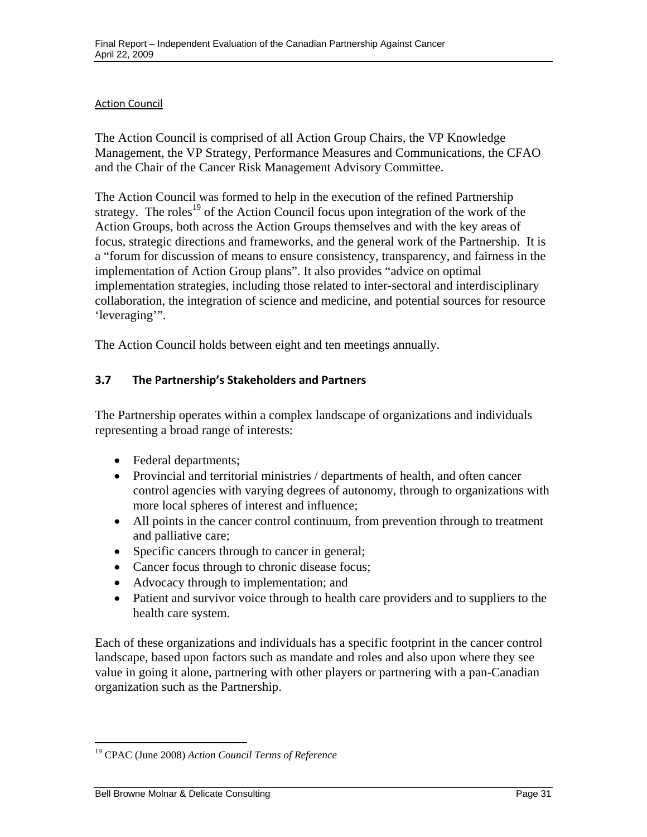#### <span id="page-33-0"></span>Action Council

The Action Council is comprised of all Action Group Chairs, the VP Knowledge Management, the VP Strategy, Performance Measures and Communications, the CFAO and the Chair of the Cancer Risk Management Advisory Committee.

The Action Council was formed to help in the execution of the refined Partnership strategy. The roles<sup>19</sup> of the Action Council focus upon integration of the work of the Action Groups, both across the Action Groups themselves and with the key areas of focus, strategic directions and frameworks, and the general work of the Partnership. It is a "forum for discussion of means to ensure consistency, transparency, and fairness in the implementation of Action Group plans". It also provides "advice on optimal implementation strategies, including those related to inter-sectoral and interdisciplinary collaboration, the integration of science and medicine, and potential sources for resource 'leveraging'".

The Action Council holds between eight and ten meetings annually.

### **3.7 The Partnership's Stakeholders and Partners**

The Partnership operates within a complex landscape of organizations and individuals representing a broad range of interests:

- Federal departments;
- Provincial and territorial ministries / departments of health, and often cancer control agencies with varying degrees of autonomy, through to organizations with more local spheres of interest and influence;
- All points in the cancer control continuum, from prevention through to treatment and palliative care;
- Specific cancers through to cancer in general;
- Cancer focus through to chronic disease focus;
- Advocacy through to implementation; and
- Patient and survivor voice through to health care providers and to suppliers to the health care system.

Each of these organizations and individuals has a specific footprint in the cancer control landscape, based upon factors such as mandate and roles and also upon where they see value in going it alone, partnering with other players or partnering with a pan-Canadian organization such as the Partnership.

1

<sup>19</sup> CPAC (June 2008) *Action Council Terms of Reference*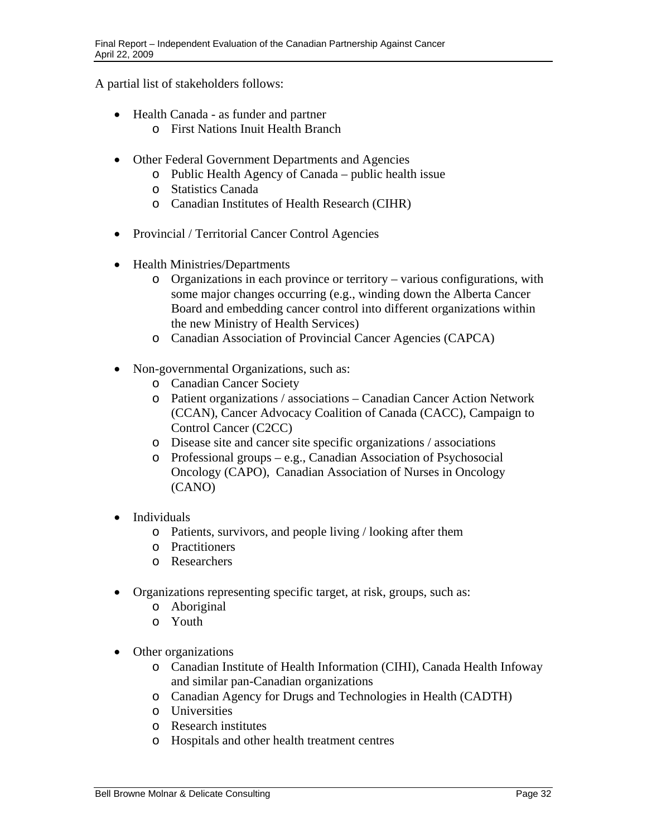A partial list of stakeholders follows:

- Health Canada as funder and partner
	- o First Nations Inuit Health Branch
- Other Federal Government Departments and Agencies
	- o Public Health Agency of Canada public health issue
	- o Statistics Canada
	- o Canadian Institutes of Health Research (CIHR)
- Provincial / Territorial Cancer Control Agencies
- Health Ministries/Departments
	- o Organizations in each province or territory various configurations, with some major changes occurring (e.g., winding down the Alberta Cancer Board and embedding cancer control into different organizations within the new Ministry of Health Services)
	- o Canadian Association of Provincial Cancer Agencies (CAPCA)
- Non-governmental Organizations, such as:
	- o Canadian Cancer Society
	- o Patient organizations / associations Canadian Cancer Action Network (CCAN), Cancer Advocacy Coalition of Canada (CACC), Campaign to Control Cancer (C2CC)
	- o Disease site and cancer site specific organizations / associations
	- $\circ$  Professional groups e.g., Canadian Association of Psychosocial Oncology (CAPO), Canadian Association of Nurses in Oncology (CANO)
- Individuals
	- o Patients, survivors, and people living / looking after them
	- o Practitioners
	- o Researchers
- Organizations representing specific target, at risk, groups, such as:
	- o Aboriginal
	- o Youth
- Other organizations
	- o Canadian Institute of Health Information (CIHI), Canada Health Infoway and similar pan-Canadian organizations
	- o Canadian Agency for Drugs and Technologies in Health (CADTH)
	- o Universities
	- o Research institutes
	- o Hospitals and other health treatment centres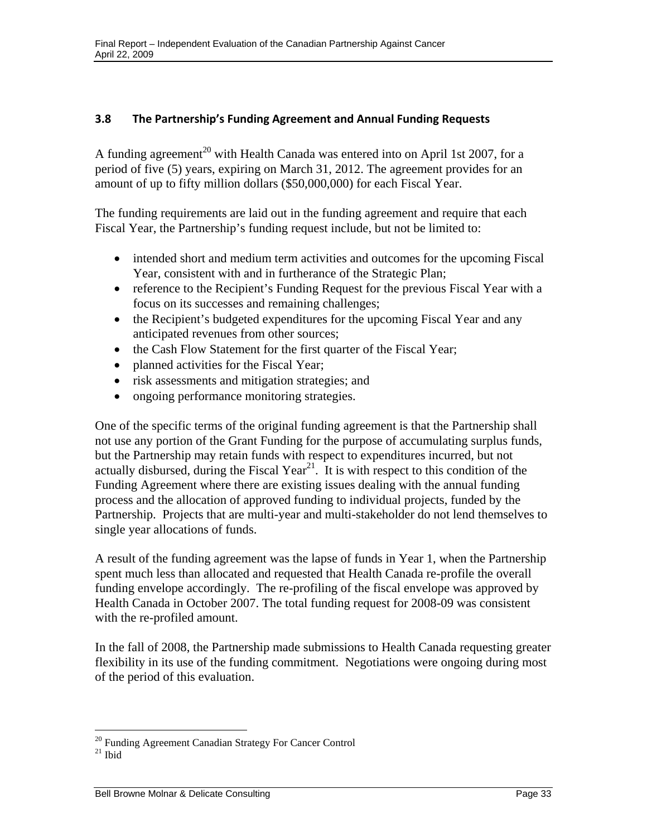#### <span id="page-35-0"></span> **3.8 The Partnership's Funding Agreement and Annual Funding Requests**

A funding agreement<sup>20</sup> with Health Canada was entered into on April 1st 2007, for a period of five (5) years, expiring on March 31, 2012. The agreement provides for an amount of up to fifty million dollars (\$50,000,000) for each Fiscal Year.

The funding requirements are laid out in the funding agreement and require that each Fiscal Year, the Partnership's funding request include, but not be limited to:

- intended short and medium term activities and outcomes for the upcoming Fiscal Year, consistent with and in furtherance of the Strategic Plan;
- reference to the Recipient's Funding Request for the previous Fiscal Year with a focus on its successes and remaining challenges;
- the Recipient's budgeted expenditures for the upcoming Fiscal Year and any anticipated revenues from other sources;
- the Cash Flow Statement for the first quarter of the Fiscal Year;
- planned activities for the Fiscal Year;
- risk assessments and mitigation strategies; and
- ongoing performance monitoring strategies.

One of the specific terms of the original funding agreement is that the Partnership shall not use any portion of the Grant Funding for the purpose of accumulating surplus funds, but the Partnership may retain funds with respect to expenditures incurred, but not actually disbursed, during the Fiscal Year<sup>21</sup>. It is with respect to this condition of the Funding Agreement where there are existing issues dealing with the annual funding process and the allocation of approved funding to individual projects, funded by the Partnership. Projects that are multi-year and multi-stakeholder do not lend themselves to single year allocations of funds.

A result of the funding agreement was the lapse of funds in Year 1, when the Partnership spent much less than allocated and requested that Health Canada re-profile the overall funding envelope accordingly. The re-profiling of the fiscal envelope was approved by Health Canada in October 2007. The total funding request for 2008-09 was consistent with the re-profiled amount.

In the fall of 2008, the Partnership made submissions to Health Canada requesting greater flexibility in its use of the funding commitment. Negotiations were ongoing during most of the period of this evaluation.

1

<sup>&</sup>lt;sup>20</sup> Funding Agreement Canadian Strategy For Cancer Control

 $21$  Ibid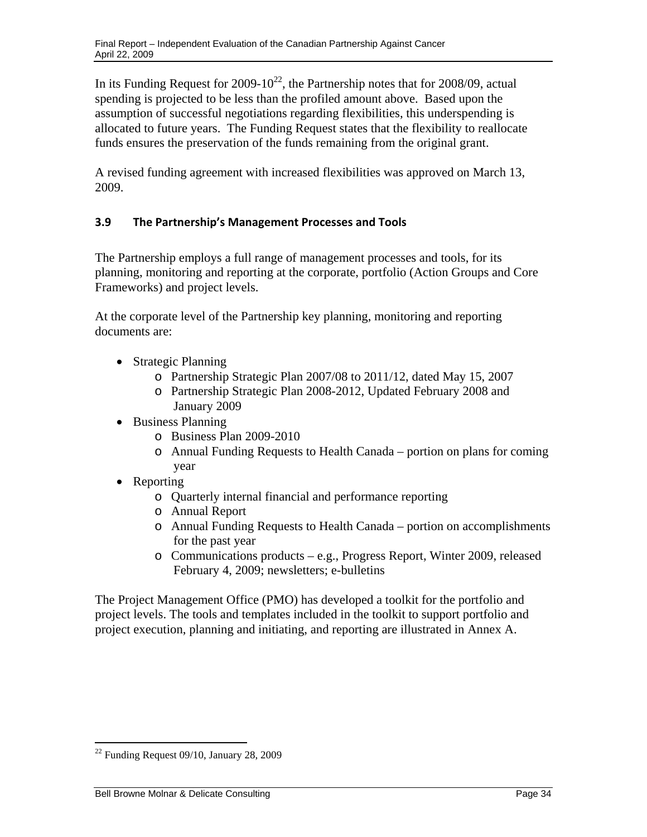In its Funding Request for  $2009-10^{22}$ , the Partnership notes that for  $2008/09$ , actual spending is projected to be less than the profiled amount above. Based upon the assumption of successful negotiations regarding flexibilities, this underspending is allocated to future years. The Funding Request states that the flexibility to reallocate funds ensures the preservation of the funds remaining from the original grant.

A revised funding agreement with increased flexibilities was approved on March 13, 2009.

# **3.9 The Partnership's Management Processes and Tools**

The Partnership employs a full range of management processes and tools, for its planning, monitoring and reporting at the corporate, portfolio (Action Groups and Core Frameworks) and project levels.

At the corporate level of the Partnership key planning, monitoring and reporting documents are:

- Strategic Planning
	- o Partnership Strategic Plan 2007/08 to 2011/12, dated May 15, 2007
	- o Partnership Strategic Plan 2008-2012, Updated February 2008 and January 2009
- Business Planning
	- o Business Plan 2009-2010
	- o Annual Funding Requests to Health Canada portion on plans for coming year
- Reporting
	- o Quarterly internal financial and performance reporting
	- o Annual Report
	- o Annual Funding Requests to Health Canada portion on accomplishments for the past year
	- o Communications products e.g., Progress Report, Winter 2009, released February 4, 2009; newsletters; e-bulletins

The Project Management Office (PMO) has developed a toolkit for the portfolio and project levels. The tools and templates included in the toolkit to support portfolio and project execution, planning and initiating, and reporting are illustrated in Annex A.

 $\overline{a}$ 

 $22$  Funding Request 09/10, January 28, 2009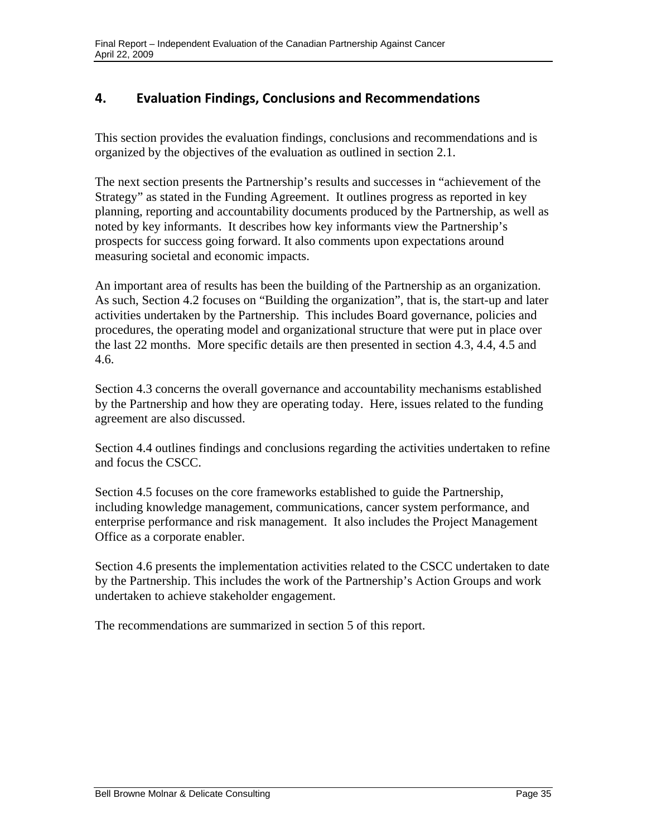# **4. Evaluation Findings, Conclusions and Recommendations**

This section provides the evaluation findings, conclusions and recommendations and is organized by the objectives of the evaluation as outlined in section 2.1.

The next section presents the Partnership's results and successes in "achievement of the Strategy" as stated in the Funding Agreement. It outlines progress as reported in key planning, reporting and accountability documents produced by the Partnership, as well as noted by key informants. It describes how key informants view the Partnership's prospects for success going forward. It also comments upon expectations around measuring societal and economic impacts.

An important area of results has been the building of the Partnership as an organization. As such, Section 4.2 focuses on "Building the organization", that is, the start-up and later activities undertaken by the Partnership. This includes Board governance, policies and procedures, the operating model and organizational structure that were put in place over the last 22 months. More specific details are then presented in section 4.3, 4.4, 4.5 and 4.6.

Section 4.3 concerns the overall governance and accountability mechanisms established by the Partnership and how they are operating today. Here, issues related to the funding agreement are also discussed.

Section 4.4 outlines findings and conclusions regarding the activities undertaken to refine and focus the CSCC.

Section 4.5 focuses on the core frameworks established to guide the Partnership, including knowledge management, communications, cancer system performance, and enterprise performance and risk management. It also includes the Project Management Office as a corporate enabler.

Section 4.6 presents the implementation activities related to the CSCC undertaken to date by the Partnership. This includes the work of the Partnership's Action Groups and work undertaken to achieve stakeholder engagement.

The recommendations are summarized in section 5 of this report.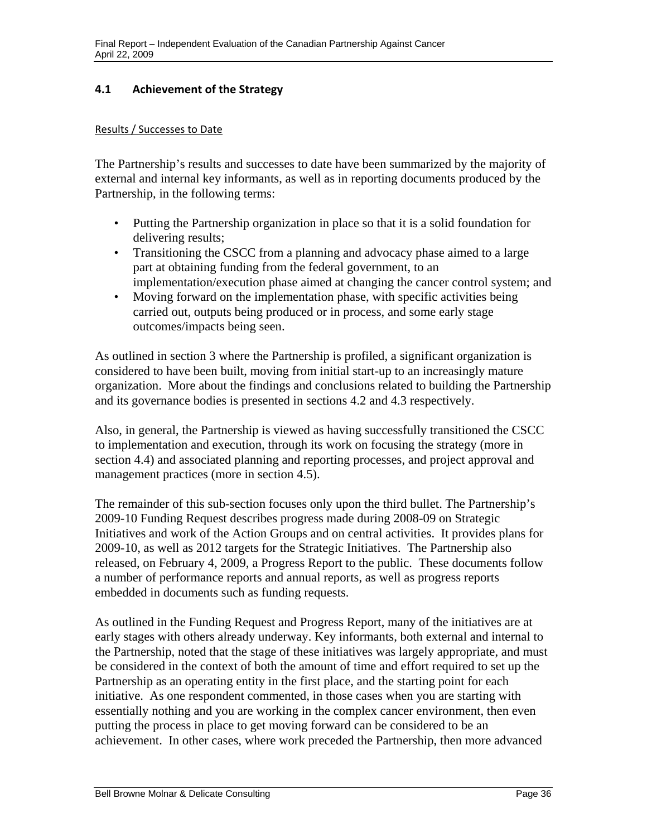## **4.1 Achievement of the Strategy**

#### Results / Successes to Date

The Partnership's results and successes to date have been summarized by the majority of external and internal key informants, as well as in reporting documents produced by the Partnership, in the following terms:

- Putting the Partnership organization in place so that it is a solid foundation for delivering results;
- Transitioning the CSCC from a planning and advocacy phase aimed to a large part at obtaining funding from the federal government, to an implementation/execution phase aimed at changing the cancer control system; and
- Moving forward on the implementation phase, with specific activities being carried out, outputs being produced or in process, and some early stage outcomes/impacts being seen.

As outlined in section 3 where the Partnership is profiled, a significant organization is considered to have been built, moving from initial start-up to an increasingly mature organization. More about the findings and conclusions related to building the Partnership and its governance bodies is presented in sections 4.2 and 4.3 respectively.

Also, in general, the Partnership is viewed as having successfully transitioned the CSCC to implementation and execution, through its work on focusing the strategy (more in section 4.4) and associated planning and reporting processes, and project approval and management practices (more in section 4.5).

The remainder of this sub-section focuses only upon the third bullet. The Partnership's 2009-10 Funding Request describes progress made during 2008-09 on Strategic Initiatives and work of the Action Groups and on central activities. It provides plans for 2009-10, as well as 2012 targets for the Strategic Initiatives. The Partnership also released, on February 4, 2009, a Progress Report to the public. These documents follow a number of performance reports and annual reports, as well as progress reports embedded in documents such as funding requests.

As outlined in the Funding Request and Progress Report, many of the initiatives are at early stages with others already underway. Key informants, both external and internal to the Partnership, noted that the stage of these initiatives was largely appropriate, and must be considered in the context of both the amount of time and effort required to set up the Partnership as an operating entity in the first place, and the starting point for each initiative. As one respondent commented, in those cases when you are starting with essentially nothing and you are working in the complex cancer environment, then even putting the process in place to get moving forward can be considered to be an achievement. In other cases, where work preceded the Partnership, then more advanced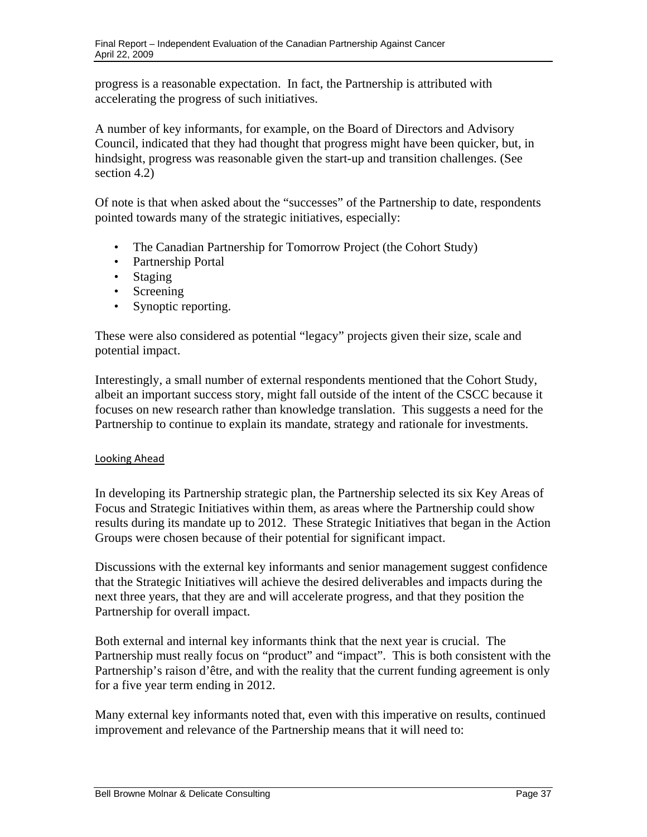progress is a reasonable expectation. In fact, the Partnership is attributed with accelerating the progress of such initiatives.

A number of key informants, for example, on the Board of Directors and Advisory Council, indicated that they had thought that progress might have been quicker, but, in hindsight, progress was reasonable given the start-up and transition challenges. (See section 4.2)

Of note is that when asked about the "successes" of the Partnership to date, respondents pointed towards many of the strategic initiatives, especially:

- The Canadian Partnership for Tomorrow Project (the Cohort Study)
- Partnership Portal
- Staging
- Screening
- Synoptic reporting.

These were also considered as potential "legacy" projects given their size, scale and potential impact.

Interestingly, a small number of external respondents mentioned that the Cohort Study, albeit an important success story, might fall outside of the intent of the CSCC because it focuses on new research rather than knowledge translation. This suggests a need for the Partnership to continue to explain its mandate, strategy and rationale for investments.

## Looking Ahead

In developing its Partnership strategic plan, the Partnership selected its six Key Areas of Focus and Strategic Initiatives within them, as areas where the Partnership could show results during its mandate up to 2012. These Strategic Initiatives that began in the Action Groups were chosen because of their potential for significant impact.

Discussions with the external key informants and senior management suggest confidence that the Strategic Initiatives will achieve the desired deliverables and impacts during the next three years, that they are and will accelerate progress, and that they position the Partnership for overall impact.

Both external and internal key informants think that the next year is crucial. The Partnership must really focus on "product" and "impact". This is both consistent with the Partnership's raison d'être, and with the reality that the current funding agreement is only for a five year term ending in 2012.

Many external key informants noted that, even with this imperative on results, continued improvement and relevance of the Partnership means that it will need to: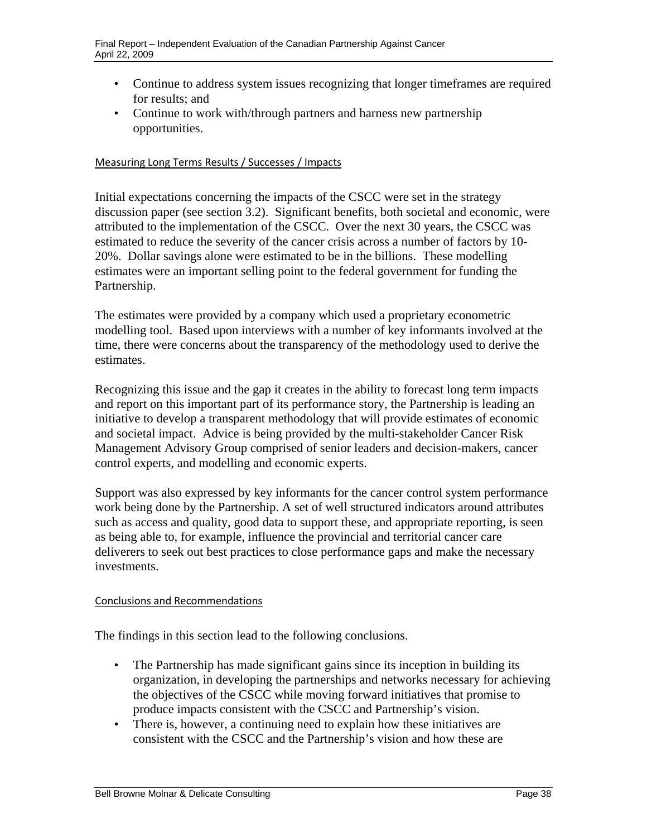- Continue to address system issues recognizing that longer timeframes are required for results; and
- Continue to work with/through partners and harness new partnership opportunities.

#### Measuring Long Terms Results / Successes / Impacts

Initial expectations concerning the impacts of the CSCC were set in the strategy discussion paper (see section 3.2). Significant benefits, both societal and economic, were attributed to the implementation of the CSCC. Over the next 30 years, the CSCC was estimated to reduce the severity of the cancer crisis across a number of factors by 10 20%. Dollar savings alone were estimated to be in the billions. These modelling estimates were an important selling point to the federal government for funding the Partnership.

The estimates were provided by a company which used a proprietary econometric modelling tool. Based upon interviews with a number of key informants involved at the time, there were concerns about the transparency of the methodology used to derive the estimates.

Recognizing this issue and the gap it creates in the ability to forecast long term impacts and report on this important part of its performance story, the Partnership is leading an initiative to develop a transparent methodology that will provide estimates of economic and societal impact. Advice is being provided by the multi-stakeholder Cancer Risk Management Advisory Group comprised of senior leaders and decision-makers, cancer control experts, and modelling and economic experts.

Support was also expressed by key informants for the cancer control system performance work being done by the Partnership. A set of well structured indicators around attributes such as access and quality, good data to support these, and appropriate reporting, is seen as being able to, for example, influence the provincial and territorial cancer care deliverers to seek out best practices to close performance gaps and make the necessary investments.

## Conclusions and Recommendations

The findings in this section lead to the following conclusions.

- The Partnership has made significant gains since its inception in building its organization, in developing the partnerships and networks necessary for achieving the objectives of the CSCC while moving forward initiatives that promise to produce impacts consistent with the CSCC and Partnership's vision.
- There is, however, a continuing need to explain how these initiatives are consistent with the CSCC and the Partnership's vision and how these are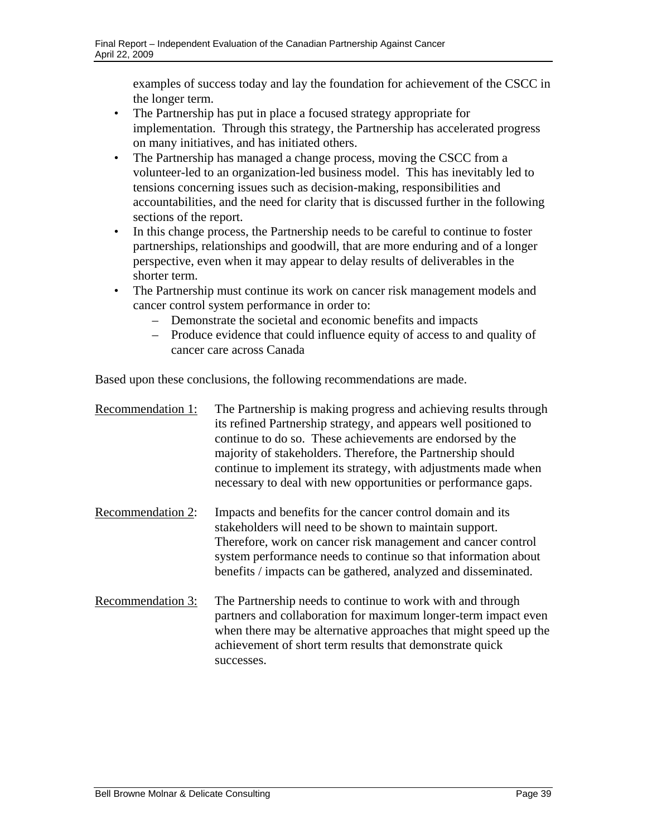examples of success today and lay the foundation for achievement of the CSCC in the longer term.

- The Partnership has put in place a focused strategy appropriate for implementation. Through this strategy, the Partnership has accelerated progress on many initiatives, and has initiated others.
- The Partnership has managed a change process, moving the CSCC from a volunteer-led to an organization-led business model. This has inevitably led to tensions concerning issues such as decision-making, responsibilities and accountabilities, and the need for clarity that is discussed further in the following sections of the report.
- In this change process, the Partnership needs to be careful to continue to foster partnerships, relationships and goodwill, that are more enduring and of a longer perspective, even when it may appear to delay results of deliverables in the shorter term.
- The Partnership must continue its work on cancer risk management models and cancer control system performance in order to:
	- – Demonstrate the societal and economic benefits and impacts
	- Produce evidence that could influence equity of access to and quality of cancer care across Canada

Based upon these conclusions, the following recommendations are made.

| Recommendation 1: | The Partnership is making progress and achieving results through<br>its refined Partnership strategy, and appears well positioned to<br>continue to do so. These achievements are endorsed by the<br>majority of stakeholders. Therefore, the Partnership should<br>continue to implement its strategy, with adjustments made when<br>necessary to deal with new opportunities or performance gaps. |
|-------------------|-----------------------------------------------------------------------------------------------------------------------------------------------------------------------------------------------------------------------------------------------------------------------------------------------------------------------------------------------------------------------------------------------------|
| Recommendation 2: | Impacts and benefits for the cancer control domain and its<br>stakeholders will need to be shown to maintain support.<br>Therefore, work on cancer risk management and cancer control<br>system performance needs to continue so that information about<br>benefits / impacts can be gathered, analyzed and disseminated.                                                                           |
| Recommendation 3: | The Partnership needs to continue to work with and through<br>partners and collaboration for maximum longer-term impact even<br>when there may be alternative approaches that might speed up the<br>achievement of short term results that demonstrate quick<br>successes.                                                                                                                          |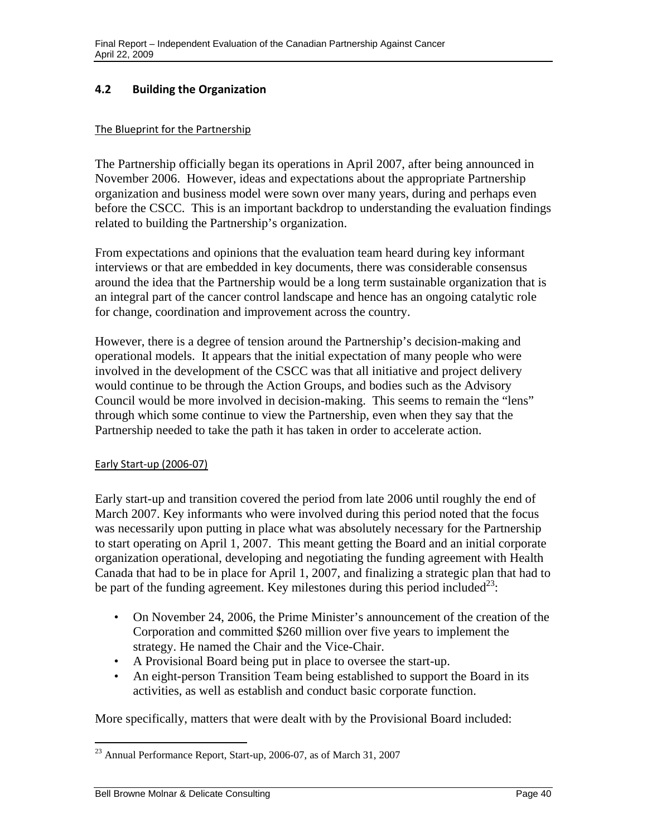# **4.2 Building the Organization**

#### The Blueprint for the Partnership

The Partnership officially began its operations in April 2007, after being announced in November 2006. However, ideas and expectations about the appropriate Partnership organization and business model were sown over many years, during and perhaps even before the CSCC. This is an important backdrop to understanding the evaluation findings related to building the Partnership's organization.

From expectations and opinions that the evaluation team heard during key informant interviews or that are embedded in key documents, there was considerable consensus around the idea that the Partnership would be a long term sustainable organization that is an integral part of the cancer control landscape and hence has an ongoing catalytic role for change, coordination and improvement across the country.

However, there is a degree of tension around the Partnership's decision-making and operational models. It appears that the initial expectation of many people who were involved in the development of the CSCC was that all initiative and project delivery would continue to be through the Action Groups, and bodies such as the Advisory Council would be more involved in decision-making. This seems to remain the "lens" through which some continue to view the Partnership, even when they say that the Partnership needed to take the path it has taken in order to accelerate action.

## Early Start‐up (2006‐07)

Early start-up and transition covered the period from late 2006 until roughly the end of March 2007. Key informants who were involved during this period noted that the focus was necessarily upon putting in place what was absolutely necessary for the Partnership to start operating on April 1, 2007. This meant getting the Board and an initial corporate organization operational, developing and negotiating the funding agreement with Health Canada that had to be in place for April 1, 2007, and finalizing a strategic plan that had to be part of the funding agreement. Key milestones during this period included<sup>23</sup>:

- On November 24, 2006, the Prime Minister's announcement of the creation of the Corporation and committed \$260 million over five years to implement the strategy. He named the Chair and the Vice-Chair.
- A Provisional Board being put in place to oversee the start-up.
- An eight-person Transition Team being established to support the Board in its activities, as well as establish and conduct basic corporate function.

More specifically, matters that were dealt with by the Provisional Board included:

 $\overline{a}$ 

 $^{23}$  Annual Performance Report, Start-up, 2006-07, as of March 31, 2007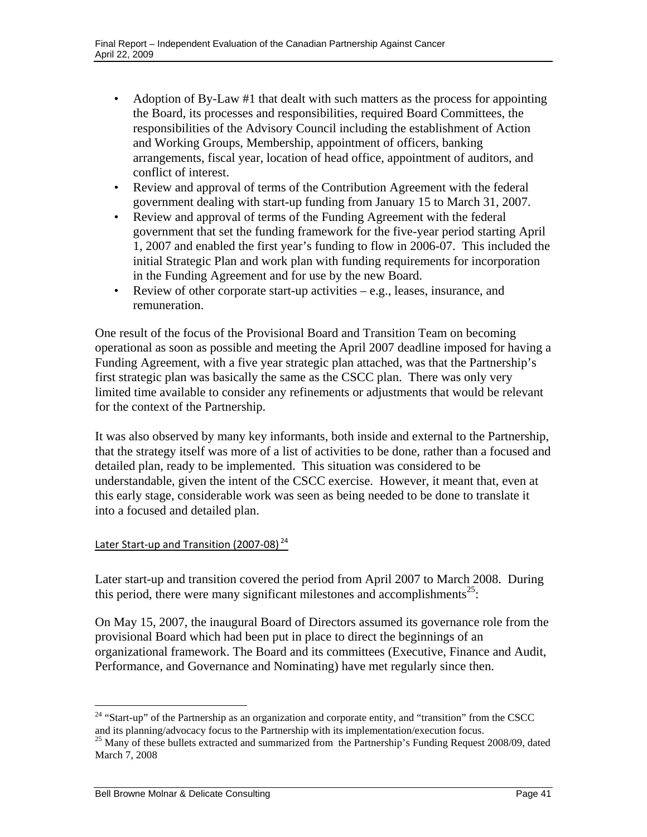- Adoption of By-Law #1 that dealt with such matters as the process for appointing the Board, its processes and responsibilities, required Board Committees, the responsibilities of the Advisory Council including the establishment of Action and Working Groups, Membership, appointment of officers, banking arrangements, fiscal year, location of head office, appointment of auditors, and conflict of interest.
- Review and approval of terms of the Contribution Agreement with the federal government dealing with start-up funding from January 15 to March 31, 2007.
- Review and approval of terms of the Funding Agreement with the federal government that set the funding framework for the five-year period starting April 1, 2007 and enabled the first year's funding to flow in 2006-07. This included the initial Strategic Plan and work plan with funding requirements for incorporation in the Funding Agreement and for use by the new Board.
- Review of other corporate start-up activities  $-e.g.,$  leases, insurance, and remuneration.

One result of the focus of the Provisional Board and Transition Team on becoming operational as soon as possible and meeting the April 2007 deadline imposed for having a Funding Agreement, with a five year strategic plan attached, was that the Partnership's first strategic plan was basically the same as the CSCC plan. There was only very limited time available to consider any refinements or adjustments that would be relevant for the context of the Partnership.

It was also observed by many key informants, both inside and external to the Partnership, that the strategy itself was more of a list of activities to be done, rather than a focused and detailed plan, ready to be implemented. This situation was considered to be understandable, given the intent of the CSCC exercise. However, it meant that, even at this early stage, considerable work was seen as being needed to be done to translate it into a focused and detailed plan.

## Later Start-up and Transition (2007-08)<sup>24</sup>

Later start-up and transition covered the period from April 2007 to March 2008. During this period, there were many significant milestones and accomplishments<sup>25</sup>:

On May 15, 2007, the inaugural Board of Directors assumed its governance role from the provisional Board which had been put in place to direct the beginnings of an organizational framework. The Board and its committees (Executive, Finance and Audit, Performance, and Governance and Nominating) have met regularly since then.

 $\overline{a}$ 

<sup>&</sup>lt;sup>24</sup> "Start-up" of the Partnership as an organization and corporate entity, and "transition" from the CSCC and its planning/advocacy focus to the Partnership with its implementation/execution focus.<br><sup>25</sup> Many of these bullets extracted and summarized from the Partnership's Funding Request 2008/09, dated

March 7, 2008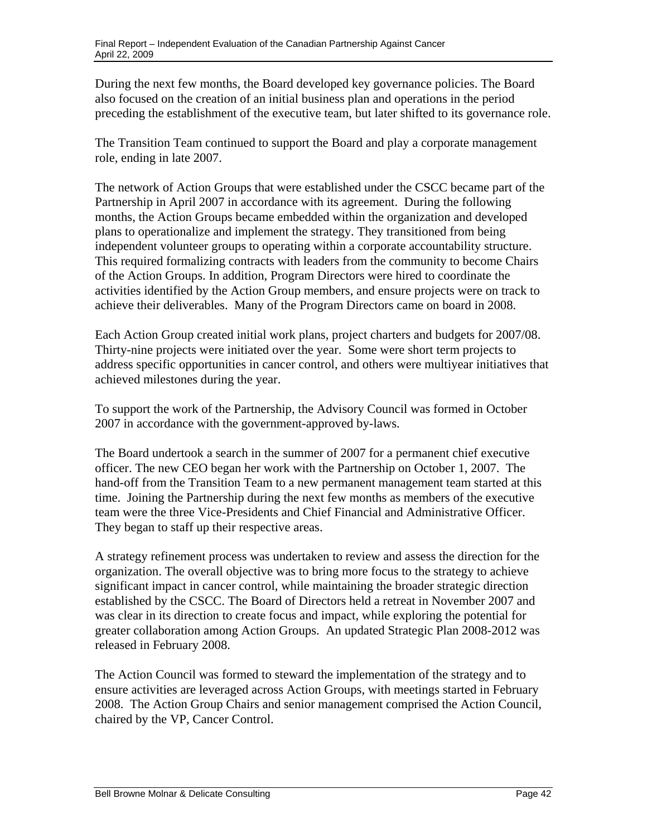During the next few months, the Board developed key governance policies. The Board also focused on the creation of an initial business plan and operations in the period preceding the establishment of the executive team, but later shifted to its governance role.

The Transition Team continued to support the Board and play a corporate management role, ending in late 2007.

The network of Action Groups that were established under the CSCC became part of the Partnership in April 2007 in accordance with its agreement. During the following months, the Action Groups became embedded within the organization and developed plans to operationalize and implement the strategy. They transitioned from being independent volunteer groups to operating within a corporate accountability structure. This required formalizing contracts with leaders from the community to become Chairs of the Action Groups. In addition, Program Directors were hired to coordinate the activities identified by the Action Group members, and ensure projects were on track to achieve their deliverables. Many of the Program Directors came on board in 2008.

Each Action Group created initial work plans, project charters and budgets for 2007/08. Thirty-nine projects were initiated over the year. Some were short term projects to address specific opportunities in cancer control, and others were multiyear initiatives that achieved milestones during the year.

To support the work of the Partnership, the Advisory Council was formed in October 2007 in accordance with the government-approved by-laws.

The Board undertook a search in the summer of 2007 for a permanent chief executive officer. The new CEO began her work with the Partnership on October 1, 2007. The hand-off from the Transition Team to a new permanent management team started at this time. Joining the Partnership during the next few months as members of the executive team were the three Vice-Presidents and Chief Financial and Administrative Officer. They began to staff up their respective areas.

A strategy refinement process was undertaken to review and assess the direction for the organization. The overall objective was to bring more focus to the strategy to achieve significant impact in cancer control, while maintaining the broader strategic direction established by the CSCC. The Board of Directors held a retreat in November 2007 and was clear in its direction to create focus and impact, while exploring the potential for greater collaboration among Action Groups. An updated Strategic Plan 2008-2012 was released in February 2008.

The Action Council was formed to steward the implementation of the strategy and to ensure activities are leveraged across Action Groups, with meetings started in February 2008. The Action Group Chairs and senior management comprised the Action Council, chaired by the VP, Cancer Control.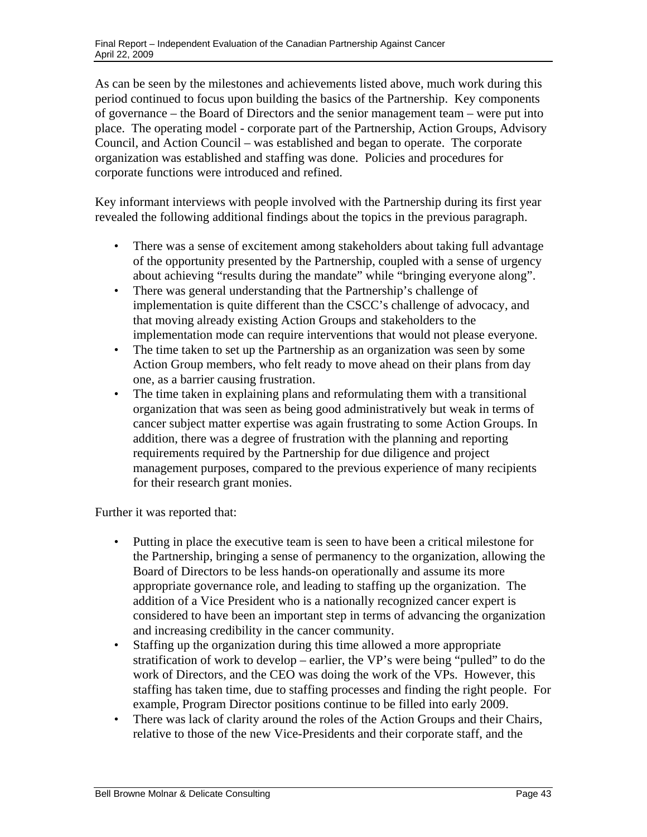As can be seen by the milestones and achievements listed above, much work during this period continued to focus upon building the basics of the Partnership. Key components of governance – the Board of Directors and the senior management team – were put into place. The operating model - corporate part of the Partnership, Action Groups, Advisory Council, and Action Council – was established and began to operate. The corporate organization was established and staffing was done. Policies and procedures for corporate functions were introduced and refined.

Key informant interviews with people involved with the Partnership during its first year revealed the following additional findings about the topics in the previous paragraph.

- There was a sense of excitement among stakeholders about taking full advantage of the opportunity presented by the Partnership, coupled with a sense of urgency about achieving "results during the mandate" while "bringing everyone along".
- There was general understanding that the Partnership's challenge of implementation is quite different than the CSCC's challenge of advocacy, and that moving already existing Action Groups and stakeholders to the implementation mode can require interventions that would not please everyone.
- The time taken to set up the Partnership as an organization was seen by some Action Group members, who felt ready to move ahead on their plans from day one, as a barrier causing frustration.
- The time taken in explaining plans and reformulating them with a transitional organization that was seen as being good administratively but weak in terms of cancer subject matter expertise was again frustrating to some Action Groups. In addition, there was a degree of frustration with the planning and reporting requirements required by the Partnership for due diligence and project management purposes, compared to the previous experience of many recipients for their research grant monies.

Further it was reported that:

- Putting in place the executive team is seen to have been a critical milestone for the Partnership, bringing a sense of permanency to the organization, allowing the Board of Directors to be less hands-on operationally and assume its more appropriate governance role, and leading to staffing up the organization. The addition of a Vice President who is a nationally recognized cancer expert is considered to have been an important step in terms of advancing the organization and increasing credibility in the cancer community.
- Staffing up the organization during this time allowed a more appropriate stratification of work to develop – earlier, the VP's were being "pulled" to do the work of Directors, and the CEO was doing the work of the VPs. However, this staffing has taken time, due to staffing processes and finding the right people. For example, Program Director positions continue to be filled into early 2009.
- There was lack of clarity around the roles of the Action Groups and their Chairs, relative to those of the new Vice-Presidents and their corporate staff, and the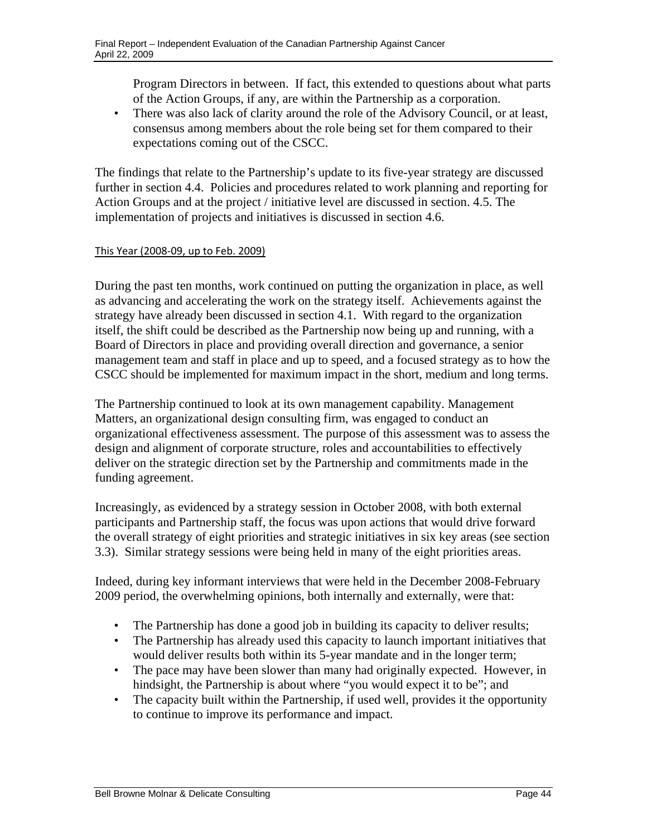Program Directors in between. If fact, this extended to questions about what parts of the Action Groups, if any, are within the Partnership as a corporation.

• There was also lack of clarity around the role of the Advisory Council, or at least, consensus among members about the role being set for them compared to their expectations coming out of the CSCC.

The findings that relate to the Partnership's update to its five-year strategy are discussed further in section 4.4. Policies and procedures related to work planning and reporting for Action Groups and at the project / initiative level are discussed in section. 4.5. The implementation of projects and initiatives is discussed in section 4.6.

## This Year (2008‐09, up to Feb. 2009)

During the past ten months, work continued on putting the organization in place, as well as advancing and accelerating the work on the strategy itself. Achievements against the strategy have already been discussed in section 4.1. With regard to the organization itself, the shift could be described as the Partnership now being up and running, with a Board of Directors in place and providing overall direction and governance, a senior management team and staff in place and up to speed, and a focused strategy as to how the CSCC should be implemented for maximum impact in the short, medium and long terms.

The Partnership continued to look at its own management capability. Management Matters, an organizational design consulting firm, was engaged to conduct an organizational effectiveness assessment. The purpose of this assessment was to assess the design and alignment of corporate structure, roles and accountabilities to effectively deliver on the strategic direction set by the Partnership and commitments made in the funding agreement.

Increasingly, as evidenced by a strategy session in October 2008, with both external participants and Partnership staff, the focus was upon actions that would drive forward the overall strategy of eight priorities and strategic initiatives in six key areas (see section 3.3). Similar strategy sessions were being held in many of the eight priorities areas.

Indeed, during key informant interviews that were held in the December 2008-February 2009 period, the overwhelming opinions, both internally and externally, were that:

- The Partnership has done a good job in building its capacity to deliver results;
- The Partnership has already used this capacity to launch important initiatives that would deliver results both within its 5-year mandate and in the longer term;
- The pace may have been slower than many had originally expected. However, in hindsight, the Partnership is about where "you would expect it to be"; and
- The capacity built within the Partnership, if used well, provides it the opportunity to continue to improve its performance and impact.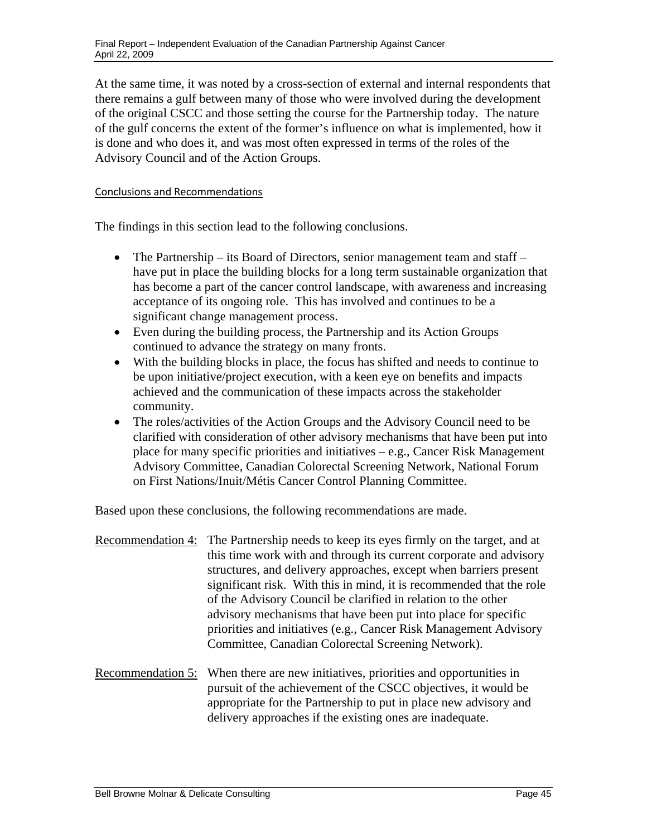At the same time, it was noted by a cross-section of external and internal respondents that there remains a gulf between many of those who were involved during the development of the original CSCC and those setting the course for the Partnership today. The nature of the gulf concerns the extent of the former's influence on what is implemented, how it is done and who does it, and was most often expressed in terms of the roles of the Advisory Council and of the Action Groups.

## Conclusions and Recommendations

The findings in this section lead to the following conclusions.

- The Partnership its Board of Directors, senior management team and staff have put in place the building blocks for a long term sustainable organization that has become a part of the cancer control landscape, with awareness and increasing acceptance of its ongoing role. This has involved and continues to be a significant change management process.
- Even during the building process, the Partnership and its Action Groups continued to advance the strategy on many fronts.
- With the building blocks in place, the focus has shifted and needs to continue to be upon initiative/project execution, with a keen eye on benefits and impacts achieved and the communication of these impacts across the stakeholder community.
- The roles/activities of the Action Groups and the Advisory Council need to be clarified with consideration of other advisory mechanisms that have been put into place for many specific priorities and initiatives – e.g., Cancer Risk Management Advisory Committee, Canadian Colorectal Screening Network, National Forum on First Nations/Inuit/Métis Cancer Control Planning Committee.

Based upon these conclusions, the following recommendations are made.

- Recommendation 4: The Partnership needs to keep its eyes firmly on the target, and at this time work with and through its current corporate and advisory structures, and delivery approaches, except when barriers present significant risk. With this in mind, it is recommended that the role of the Advisory Council be clarified in relation to the other advisory mechanisms that have been put into place for specific priorities and initiatives (e.g., Cancer Risk Management Advisory Committee, Canadian Colorectal Screening Network).
- Recommendation 5: When there are new initiatives, priorities and opportunities in pursuit of the achievement of the CSCC objectives, it would be appropriate for the Partnership to put in place new advisory and delivery approaches if the existing ones are inadequate.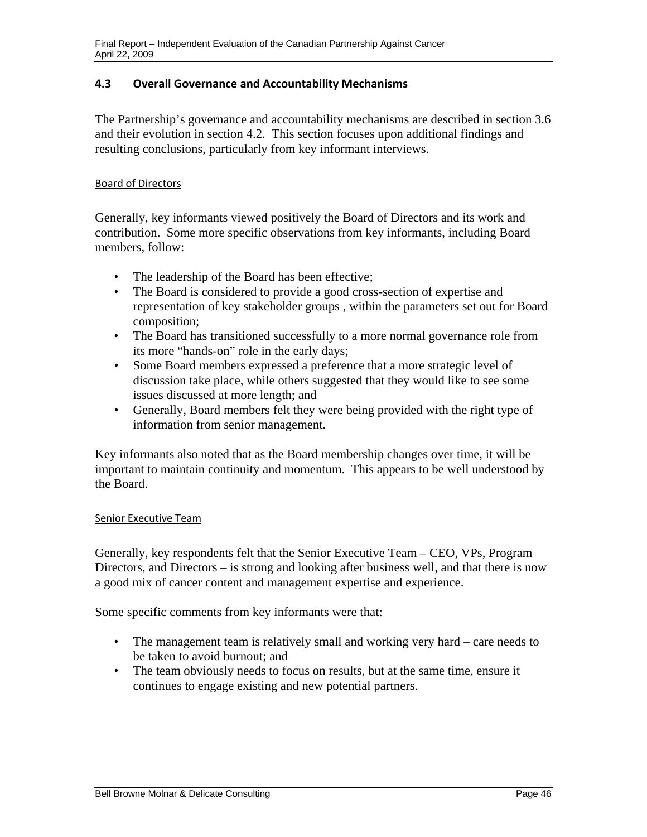## **4.3 Overall Governance and Accountability Mechanisms**

The Partnership's governance and accountability mechanisms are described in section 3.6 and their evolution in section 4.2. This section focuses upon additional findings and resulting conclusions, particularly from key informant interviews.

#### Board of Directors

Generally, key informants viewed positively the Board of Directors and its work and contribution. Some more specific observations from key informants, including Board members, follow:

- The leadership of the Board has been effective;
- The Board is considered to provide a good cross-section of expertise and representation of key stakeholder groups , within the parameters set out for Board composition;
- The Board has transitioned successfully to a more normal governance role from its more "hands-on" role in the early days;
- Some Board members expressed a preference that a more strategic level of discussion take place, while others suggested that they would like to see some issues discussed at more length; and
- Generally, Board members felt they were being provided with the right type of information from senior management.

Key informants also noted that as the Board membership changes over time, it will be important to maintain continuity and momentum. This appears to be well understood by the Board.

## Senior Executive Team

Generally, key respondents felt that the Senior Executive Team – CEO, VPs, Program Directors, and Directors – is strong and looking after business well, and that there is now a good mix of cancer content and management expertise and experience.

Some specific comments from key informants were that:

- The management team is relatively small and working very hard care needs to be taken to avoid burnout; and
- The team obviously needs to focus on results, but at the same time, ensure it continues to engage existing and new potential partners.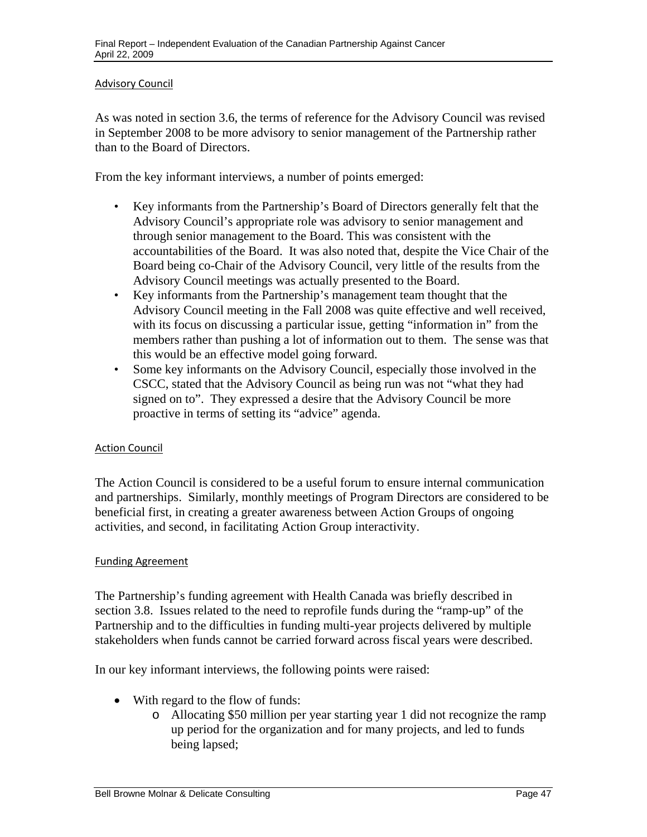#### Advisory Council

As was noted in section 3.6, the terms of reference for the Advisory Council was revised in September 2008 to be more advisory to senior management of the Partnership rather than to the Board of Directors.

From the key informant interviews, a number of points emerged:

- • Key informants from the Partnership's Board of Directors generally felt that the Advisory Council's appropriate role was advisory to senior management and through senior management to the Board. This was consistent with the accountabilities of the Board. It was also noted that, despite the Vice Chair of the Board being co-Chair of the Advisory Council, very little of the results from the Advisory Council meetings was actually presented to the Board.
- • Key informants from the Partnership's management team thought that the Advisory Council meeting in the Fall 2008 was quite effective and well received, with its focus on discussing a particular issue, getting "information in" from the members rather than pushing a lot of information out to them. The sense was that this would be an effective model going forward.
- Some key informants on the Advisory Council, especially those involved in the CSCC, stated that the Advisory Council as being run was not "what they had signed on to". They expressed a desire that the Advisory Council be more proactive in terms of setting its "advice" agenda.

## Action Council

The Action Council is considered to be a useful forum to ensure internal communication and partnerships. Similarly, monthly meetings of Program Directors are considered to be beneficial first, in creating a greater awareness between Action Groups of ongoing activities, and second, in facilitating Action Group interactivity.

#### Funding Agreement

The Partnership's funding agreement with Health Canada was briefly described in section 3.8. Issues related to the need to reprofile funds during the "ramp-up" of the Partnership and to the difficulties in funding multi-year projects delivered by multiple stakeholders when funds cannot be carried forward across fiscal years were described.

In our key informant interviews, the following points were raised:

- With regard to the flow of funds:
	- o Allocating \$50 million per year starting year 1 did not recognize the ramp up period for the organization and for many projects, and led to funds being lapsed;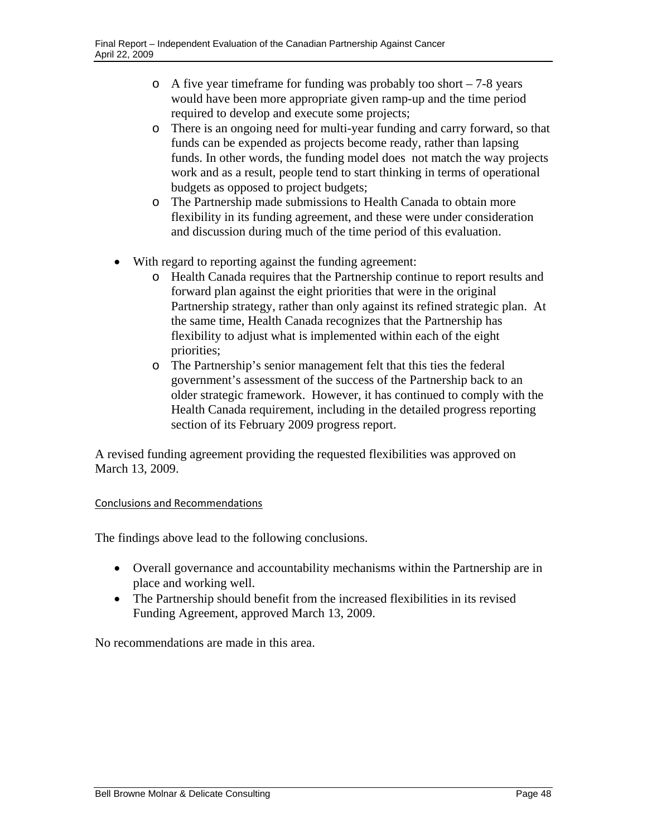- $\circ$  A five year timeframe for funding was probably too short 7-8 years would have been more appropriate given ramp-up and the time period required to develop and execute some projects;
- o There is an ongoing need for multi-year funding and carry forward, so that funds can be expended as projects become ready, rather than lapsing funds. In other words, the funding model does not match the way projects work and as a result, people tend to start thinking in terms of operational budgets as opposed to project budgets;
- o The Partnership made submissions to Health Canada to obtain more flexibility in its funding agreement, and these were under consideration and discussion during much of the time period of this evaluation.
- With regard to reporting against the funding agreement:
	- o Health Canada requires that the Partnership continue to report results and forward plan against the eight priorities that were in the original Partnership strategy, rather than only against its refined strategic plan. At the same time, Health Canada recognizes that the Partnership has flexibility to adjust what is implemented within each of the eight priorities;
	- o The Partnership's senior management felt that this ties the federal government's assessment of the success of the Partnership back to an older strategic framework. However, it has continued to comply with the Health Canada requirement, including in the detailed progress reporting section of its February 2009 progress report.

A revised funding agreement providing the requested flexibilities was approved on March 13, 2009.

## Conclusions and Recommendations

The findings above lead to the following conclusions.

- Overall governance and accountability mechanisms within the Partnership are in place and working well.
- The Partnership should benefit from the increased flexibilities in its revised Funding Agreement, approved March 13, 2009.

No recommendations are made in this area.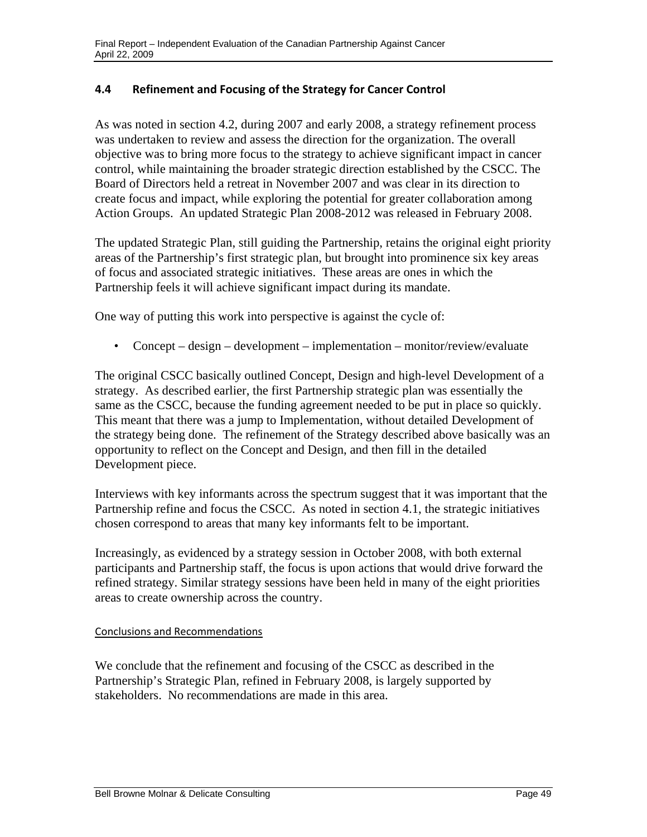## **4.4 Refinement and Focusing of the Strategy for Cancer Control**

As was noted in section 4.2, during 2007 and early 2008, a strategy refinement process was undertaken to review and assess the direction for the organization. The overall objective was to bring more focus to the strategy to achieve significant impact in cancer control, while maintaining the broader strategic direction established by the CSCC. The Board of Directors held a retreat in November 2007 and was clear in its direction to create focus and impact, while exploring the potential for greater collaboration among Action Groups. An updated Strategic Plan 2008-2012 was released in February 2008.

The updated Strategic Plan, still guiding the Partnership, retains the original eight priority areas of the Partnership's first strategic plan, but brought into prominence six key areas of focus and associated strategic initiatives. These areas are ones in which the Partnership feels it will achieve significant impact during its mandate.

One way of putting this work into perspective is against the cycle of:

• Concept – design – development – implementation – monitor/review/evaluate

The original CSCC basically outlined Concept, Design and high-level Development of a strategy. As described earlier, the first Partnership strategic plan was essentially the same as the CSCC, because the funding agreement needed to be put in place so quickly. This meant that there was a jump to Implementation, without detailed Development of the strategy being done. The refinement of the Strategy described above basically was an opportunity to reflect on the Concept and Design, and then fill in the detailed Development piece.

Interviews with key informants across the spectrum suggest that it was important that the Partnership refine and focus the CSCC. As noted in section 4.1, the strategic initiatives chosen correspond to areas that many key informants felt to be important.

Increasingly, as evidenced by a strategy session in October 2008, with both external participants and Partnership staff, the focus is upon actions that would drive forward the refined strategy. Similar strategy sessions have been held in many of the eight priorities areas to create ownership across the country.

#### Conclusions and Recommendations

We conclude that the refinement and focusing of the CSCC as described in the Partnership's Strategic Plan, refined in February 2008, is largely supported by stakeholders. No recommendations are made in this area.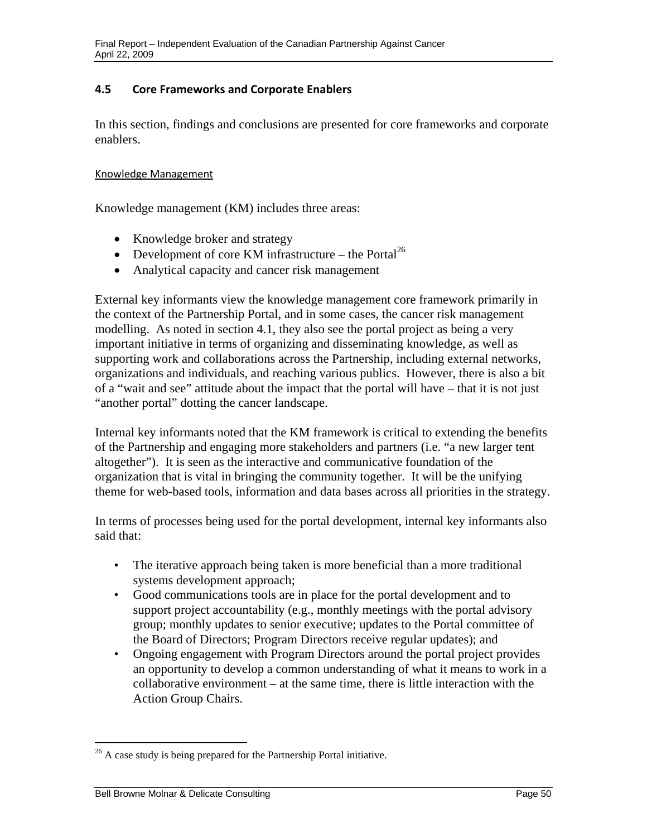# **4.5 Core Frameworks and Corporate Enablers**

In this section, findings and conclusions are presented for core frameworks and corporate enablers.

#### Knowledge Management

Knowledge management (KM) includes three areas:

- Knowledge broker and strategy
- Development of core KM infrastructure the Portal<sup>26</sup>
- Analytical capacity and cancer risk management

External key informants view the knowledge management core framework primarily in the context of the Partnership Portal, and in some cases, the cancer risk management modelling. As noted in section 4.1, they also see the portal project as being a very important initiative in terms of organizing and disseminating knowledge, as well as supporting work and collaborations across the Partnership, including external networks, organizations and individuals, and reaching various publics. However, there is also a bit of a "wait and see" attitude about the impact that the portal will have – that it is not just "another portal" dotting the cancer landscape.

Internal key informants noted that the KM framework is critical to extending the benefits of the Partnership and engaging more stakeholders and partners (i.e. "a new larger tent altogether"). It is seen as the interactive and communicative foundation of the organization that is vital in bringing the community together. It will be the unifying theme for web-based tools, information and data bases across all priorities in the strategy.

In terms of processes being used for the portal development, internal key informants also said that:

- The iterative approach being taken is more beneficial than a more traditional systems development approach;
- • Good communications tools are in place for the portal development and to support project accountability (e.g., monthly meetings with the portal advisory group; monthly updates to senior executive; updates to the Portal committee of the Board of Directors; Program Directors receive regular updates); and
- Ongoing engagement with Program Directors around the portal project provides an opportunity to develop a common understanding of what it means to work in a collaborative environment – at the same time, there is little interaction with the Action Group Chairs.

 $\overline{a}$ 

 $26$  A case study is being prepared for the Partnership Portal initiative.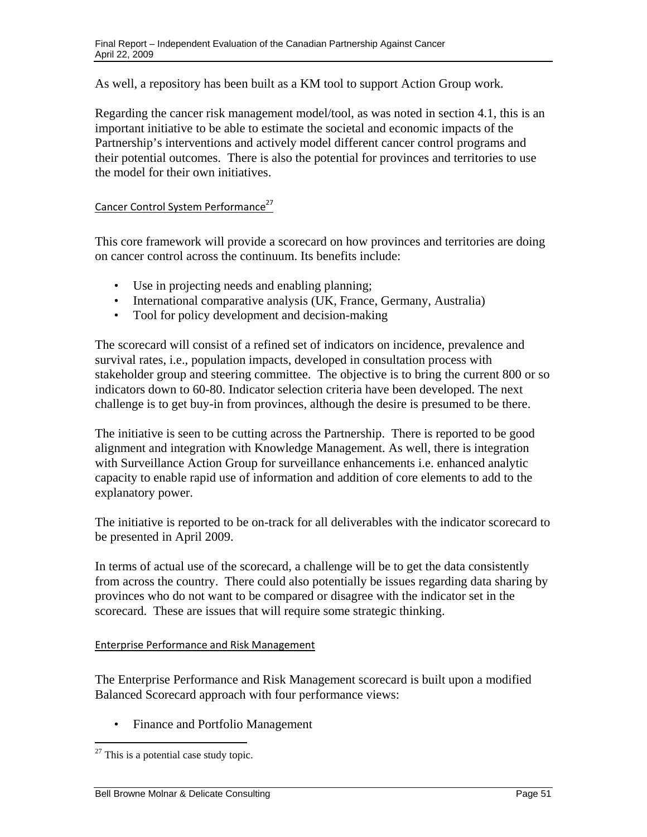As well, a repository has been built as a KM tool to support Action Group work.

Regarding the cancer risk management model/tool, as was noted in section 4.1, this is an important initiative to be able to estimate the societal and economic impacts of the Partnership's interventions and actively model different cancer control programs and their potential outcomes. There is also the potential for provinces and territories to use the model for their own initiatives.

## Cancer Control System Performance<sup>27</sup>

This core framework will provide a scorecard on how provinces and territories are doing on cancer control across the continuum. Its benefits include:

- Use in projecting needs and enabling planning:
- International comparative analysis (UK, France, Germany, Australia)
- Tool for policy development and decision-making

The scorecard will consist of a refined set of indicators on incidence, prevalence and survival rates, i.e., population impacts, developed in consultation process with stakeholder group and steering committee. The objective is to bring the current 800 or so indicators down to 60-80. Indicator selection criteria have been developed. The next challenge is to get buy-in from provinces, although the desire is presumed to be there.

The initiative is seen to be cutting across the Partnership. There is reported to be good alignment and integration with Knowledge Management. As well, there is integration with Surveillance Action Group for surveillance enhancements i.e. enhanced analytic capacity to enable rapid use of information and addition of core elements to add to the explanatory power.

The initiative is reported to be on-track for all deliverables with the indicator scorecard to be presented in April 2009.

In terms of actual use of the scorecard, a challenge will be to get the data consistently from across the country. There could also potentially be issues regarding data sharing by provinces who do not want to be compared or disagree with the indicator set in the scorecard. These are issues that will require some strategic thinking.

## Enterprise Performance and Risk Management

The Enterprise Performance and Risk Management scorecard is built upon a modified Balanced Scorecard approach with four performance views:

• Finance and Portfolio Management

 $\overline{a}$ 

 $27$  This is a potential case study topic.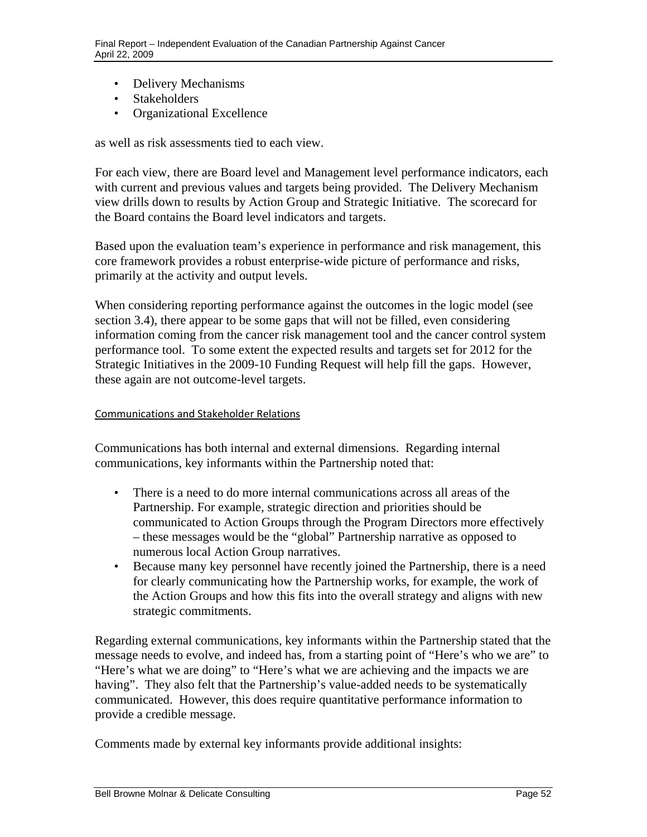- Delivery Mechanisms
- Stakeholders
- • Organizational Excellence

as well as risk assessments tied to each view.

For each view, there are Board level and Management level performance indicators, each with current and previous values and targets being provided. The Delivery Mechanism view drills down to results by Action Group and Strategic Initiative. The scorecard for the Board contains the Board level indicators and targets.

Based upon the evaluation team's experience in performance and risk management, this core framework provides a robust enterprise-wide picture of performance and risks, primarily at the activity and output levels.

When considering reporting performance against the outcomes in the logic model (see section 3.4), there appear to be some gaps that will not be filled, even considering information coming from the cancer risk management tool and the cancer control system performance tool. To some extent the expected results and targets set for 2012 for the Strategic Initiatives in the 2009-10 Funding Request will help fill the gaps. However, these again are not outcome-level targets.

#### Communications and Stakeholder Relations

Communications has both internal and external dimensions. Regarding internal communications, key informants within the Partnership noted that:

- There is a need to do more internal communications across all areas of the Partnership. For example, strategic direction and priorities should be communicated to Action Groups through the Program Directors more effectively – these messages would be the "global" Partnership narrative as opposed to numerous local Action Group narratives.
- • Because many key personnel have recently joined the Partnership, there is a need for clearly communicating how the Partnership works, for example, the work of the Action Groups and how this fits into the overall strategy and aligns with new strategic commitments.

Regarding external communications, key informants within the Partnership stated that the message needs to evolve, and indeed has, from a starting point of "Here's who we are" to "Here's what we are doing" to "Here's what we are achieving and the impacts we are having". They also felt that the Partnership's value-added needs to be systematically communicated. However, this does require quantitative performance information to provide a credible message.

Comments made by external key informants provide additional insights: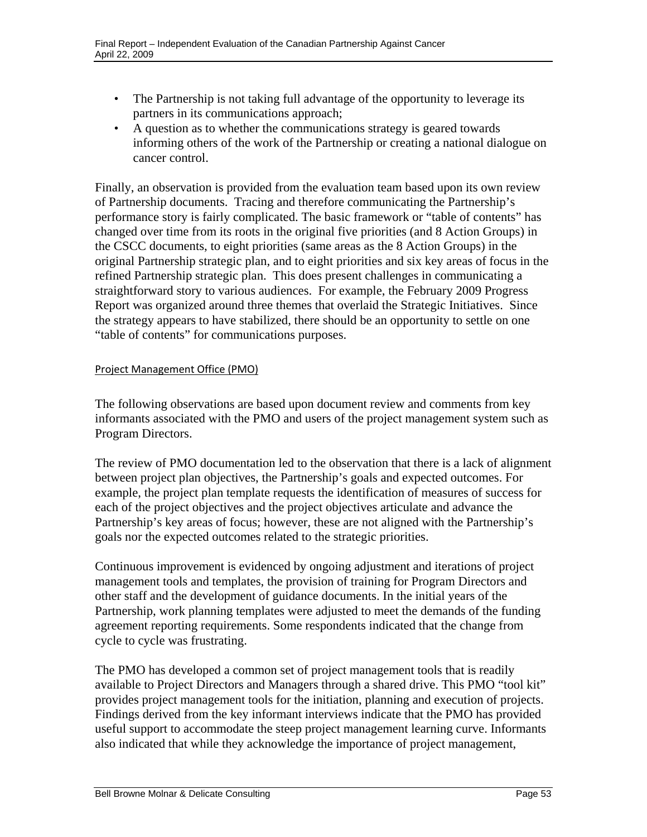- The Partnership is not taking full advantage of the opportunity to leverage its partners in its communications approach;
- • A question as to whether the communications strategy is geared towards informing others of the work of the Partnership or creating a national dialogue on cancer control.

Finally, an observation is provided from the evaluation team based upon its own review of Partnership documents. Tracing and therefore communicating the Partnership's performance story is fairly complicated. The basic framework or "table of contents" has changed over time from its roots in the original five priorities (and 8 Action Groups) in the CSCC documents, to eight priorities (same areas as the 8 Action Groups) in the original Partnership strategic plan, and to eight priorities and six key areas of focus in the refined Partnership strategic plan. This does present challenges in communicating a straightforward story to various audiences. For example, the February 2009 Progress Report was organized around three themes that overlaid the Strategic Initiatives. Since the strategy appears to have stabilized, there should be an opportunity to settle on one "table of contents" for communications purposes.

## Project Management Office (PMO)

The following observations are based upon document review and comments from key informants associated with the PMO and users of the project management system such as Program Directors.

The review of PMO documentation led to the observation that there is a lack of alignment between project plan objectives, the Partnership's goals and expected outcomes. For example, the project plan template requests the identification of measures of success for each of the project objectives and the project objectives articulate and advance the Partnership's key areas of focus; however, these are not aligned with the Partnership's goals nor the expected outcomes related to the strategic priorities.

Continuous improvement is evidenced by ongoing adjustment and iterations of project management tools and templates, the provision of training for Program Directors and other staff and the development of guidance documents. In the initial years of the Partnership, work planning templates were adjusted to meet the demands of the funding agreement reporting requirements. Some respondents indicated that the change from cycle to cycle was frustrating.

The PMO has developed a common set of project management tools that is readily available to Project Directors and Managers through a shared drive. This PMO "tool kit" provides project management tools for the initiation, planning and execution of projects. Findings derived from the key informant interviews indicate that the PMO has provided useful support to accommodate the steep project management learning curve. Informants also indicated that while they acknowledge the importance of project management,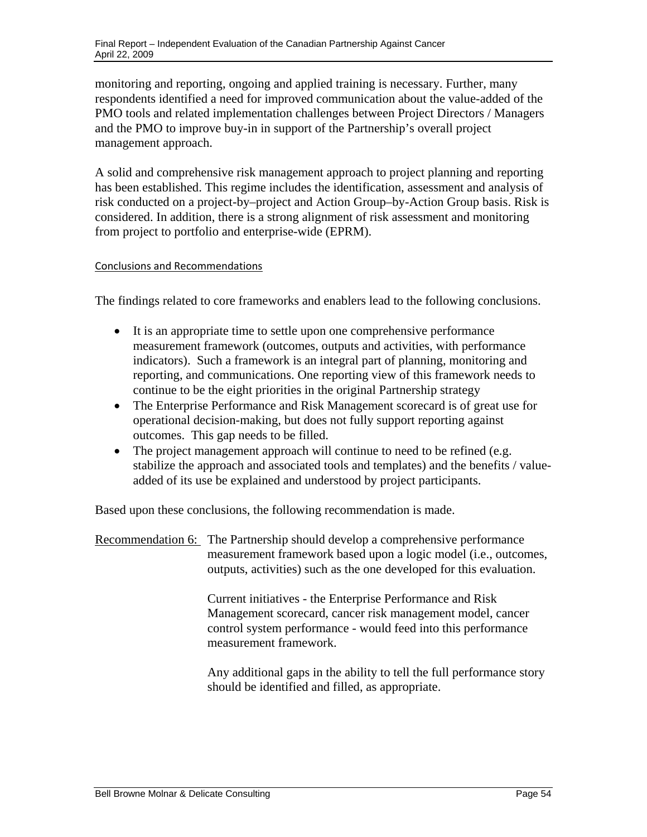monitoring and reporting, ongoing and applied training is necessary. Further, many respondents identified a need for improved communication about the value-added of the PMO tools and related implementation challenges between Project Directors / Managers and the PMO to improve buy-in in support of the Partnership's overall project management approach.

A solid and comprehensive risk management approach to project planning and reporting has been established. This regime includes the identification, assessment and analysis of risk conducted on a project-by–project and Action Group–by-Action Group basis. Risk is considered. In addition, there is a strong alignment of risk assessment and monitoring from project to portfolio and enterprise-wide (EPRM).

## Conclusions and Recommendations

The findings related to core frameworks and enablers lead to the following conclusions.

- It is an appropriate time to settle upon one comprehensive performance measurement framework (outcomes, outputs and activities, with performance indicators). Such a framework is an integral part of planning, monitoring and reporting, and communications. One reporting view of this framework needs to continue to be the eight priorities in the original Partnership strategy
- The Enterprise Performance and Risk Management scorecard is of great use for operational decision-making, but does not fully support reporting against outcomes. This gap needs to be filled.
- The project management approach will continue to need to be refined (e.g. stabilize the approach and associated tools and templates) and the benefits / valueadded of its use be explained and understood by project participants.

Based upon these conclusions, the following recommendation is made.

Recommendation 6: The Partnership should develop a comprehensive performance measurement framework based upon a logic model (i.e., outcomes, outputs, activities) such as the one developed for this evaluation.

> Current initiatives - the Enterprise Performance and Risk Management scorecard, cancer risk management model, cancer control system performance - would feed into this performance measurement framework.

Any additional gaps in the ability to tell the full performance story should be identified and filled, as appropriate.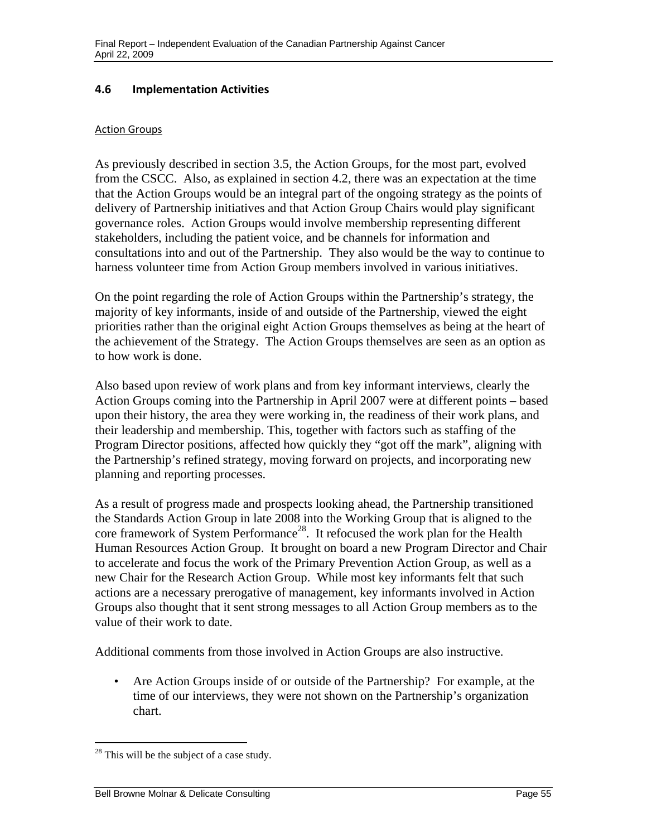## **4.6 Implementation Activities**

#### **Action Groups**

As previously described in section 3.5, the Action Groups, for the most part, evolved from the CSCC. Also, as explained in section 4.2, there was an expectation at the time that the Action Groups would be an integral part of the ongoing strategy as the points of delivery of Partnership initiatives and that Action Group Chairs would play significant governance roles. Action Groups would involve membership representing different stakeholders, including the patient voice, and be channels for information and consultations into and out of the Partnership. They also would be the way to continue to harness volunteer time from Action Group members involved in various initiatives.

On the point regarding the role of Action Groups within the Partnership's strategy, the majority of key informants, inside of and outside of the Partnership, viewed the eight priorities rather than the original eight Action Groups themselves as being at the heart of the achievement of the Strategy. The Action Groups themselves are seen as an option as to how work is done.

Also based upon review of work plans and from key informant interviews, clearly the Action Groups coming into the Partnership in April 2007 were at different points – based upon their history, the area they were working in, the readiness of their work plans, and their leadership and membership. This, together with factors such as staffing of the Program Director positions, affected how quickly they "got off the mark", aligning with the Partnership's refined strategy, moving forward on projects, and incorporating new planning and reporting processes.

As a result of progress made and prospects looking ahead, the Partnership transitioned the Standards Action Group in late 2008 into the Working Group that is aligned to the core framework of System Performance<sup>28</sup>. It refocused the work plan for the Health Human Resources Action Group. It brought on board a new Program Director and Chair to accelerate and focus the work of the Primary Prevention Action Group, as well as a new Chair for the Research Action Group. While most key informants felt that such actions are a necessary prerogative of management, key informants involved in Action Groups also thought that it sent strong messages to all Action Group members as to the value of their work to date.

Additional comments from those involved in Action Groups are also instructive.

• Are Action Groups inside of or outside of the Partnership? For example, at the time of our interviews, they were not shown on the Partnership's organization chart.

 $\overline{a}$ 

<sup>&</sup>lt;sup>28</sup> This will be the subject of a case study.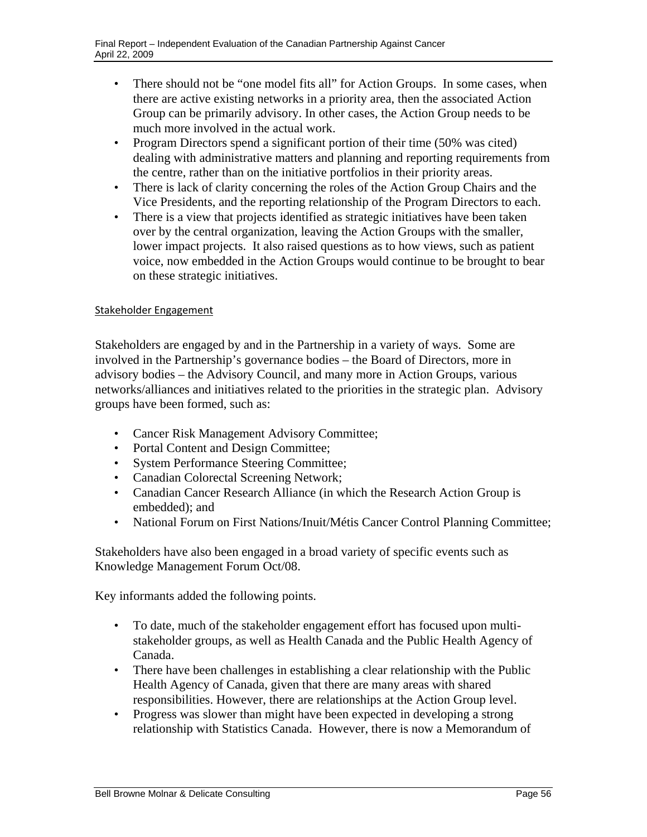- There should not be "one model fits all" for Action Groups. In some cases, when there are active existing networks in a priority area, then the associated Action Group can be primarily advisory. In other cases, the Action Group needs to be much more involved in the actual work.
- Program Directors spend a significant portion of their time (50% was cited) dealing with administrative matters and planning and reporting requirements from the centre, rather than on the initiative portfolios in their priority areas.
- There is lack of clarity concerning the roles of the Action Group Chairs and the Vice Presidents, and the reporting relationship of the Program Directors to each.
- There is a view that projects identified as strategic initiatives have been taken over by the central organization, leaving the Action Groups with the smaller, lower impact projects. It also raised questions as to how views, such as patient voice, now embedded in the Action Groups would continue to be brought to bear on these strategic initiatives.

## Stakeholder Engagement

Stakeholders are engaged by and in the Partnership in a variety of ways. Some are involved in the Partnership's governance bodies – the Board of Directors, more in advisory bodies – the Advisory Council, and many more in Action Groups, various networks/alliances and initiatives related to the priorities in the strategic plan. Advisory groups have been formed, such as:

- Cancer Risk Management Advisory Committee;
- Portal Content and Design Committee;
- • System Performance Steering Committee;
- Canadian Colorectal Screening Network;
- • Canadian Cancer Research Alliance (in which the Research Action Group is embedded); and
- National Forum on First Nations/Inuit/Métis Cancer Control Planning Committee;

Stakeholders have also been engaged in a broad variety of specific events such as Knowledge Management Forum Oct/08.

Key informants added the following points.

- To date, much of the stakeholder engagement effort has focused upon multistakeholder groups, as well as Health Canada and the Public Health Agency of Canada.
- There have been challenges in establishing a clear relationship with the Public Health Agency of Canada, given that there are many areas with shared responsibilities. However, there are relationships at the Action Group level.
- Progress was slower than might have been expected in developing a strong relationship with Statistics Canada. However, there is now a Memorandum of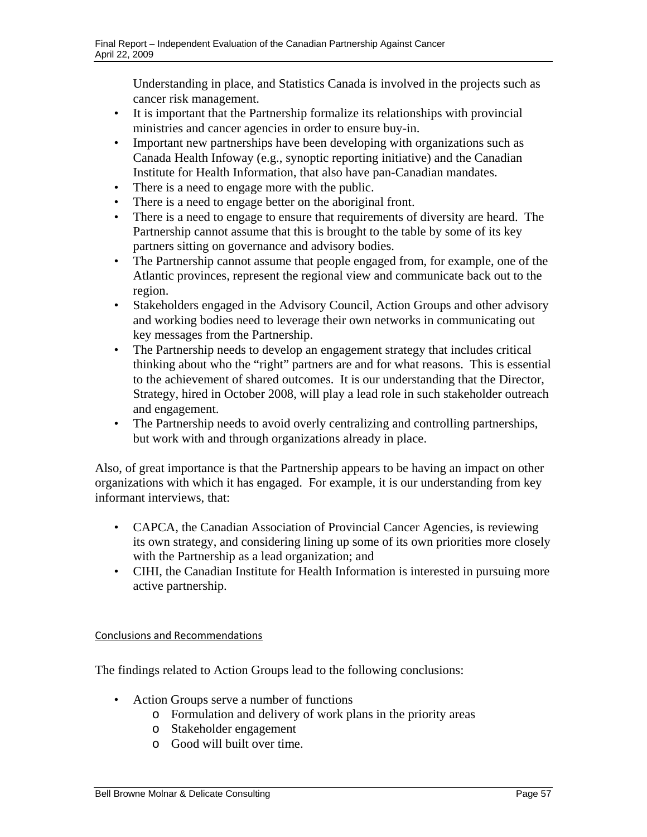Understanding in place, and Statistics Canada is involved in the projects such as cancer risk management.

- • It is important that the Partnership formalize its relationships with provincial ministries and cancer agencies in order to ensure buy-in.
- Important new partnerships have been developing with organizations such as Canada Health Infoway (e.g., synoptic reporting initiative) and the Canadian Institute for Health Information, that also have pan-Canadian mandates.
- There is a need to engage more with the public.
- There is a need to engage better on the aboriginal front.
- There is a need to engage to ensure that requirements of diversity are heard. The Partnership cannot assume that this is brought to the table by some of its key partners sitting on governance and advisory bodies.
- The Partnership cannot assume that people engaged from, for example, one of the Atlantic provinces, represent the regional view and communicate back out to the region.
- Stakeholders engaged in the Advisory Council, Action Groups and other advisory and working bodies need to leverage their own networks in communicating out key messages from the Partnership.
- • The Partnership needs to develop an engagement strategy that includes critical thinking about who the "right" partners are and for what reasons. This is essential to the achievement of shared outcomes. It is our understanding that the Director, Strategy, hired in October 2008, will play a lead role in such stakeholder outreach and engagement.
- The Partnership needs to avoid overly centralizing and controlling partnerships, but work with and through organizations already in place.

Also, of great importance is that the Partnership appears to be having an impact on other organizations with which it has engaged. For example, it is our understanding from key informant interviews, that:

- CAPCA, the Canadian Association of Provincial Cancer Agencies, is reviewing its own strategy, and considering lining up some of its own priorities more closely with the Partnership as a lead organization; and
- CIHI, the Canadian Institute for Health Information is interested in pursuing more active partnership.

## Conclusions and Recommendations

The findings related to Action Groups lead to the following conclusions:

- Action Groups serve a number of functions
	- o Formulation and delivery of work plans in the priority areas
	- o Stakeholder engagement
	- o Good will built over time.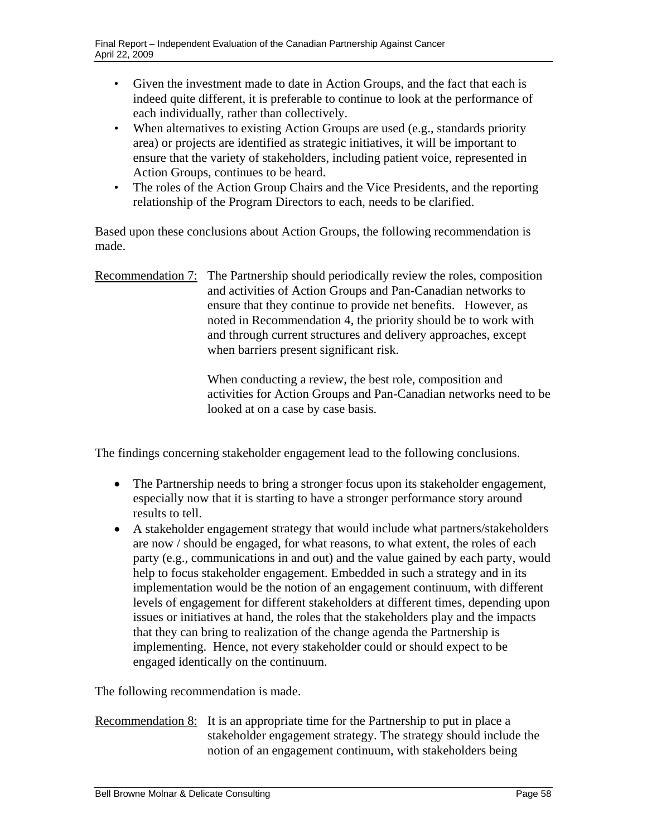- Given the investment made to date in Action Groups, and the fact that each is indeed quite different, it is preferable to continue to look at the performance of each individually, rather than collectively.
- When alternatives to existing Action Groups are used (e.g., standards priority area) or projects are identified as strategic initiatives, it will be important to ensure that the variety of stakeholders, including patient voice, represented in Action Groups, continues to be heard.
- The roles of the Action Group Chairs and the Vice Presidents, and the reporting relationship of the Program Directors to each, needs to be clarified.

Based upon these conclusions about Action Groups, the following recommendation is made.

Recommendation 7: The Partnership should periodically review the roles, composition and activities of Action Groups and Pan-Canadian networks to ensure that they continue to provide net benefits. However, as noted in Recommendation 4, the priority should be to work with and through current structures and delivery approaches, except when barriers present significant risk.

> When conducting a review, the best role, composition and activities for Action Groups and Pan-Canadian networks need to be looked at on a case by case basis.

The findings concerning stakeholder engagement lead to the following conclusions.

- The Partnership needs to bring a stronger focus upon its stakeholder engagement, especially now that it is starting to have a stronger performance story around results to tell.
- A stakeholder engagement strategy that would include what partners/stakeholders are now / should be engaged, for what reasons, to what extent, the roles of each party (e.g., communications in and out) and the value gained by each party, would help to focus stakeholder engagement. Embedded in such a strategy and in its implementation would be the notion of an engagement continuum, with different levels of engagement for different stakeholders at different times, depending upon issues or initiatives at hand, the roles that the stakeholders play and the impacts that they can bring to realization of the change agenda the Partnership is implementing. Hence, not every stakeholder could or should expect to be engaged identically on the continuum.

The following recommendation is made.

Recommendation 8: It is an appropriate time for the Partnership to put in place a stakeholder engagement strategy. The strategy should include the notion of an engagement continuum, with stakeholders being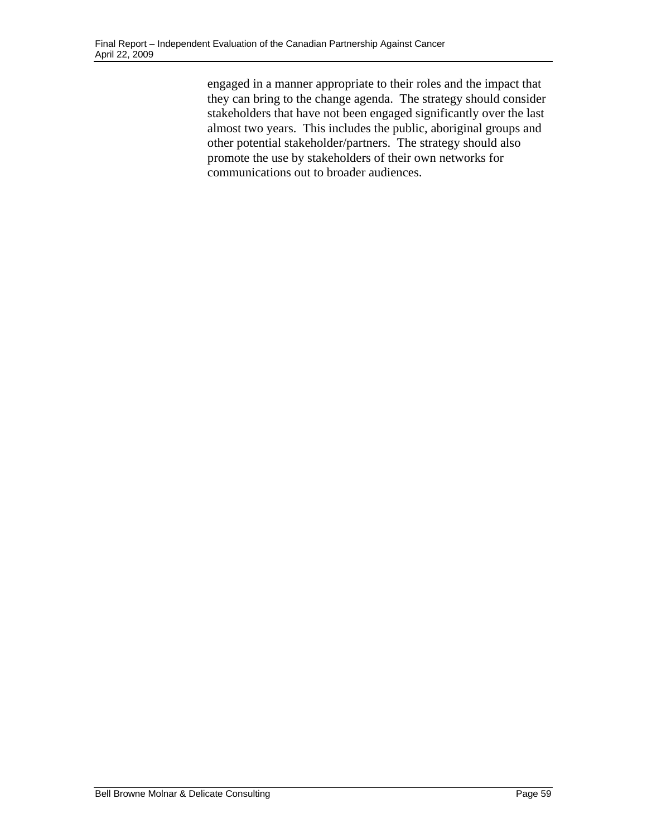engaged in a manner appropriate to their roles and the impact that they can bring to the change agenda. The strategy should consider stakeholders that have not been engaged significantly over the last almost two years. This includes the public, aboriginal groups and other potential stakeholder/partners. The strategy should also promote the use by stakeholders of their own networks for communications out to broader audiences.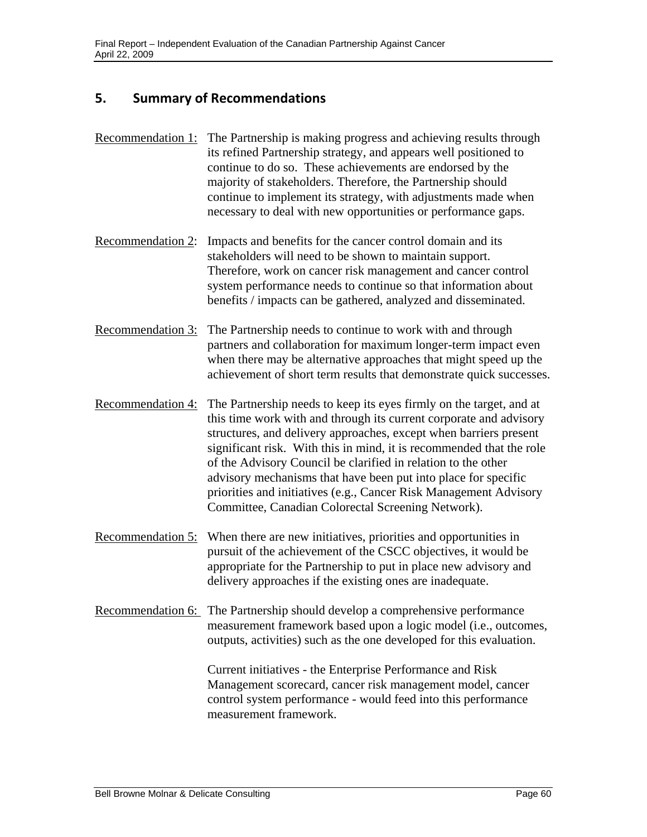# **5. Summary of Recommendations**

- Recommendation 1: The Partnership is making progress and achieving results through its refined Partnership strategy, and appears well positioned to continue to do so. These achievements are endorsed by the majority of stakeholders. Therefore, the Partnership should continue to implement its strategy, with adjustments made when necessary to deal with new opportunities or performance gaps.
- Recommendation 2: Impacts and benefits for the cancer control domain and its stakeholders will need to be shown to maintain support. Therefore, work on cancer risk management and cancer control system performance needs to continue so that information about benefits / impacts can be gathered, analyzed and disseminated.
- Recommendation 3: The Partnership needs to continue to work with and through partners and collaboration for maximum longer-term impact even when there may be alternative approaches that might speed up the achievement of short term results that demonstrate quick successes.
- Recommendation 4: The Partnership needs to keep its eyes firmly on the target, and at this time work with and through its current corporate and advisory structures, and delivery approaches, except when barriers present significant risk. With this in mind, it is recommended that the role of the Advisory Council be clarified in relation to the other advisory mechanisms that have been put into place for specific priorities and initiatives (e.g., Cancer Risk Management Advisory Committee, Canadian Colorectal Screening Network).
- Recommendation 5: When there are new initiatives, priorities and opportunities in pursuit of the achievement of the CSCC objectives, it would be appropriate for the Partnership to put in place new advisory and delivery approaches if the existing ones are inadequate.
- Recommendation 6: The Partnership should develop a comprehensive performance measurement framework based upon a logic model (i.e., outcomes, outputs, activities) such as the one developed for this evaluation.

Current initiatives - the Enterprise Performance and Risk Management scorecard, cancer risk management model, cancer control system performance - would feed into this performance measurement framework.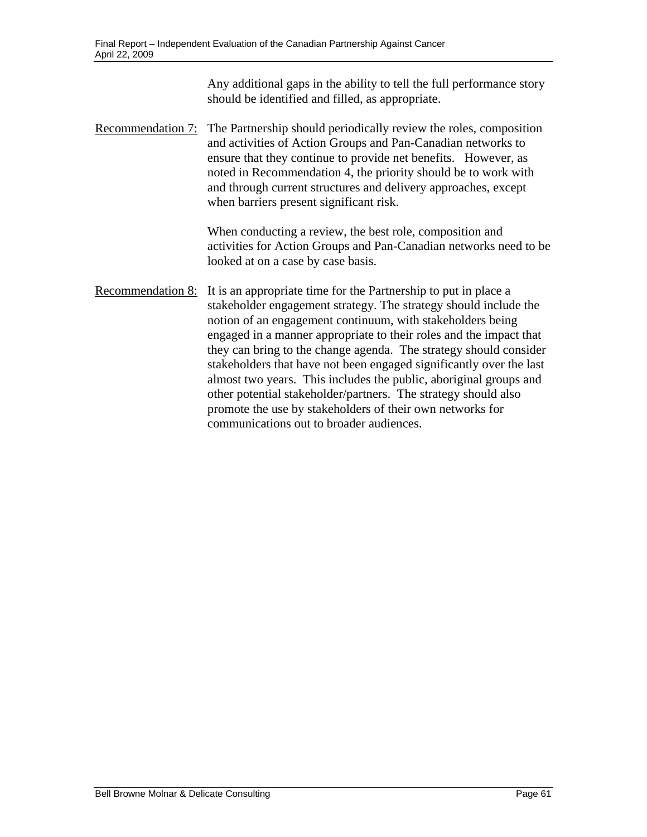Any additional gaps in the ability to tell the full performance story should be identified and filled, as appropriate.

Recommendation 7: The Partnership should periodically review the roles, composition and activities of Action Groups and Pan-Canadian networks to ensure that they continue to provide net benefits. However, as noted in Recommendation 4, the priority should be to work with and through current structures and delivery approaches, except when barriers present significant risk.

> When conducting a review, the best role, composition and activities for Action Groups and Pan-Canadian networks need to be looked at on a case by case basis.

Recommendation 8: It is an appropriate time for the Partnership to put in place a stakeholder engagement strategy. The strategy should include the notion of an engagement continuum, with stakeholders being engaged in a manner appropriate to their roles and the impact that they can bring to the change agenda. The strategy should consider stakeholders that have not been engaged significantly over the last almost two years. This includes the public, aboriginal groups and other potential stakeholder/partners. The strategy should also promote the use by stakeholders of their own networks for communications out to broader audiences.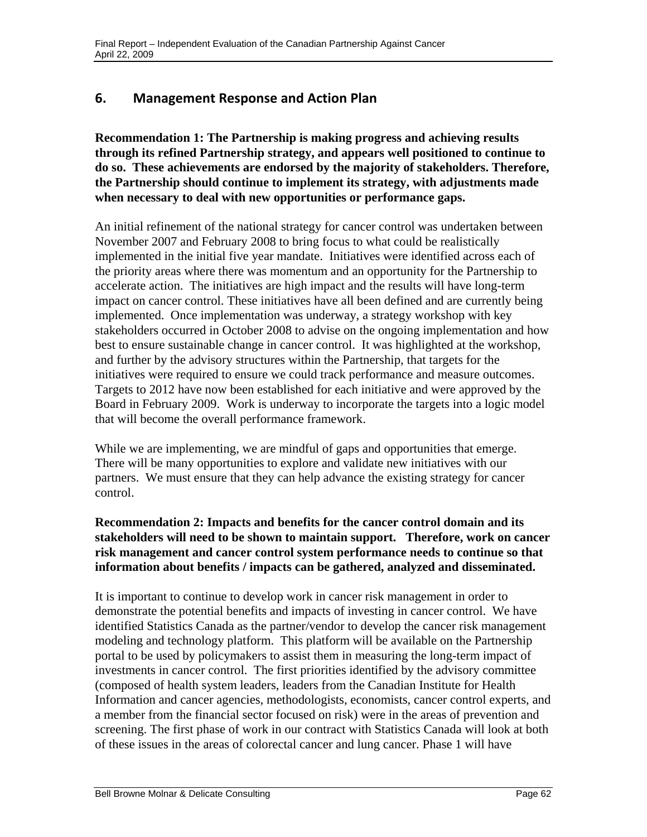# **6. Management Response and Action Plan**

**Recommendation 1: The Partnership is making progress and achieving results through its refined Partnership strategy, and appears well positioned to continue to do so. These achievements are endorsed by the majority of stakeholders. Therefore, the Partnership should continue to implement its strategy, with adjustments made when necessary to deal with new opportunities or performance gaps.** 

An initial refinement of the national strategy for cancer control was undertaken between November 2007 and February 2008 to bring focus to what could be realistically implemented in the initial five year mandate. Initiatives were identified across each of the priority areas where there was momentum and an opportunity for the Partnership to accelerate action. The initiatives are high impact and the results will have long-term impact on cancer control. These initiatives have all been defined and are currently being implemented. Once implementation was underway, a strategy workshop with key stakeholders occurred in October 2008 to advise on the ongoing implementation and how best to ensure sustainable change in cancer control. It was highlighted at the workshop, and further by the advisory structures within the Partnership, that targets for the initiatives were required to ensure we could track performance and measure outcomes. Targets to 2012 have now been established for each initiative and were approved by the Board in February 2009. Work is underway to incorporate the targets into a logic model that will become the overall performance framework.

While we are implementing, we are mindful of gaps and opportunities that emerge. There will be many opportunities to explore and validate new initiatives with our partners. We must ensure that they can help advance the existing strategy for cancer control.

# **Recommendation 2: Impacts and benefits for the cancer control domain and its stakeholders will need to be shown to maintain support. Therefore, work on cancer risk management and cancer control system performance needs to continue so that information about benefits / impacts can be gathered, analyzed and disseminated.**

It is important to continue to develop work in cancer risk management in order to demonstrate the potential benefits and impacts of investing in cancer control. We have identified Statistics Canada as the partner/vendor to develop the cancer risk management modeling and technology platform. This platform will be available on the Partnership portal to be used by policymakers to assist them in measuring the long-term impact of investments in cancer control. The first priorities identified by the advisory committee (composed of health system leaders, leaders from the Canadian Institute for Health Information and cancer agencies, methodologists, economists, cancer control experts, and a member from the financial sector focused on risk) were in the areas of prevention and screening. The first phase of work in our contract with Statistics Canada will look at both of these issues in the areas of colorectal cancer and lung cancer. Phase 1 will have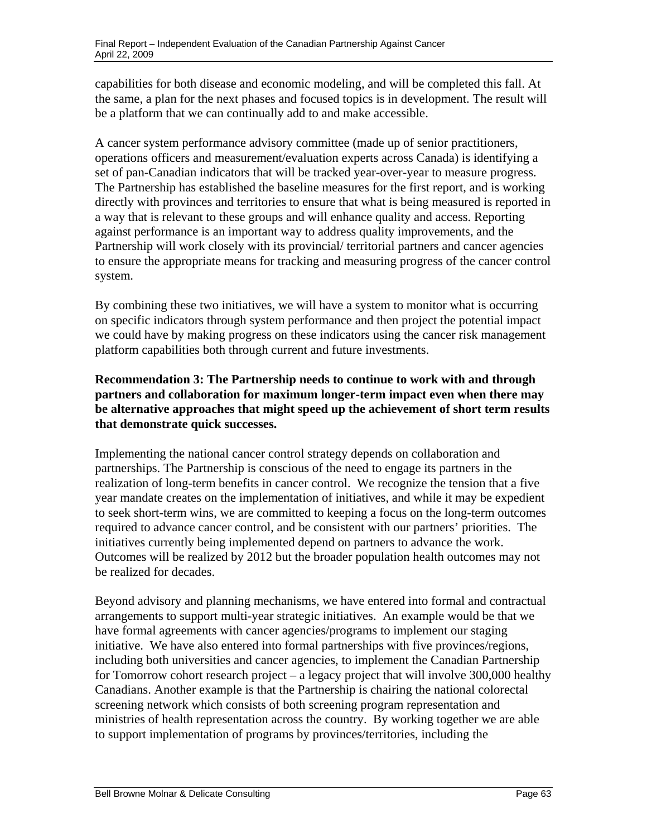capabilities for both disease and economic modeling, and will be completed this fall. At the same, a plan for the next phases and focused topics is in development. The result will be a platform that we can continually add to and make accessible.

The Partnership has established the baseline measures for the first report, and is working A cancer system performance advisory committee (made up of senior practitioners, operations officers and measurement/evaluation experts across Canada) is identifying a set of pan-Canadian indicators that will be tracked year-over-year to measure progress. directly with provinces and territories to ensure that what is being measured is reported in a way that is relevant to these groups and will enhance quality and access. Reporting against performance is an important way to address quality improvements, and the Partnership will work closely with its provincial/ territorial partners and cancer agencies to ensure the appropriate means for tracking and measuring progress of the cancer control system.

By combining these two initiatives, we will have a system to monitor what is occurring on specific indicators through system performance and then project the potential impact we could have by making progress on these indicators using the cancer risk management platform capabilities both through current and future investments.

# **Recommendation 3: The Partnership needs to continue to work with and through partners and collaboration for maximum longer-term impact even when there may be alternative approaches that might speed up the achievement of short term results that demonstrate quick successes.**

partnerships. The Partnership is conscious of the need to engage its partners in the Implementing the national cancer control strategy depends on collaboration and realization of long-term benefits in cancer control. We recognize the tension that a five year mandate creates on the implementation of initiatives, and while it may be expedient to seek short-term wins, we are committed to keeping a focus on the long-term outcomes required to advance cancer control, and be consistent with our partners' priorities. The initiatives currently being implemented depend on partners to advance the work. Outcomes will be realized by 2012 but the broader population health outcomes may not be realized for decades.

Beyond advisory and planning mechanisms, we have entered into formal and contractual arrangements to support multi-year strategic initiatives. An example would be that we have formal agreements with cancer agencies/programs to implement our staging initiative. We have also entered into formal partnerships with five provinces/regions, including both universities and cancer agencies, to implement the Canadian Partnership for Tomorrow cohort research project – a legacy project that will involve 300,000 healthy Canadians. Another example is that the Partnership is chairing the national colorectal screening network which consists of both screening program representation and ministries of health representation across the country. By working together we are able to support implementation of programs by provinces/territories, including the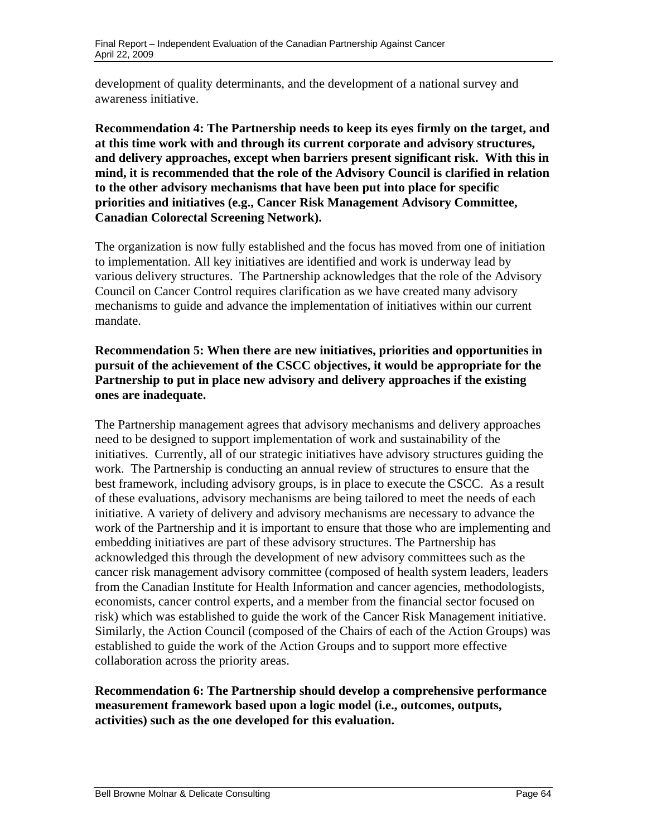development of quality determinants, and the development of a national survey and awareness initiative.

**Recommendation 4: The Partnership needs to keep its eyes firmly on the target, and at this time work with and through its current corporate and advisory structures, and delivery approaches, except when barriers present significant risk. With this in mind, it is recommended that the role of the Advisory Council is clarified in relation to the other advisory mechanisms that have been put into place for specific priorities and initiatives (e.g., Cancer Risk Management Advisory Committee, Canadian Colorectal Screening Network).** 

The organization is now fully established and the focus has moved from one of initiation to implementation. All key initiatives are identified and work is underway lead by various delivery structures. The Partnership acknowledges that the role of the Advisory Council on Cancer Control requires clarification as we have created many advisory mechanisms to guide and advance the implementation of initiatives within our current mandate.

# **Recommendation 5: When there are new initiatives, priorities and opportunities in pursuit of the achievement of the CSCC objectives, it would be appropriate for the Partnership to put in place new advisory and delivery approaches if the existing ones are inadequate.**

The Partnership management agrees that advisory mechanisms and delivery approaches need to be designed to support implementation of work and sustainability of the initiatives. Currently, all of our strategic initiatives have advisory structures guiding the work. The Partnership is conducting an annual review of structures to ensure that the best framework, including advisory groups, is in place to execute the CSCC. As a result of these evaluations, advisory mechanisms are being tailored to meet the needs of each initiative. A variety of delivery and advisory mechanisms are necessary to advance the work of the Partnership and it is important to ensure that those who are implementing and embedding initiatives are part of these advisory structures. The Partnership has acknowledged this through the development of new advisory committees such as the cancer risk management advisory committee (composed of health system leaders, leaders from the Canadian Institute for Health Information and cancer agencies, methodologists, economists, cancer control experts, and a member from the financial sector focused on risk) which was established to guide the work of the Cancer Risk Management initiative. Similarly, the Action Council (composed of the Chairs of each of the Action Groups) was established to guide the work of the Action Groups and to support more effective collaboration across the priority areas.

## **Recommendation 6: The Partnership should develop a comprehensive performance measurement framework based upon a logic model (i.e., outcomes, outputs, activities) such as the one developed for this evaluation.**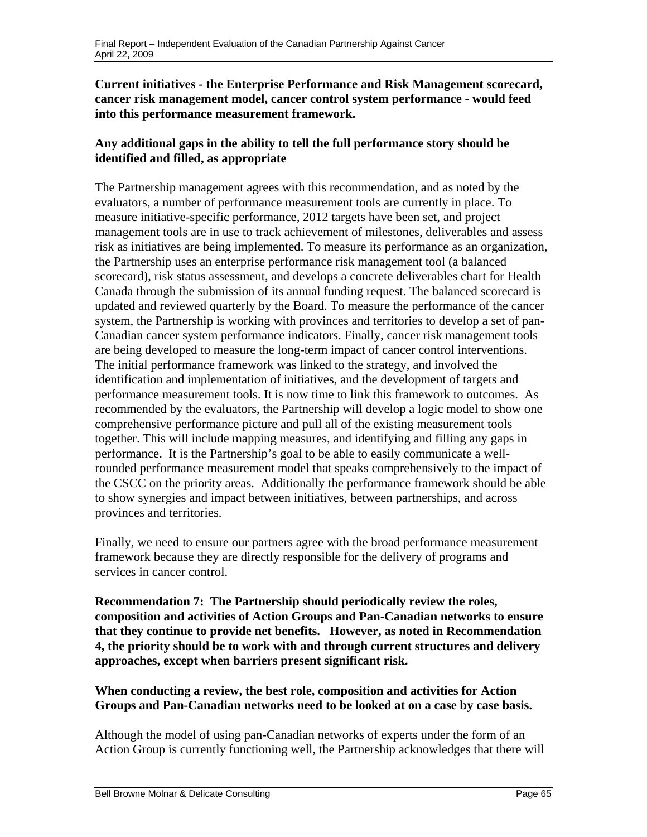# **Current initiatives - the Enterprise Performance and Risk Management scorecard, cancer risk management model, cancer control system performance - would feed into this performance measurement framework.**

# **Any additional gaps in the ability to tell the full performance story should be identified and filled, as appropriate**

The Partnership management agrees with this recommendation, and as noted by the evaluators, a number of performance measurement tools are currently in place. To measure initiative-specific performance, 2012 targets have been set, and project management tools are in use to track achievement of milestones, deliverables and assess risk as initiatives are being implemented. To measure its performance as an organization, the Partnership uses an enterprise performance risk management tool (a balanced scorecard), risk status assessment, and develops a concrete deliverables chart for Health Canada through the submission of its annual funding request. The balanced scorecard is updated and reviewed quarterly by the Board. To measure the performance of the cancer system, the Partnership is working with provinces and territories to develop a set of pan-Canadian cancer system performance indicators. Finally, cancer risk management tools are being developed to measure the long-term impact of cancer control interventions. The initial performance framework was linked to the strategy, and involved the identification and implementation of initiatives, and the development of targets and performance measurement tools. It is now time to link this framework to outcomes. As recommended by the evaluators, the Partnership will develop a logic model to show one comprehensive performance picture and pull all of the existing measurement tools together. This will include mapping measures, and identifying and filling any gaps in performance. It is the Partnership's goal to be able to easily communicate a wellrounded performance measurement model that speaks comprehensively to the impact of the CSCC on the priority areas. Additionally the performance framework should be able to show synergies and impact between initiatives, between partnerships, and across provinces and territories.

Finally, we need to ensure our partners agree with the broad performance measurement framework because they are directly responsible for the delivery of programs and services in cancer control.

**Recommendation 7: The Partnership should periodically review the roles, composition and activities of Action Groups and Pan-Canadian networks to ensure that they continue to provide net benefits. However, as noted in Recommendation 4, the priority should be to work with and through current structures and delivery approaches, except when barriers present significant risk.** 

## **When conducting a review, the best role, composition and activities for Action Groups and Pan-Canadian networks need to be looked at on a case by case basis.**

Although the model of using pan-Canadian networks of experts under the form of an Action Group is currently functioning well, the Partnership acknowledges that there will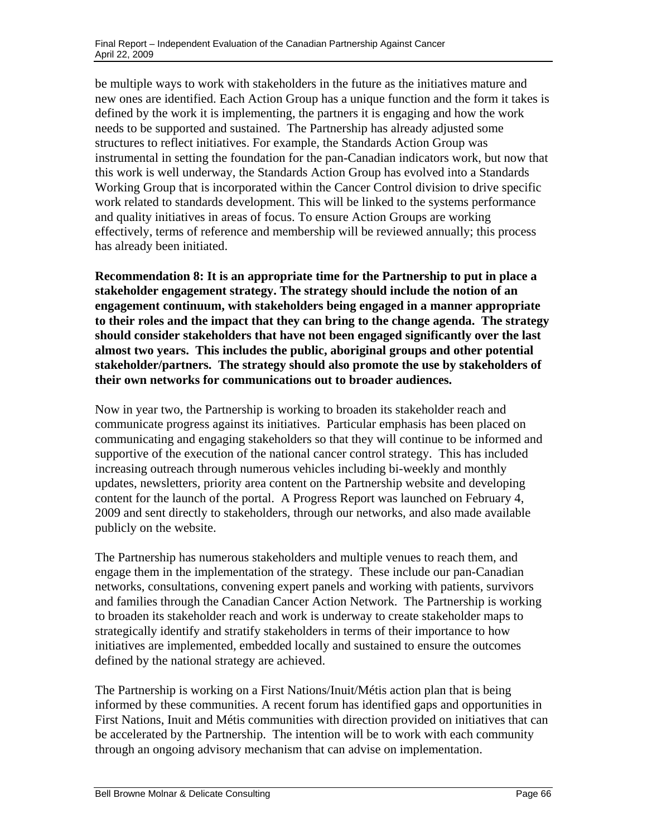be multiple ways to work with stakeholders in the future as the initiatives mature and new ones are identified. Each Action Group has a unique function and the form it takes is defined by the work it is implementing, the partners it is engaging and how the work needs to be supported and sustained. The Partnership has already adjusted some structures to reflect initiatives. For example, the Standards Action Group was instrumental in setting the foundation for the pan-Canadian indicators work, but now that this work is well underway, the Standards Action Group has evolved into a Standards Working Group that is incorporated within the Cancer Control division to drive specific work related to standards development. This will be linked to the systems performance and quality initiatives in areas of focus. To ensure Action Groups are working effectively, terms of reference and membership will be reviewed annually; this process has already been initiated.

**Recommendation 8: It is an appropriate time for the Partnership to put in place a stakeholder engagement strategy. The strategy should include the notion of an engagement continuum, with stakeholders being engaged in a manner appropriate to their roles and the impact that they can bring to the change agenda. The strategy should consider stakeholders that have not been engaged significantly over the last almost two years. This includes the public, aboriginal groups and other potential stakeholder/partners. The strategy should also promote the use by stakeholders of their own networks for communications out to broader audiences.** 

Now in year two, the Partnership is working to broaden its stakeholder reach and communicate progress against its initiatives. Particular emphasis has been placed on communicating and engaging stakeholders so that they will continue to be informed and supportive of the execution of the national cancer control strategy. This has included increasing outreach through numerous vehicles including bi-weekly and monthly updates, newsletters, priority area content on the Partnership website and developing content for the launch of the portal. A Progress Report was launched on February 4, 2009 and sent directly to stakeholders, through our networks, and also made available publicly on the website.

The Partnership has numerous stakeholders and multiple venues to reach them, and engage them in the implementation of the strategy. These include our pan-Canadian networks, consultations, convening expert panels and working with patients, survivors and families through the Canadian Cancer Action Network. The Partnership is working to broaden its stakeholder reach and work is underway to create stakeholder maps to strategically identify and stratify stakeholders in terms of their importance to how initiatives are implemented, embedded locally and sustained to ensure the outcomes defined by the national strategy are achieved.

The Partnership is working on a First Nations/Inuit/Métis action plan that is being informed by these communities. A recent forum has identified gaps and opportunities in First Nations, Inuit and Métis communities with direction provided on initiatives that can be accelerated by the Partnership. The intention will be to work with each community through an ongoing advisory mechanism that can advise on implementation.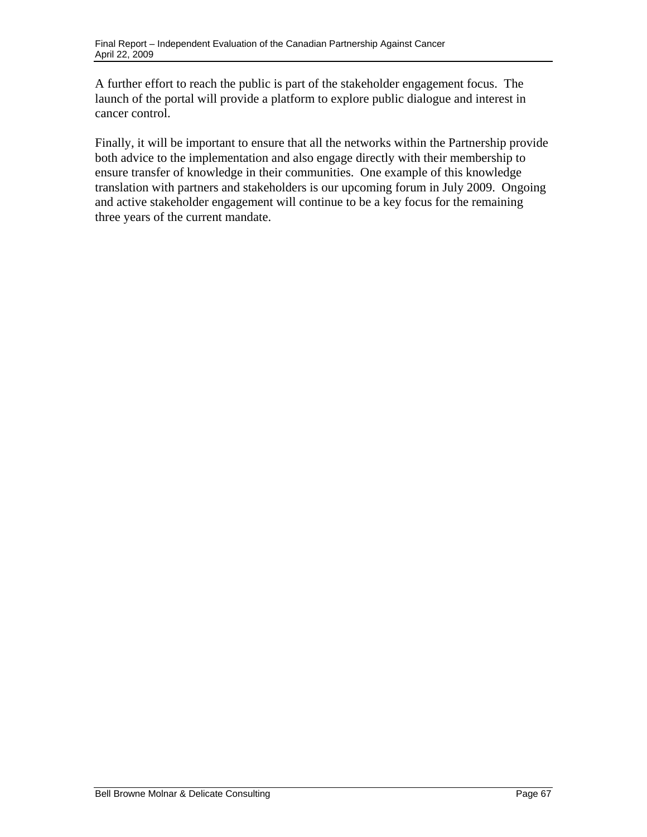A further effort to reach the public is part of the stakeholder engagement focus. The launch of the portal will provide a platform to explore public dialogue and interest in cancer control.

Finally, it will be important to ensure that all the networks within the Partnership provide both advice to the implementation and also engage directly with their membership to ensure transfer of knowledge in their communities. One example of this knowledge translation with partners and stakeholders is our upcoming forum in July 2009. Ongoing and active stakeholder engagement will continue to be a key focus for the remaining three years of the current mandate.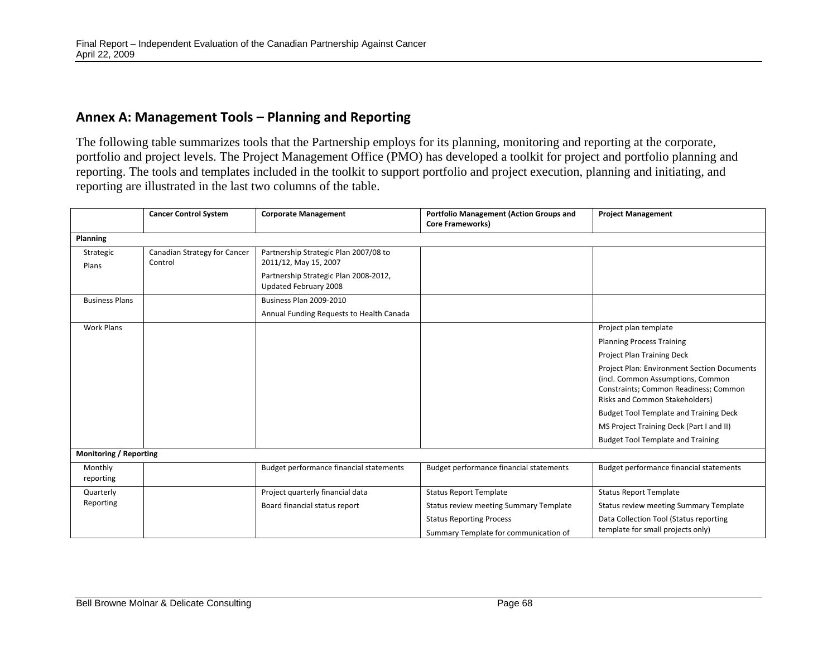# **Annex A: Management Tools – Planning and Reporting**

The following table summarizes tools that the Partnership employs for its planning, monitoring and reporting at the corporate, portfolio and project levels. The Project Management Office (PMO) has developed a toolkit for project and portfolio planning and reporting. The tools and templates included in the toolkit to support portfolio and project execution, planning and initiating, and reporting are illustrated in the last two columns of the table.

|                               | <b>Cancer Control System</b>            | <b>Corporate Management</b>                                    | <b>Portfolio Management (Action Groups and</b><br><b>Core Frameworks)</b> | <b>Project Management</b>                                                                                                                                          |  |  |  |  |
|-------------------------------|-----------------------------------------|----------------------------------------------------------------|---------------------------------------------------------------------------|--------------------------------------------------------------------------------------------------------------------------------------------------------------------|--|--|--|--|
| <b>Planning</b>               |                                         |                                                                |                                                                           |                                                                                                                                                                    |  |  |  |  |
| Strategic<br>Plans            | Canadian Strategy for Cancer<br>Control | Partnership Strategic Plan 2007/08 to<br>2011/12, May 15, 2007 |                                                                           |                                                                                                                                                                    |  |  |  |  |
|                               |                                         | Partnership Strategic Plan 2008-2012,<br>Updated February 2008 |                                                                           |                                                                                                                                                                    |  |  |  |  |
| <b>Business Plans</b>         |                                         | Business Plan 2009-2010                                        |                                                                           |                                                                                                                                                                    |  |  |  |  |
|                               |                                         | Annual Funding Requests to Health Canada                       |                                                                           |                                                                                                                                                                    |  |  |  |  |
| <b>Work Plans</b>             |                                         |                                                                |                                                                           | Project plan template                                                                                                                                              |  |  |  |  |
|                               |                                         |                                                                |                                                                           | <b>Planning Process Training</b>                                                                                                                                   |  |  |  |  |
|                               |                                         |                                                                |                                                                           | Project Plan Training Deck                                                                                                                                         |  |  |  |  |
|                               |                                         |                                                                |                                                                           | <b>Project Plan: Environment Section Documents</b><br>(incl. Common Assumptions, Common<br>Constraints; Common Readiness; Common<br>Risks and Common Stakeholders) |  |  |  |  |
|                               |                                         |                                                                |                                                                           | <b>Budget Tool Template and Training Deck</b>                                                                                                                      |  |  |  |  |
|                               |                                         |                                                                |                                                                           | MS Project Training Deck (Part I and II)                                                                                                                           |  |  |  |  |
|                               |                                         |                                                                |                                                                           | <b>Budget Tool Template and Training</b>                                                                                                                           |  |  |  |  |
| <b>Monitoring / Reporting</b> |                                         |                                                                |                                                                           |                                                                                                                                                                    |  |  |  |  |
| Monthly<br>reporting          |                                         | Budget performance financial statements                        | Budget performance financial statements                                   | Budget performance financial statements                                                                                                                            |  |  |  |  |
| Quarterly                     |                                         | Project quarterly financial data                               | <b>Status Report Template</b>                                             | <b>Status Report Template</b>                                                                                                                                      |  |  |  |  |
| Reporting                     |                                         | Board financial status report                                  | Status review meeting Summary Template                                    | <b>Status review meeting Summary Template</b>                                                                                                                      |  |  |  |  |
|                               |                                         |                                                                | <b>Status Reporting Process</b>                                           | Data Collection Tool (Status reporting                                                                                                                             |  |  |  |  |
|                               |                                         |                                                                | Summary Template for communication of                                     | template for small projects only)                                                                                                                                  |  |  |  |  |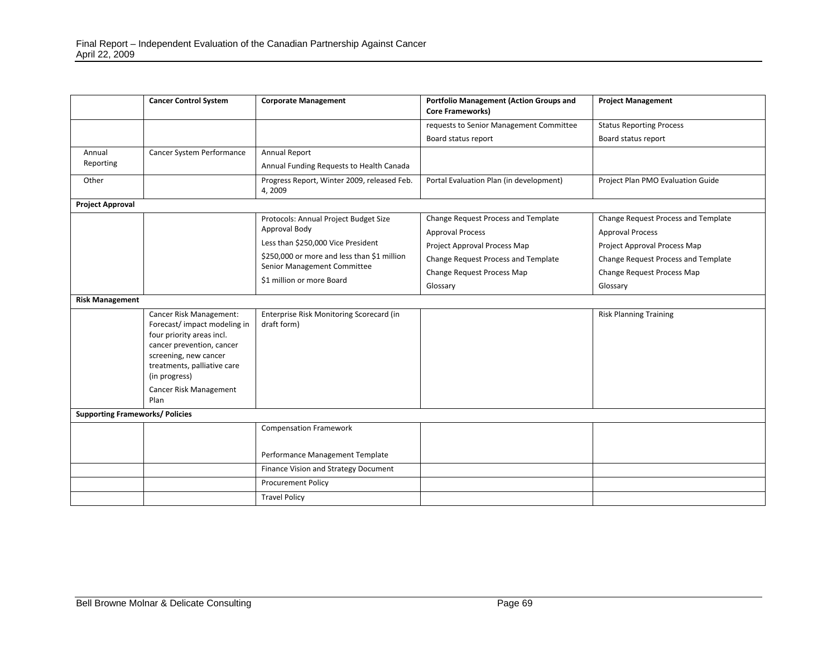|                                        | <b>Cancer Control System</b>                                                                                                                                                                                                | <b>Corporate Management</b>                             | <b>Portfolio Management (Action Groups and</b><br><b>Core Frameworks)</b> | <b>Project Management</b>           |  |  |  |
|----------------------------------------|-----------------------------------------------------------------------------------------------------------------------------------------------------------------------------------------------------------------------------|---------------------------------------------------------|---------------------------------------------------------------------------|-------------------------------------|--|--|--|
|                                        |                                                                                                                                                                                                                             |                                                         | requests to Senior Management Committee                                   | <b>Status Reporting Process</b>     |  |  |  |
|                                        |                                                                                                                                                                                                                             |                                                         | Board status report                                                       | Board status report                 |  |  |  |
| Annual                                 | Cancer System Performance                                                                                                                                                                                                   | Annual Report                                           |                                                                           |                                     |  |  |  |
| Reporting                              |                                                                                                                                                                                                                             | Annual Funding Requests to Health Canada                |                                                                           |                                     |  |  |  |
| Other                                  |                                                                                                                                                                                                                             | Progress Report, Winter 2009, released Feb.<br>4,2009   | Portal Evaluation Plan (in development)                                   | Project Plan PMO Evaluation Guide   |  |  |  |
| <b>Project Approval</b>                |                                                                                                                                                                                                                             |                                                         |                                                                           |                                     |  |  |  |
|                                        |                                                                                                                                                                                                                             | Protocols: Annual Project Budget Size                   | Change Request Process and Template                                       | Change Request Process and Template |  |  |  |
|                                        |                                                                                                                                                                                                                             | Approval Body                                           | <b>Approval Process</b>                                                   | <b>Approval Process</b>             |  |  |  |
|                                        |                                                                                                                                                                                                                             | Less than \$250,000 Vice President                      | Project Approval Process Map                                              | Project Approval Process Map        |  |  |  |
|                                        |                                                                                                                                                                                                                             | \$250,000 or more and less than \$1 million             | Change Request Process and Template                                       | Change Request Process and Template |  |  |  |
|                                        |                                                                                                                                                                                                                             | Senior Management Committee                             | Change Request Process Map                                                | Change Request Process Map          |  |  |  |
|                                        |                                                                                                                                                                                                                             | \$1 million or more Board                               | Glossary                                                                  | Glossary                            |  |  |  |
| <b>Risk Management</b>                 |                                                                                                                                                                                                                             |                                                         |                                                                           |                                     |  |  |  |
|                                        | Cancer Risk Management:<br>Forecast/impact modeling in<br>four priority areas incl.<br>cancer prevention, cancer<br>screening, new cancer<br>treatments, palliative care<br>(in progress)<br>Cancer Risk Management<br>Plan | Enterprise Risk Monitoring Scorecard (in<br>draft form) |                                                                           | <b>Risk Planning Training</b>       |  |  |  |
| <b>Supporting Frameworks/ Policies</b> |                                                                                                                                                                                                                             |                                                         |                                                                           |                                     |  |  |  |
|                                        |                                                                                                                                                                                                                             | <b>Compensation Framework</b>                           |                                                                           |                                     |  |  |  |
|                                        |                                                                                                                                                                                                                             | Performance Management Template                         |                                                                           |                                     |  |  |  |
|                                        |                                                                                                                                                                                                                             | Finance Vision and Strategy Document                    |                                                                           |                                     |  |  |  |
|                                        |                                                                                                                                                                                                                             | <b>Procurement Policy</b>                               |                                                                           |                                     |  |  |  |
|                                        |                                                                                                                                                                                                                             | <b>Travel Policy</b>                                    |                                                                           |                                     |  |  |  |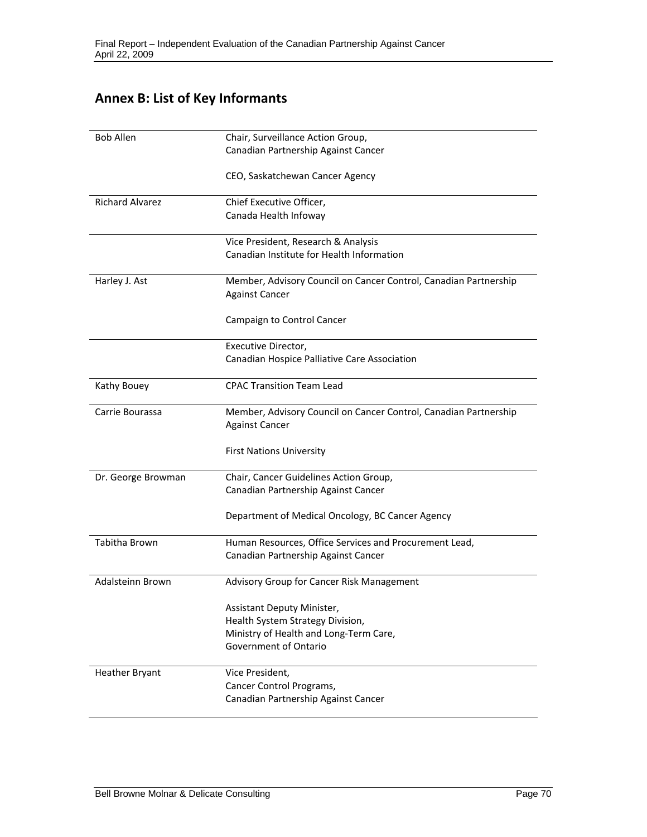# **Annex B: List of Key Informants**

| <b>Bob Allen</b>       | Chair, Surveillance Action Group,                                |
|------------------------|------------------------------------------------------------------|
|                        | Canadian Partnership Against Cancer                              |
|                        | CEO, Saskatchewan Cancer Agency                                  |
| <b>Richard Alvarez</b> | Chief Executive Officer,                                         |
|                        | Canada Health Infoway                                            |
|                        | Vice President, Research & Analysis                              |
|                        | Canadian Institute for Health Information                        |
| Harley J. Ast          | Member, Advisory Council on Cancer Control, Canadian Partnership |
|                        | <b>Against Cancer</b>                                            |
|                        | Campaign to Control Cancer                                       |
|                        | Executive Director,                                              |
|                        | Canadian Hospice Palliative Care Association                     |
| Kathy Bouey            | <b>CPAC Transition Team Lead</b>                                 |
| Carrie Bourassa        | Member, Advisory Council on Cancer Control, Canadian Partnership |
|                        | <b>Against Cancer</b>                                            |
|                        | <b>First Nations University</b>                                  |
| Dr. George Browman     | Chair, Cancer Guidelines Action Group,                           |
|                        | Canadian Partnership Against Cancer                              |
|                        | Department of Medical Oncology, BC Cancer Agency                 |
| Tabitha Brown          | Human Resources, Office Services and Procurement Lead,           |
|                        | Canadian Partnership Against Cancer                              |
| Adalsteinn Brown       | Advisory Group for Cancer Risk Management                        |
|                        | Assistant Deputy Minister,                                       |
|                        | Health System Strategy Division,                                 |
|                        | Ministry of Health and Long-Term Care,                           |
|                        | Government of Ontario                                            |
| <b>Heather Bryant</b>  | Vice President,                                                  |
|                        | Cancer Control Programs,                                         |
|                        | Canadian Partnership Against Cancer                              |
|                        |                                                                  |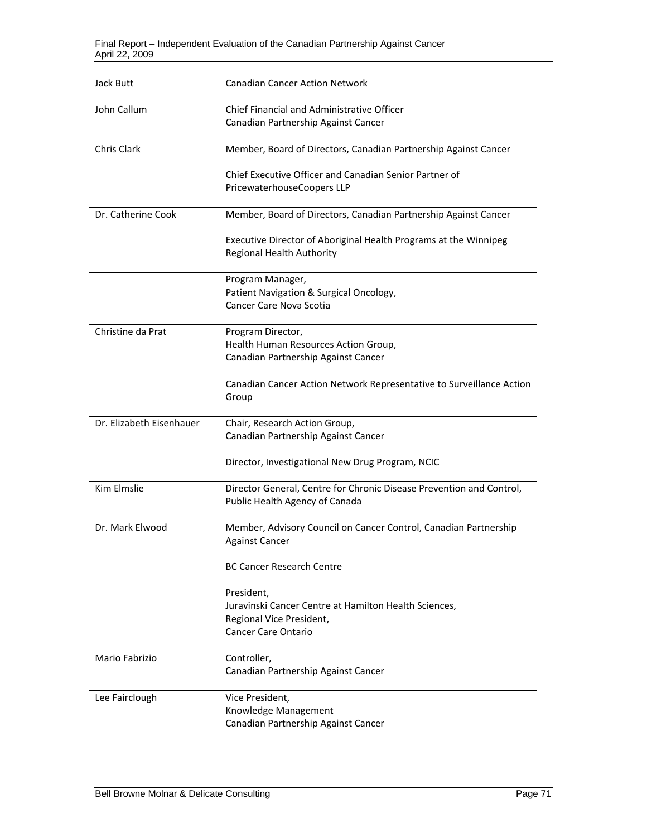| Jack Butt                | <b>Canadian Cancer Action Network</b>                                |
|--------------------------|----------------------------------------------------------------------|
| John Callum              | <b>Chief Financial and Administrative Officer</b>                    |
|                          | Canadian Partnership Against Cancer                                  |
| Chris Clark              | Member, Board of Directors, Canadian Partnership Against Cancer      |
|                          | Chief Executive Officer and Canadian Senior Partner of               |
|                          | PricewaterhouseCoopers LLP                                           |
|                          |                                                                      |
| Dr. Catherine Cook       | Member, Board of Directors, Canadian Partnership Against Cancer      |
|                          | Executive Director of Aboriginal Health Programs at the Winnipeg     |
|                          | <b>Regional Health Authority</b>                                     |
|                          | Program Manager,                                                     |
|                          | Patient Navigation & Surgical Oncology,                              |
|                          | Cancer Care Nova Scotia                                              |
| Christine da Prat        | Program Director,                                                    |
|                          | Health Human Resources Action Group,                                 |
|                          | Canadian Partnership Against Cancer                                  |
|                          |                                                                      |
|                          | Canadian Cancer Action Network Representative to Surveillance Action |
|                          | Group                                                                |
| Dr. Elizabeth Eisenhauer | Chair, Research Action Group,                                        |
|                          | Canadian Partnership Against Cancer                                  |
|                          | Director, Investigational New Drug Program, NCIC                     |
| <b>Kim Elmslie</b>       | Director General, Centre for Chronic Disease Prevention and Control, |
|                          | Public Health Agency of Canada                                       |
| Dr. Mark Elwood          | Member, Advisory Council on Cancer Control, Canadian Partnership     |
|                          | <b>Against Cancer</b>                                                |
|                          |                                                                      |
|                          | <b>BC Cancer Research Centre</b>                                     |
|                          | President,                                                           |
|                          | Juravinski Cancer Centre at Hamilton Health Sciences,                |
|                          | Regional Vice President,                                             |
|                          | <b>Cancer Care Ontario</b>                                           |
| Mario Fabrizio           | Controller,                                                          |
|                          | Canadian Partnership Against Cancer                                  |
|                          |                                                                      |
| Lee Fairclough           | Vice President,                                                      |
|                          |                                                                      |
|                          | Knowledge Management                                                 |
|                          | Canadian Partnership Against Cancer                                  |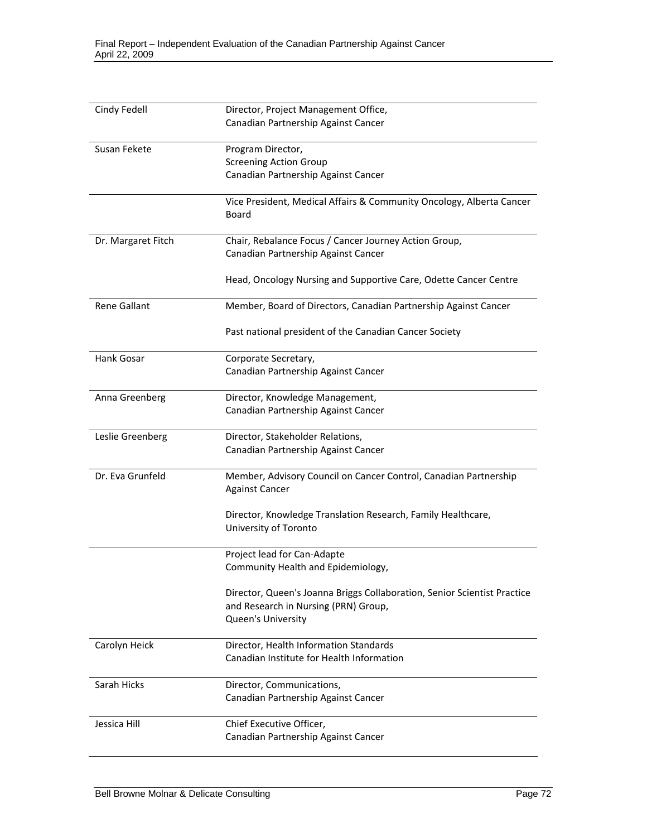| Cindy Fedell        | Director, Project Management Office,                                     |
|---------------------|--------------------------------------------------------------------------|
|                     | Canadian Partnership Against Cancer                                      |
|                     |                                                                          |
| Susan Fekete        | Program Director,                                                        |
|                     | <b>Screening Action Group</b>                                            |
|                     | Canadian Partnership Against Cancer                                      |
|                     |                                                                          |
|                     | Vice President, Medical Affairs & Community Oncology, Alberta Cancer     |
|                     | <b>Board</b>                                                             |
|                     |                                                                          |
| Dr. Margaret Fitch  | Chair, Rebalance Focus / Cancer Journey Action Group,                    |
|                     | Canadian Partnership Against Cancer                                      |
|                     |                                                                          |
|                     | Head, Oncology Nursing and Supportive Care, Odette Cancer Centre         |
|                     |                                                                          |
| <b>Rene Gallant</b> | Member, Board of Directors, Canadian Partnership Against Cancer          |
|                     |                                                                          |
|                     | Past national president of the Canadian Cancer Society                   |
|                     |                                                                          |
| Hank Gosar          | Corporate Secretary,                                                     |
|                     | Canadian Partnership Against Cancer                                      |
|                     |                                                                          |
| Anna Greenberg      | Director, Knowledge Management,                                          |
|                     | Canadian Partnership Against Cancer                                      |
|                     |                                                                          |
| Leslie Greenberg    | Director, Stakeholder Relations,                                         |
|                     | Canadian Partnership Against Cancer                                      |
|                     |                                                                          |
| Dr. Eva Grunfeld    | Member, Advisory Council on Cancer Control, Canadian Partnership         |
|                     | <b>Against Cancer</b>                                                    |
|                     |                                                                          |
|                     | Director, Knowledge Translation Research, Family Healthcare,             |
|                     | University of Toronto                                                    |
|                     |                                                                          |
|                     | Project lead for Can-Adapte                                              |
|                     | Community Health and Epidemiology,                                       |
|                     |                                                                          |
|                     | Director, Queen's Joanna Briggs Collaboration, Senior Scientist Practice |
|                     | and Research in Nursing (PRN) Group,                                     |
|                     | Queen's University                                                       |
|                     |                                                                          |
| Carolyn Heick       | Director, Health Information Standards                                   |
|                     | Canadian Institute for Health Information                                |
|                     |                                                                          |
| Sarah Hicks         | Director, Communications,                                                |
|                     | Canadian Partnership Against Cancer                                      |
|                     |                                                                          |
| Jessica Hill        | Chief Executive Officer,                                                 |
|                     | Canadian Partnership Against Cancer                                      |
|                     |                                                                          |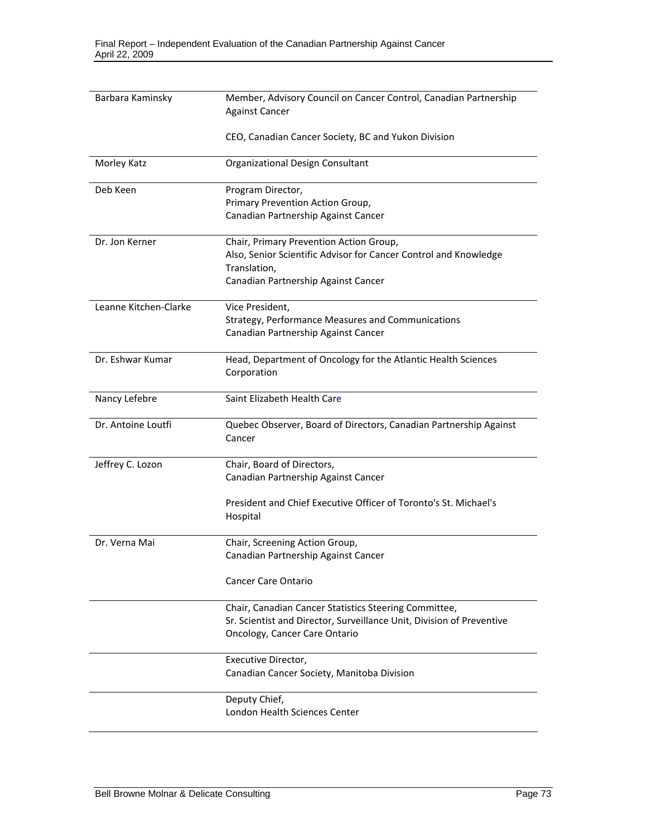| Barbara Kaminsky      | Member, Advisory Council on Cancer Control, Canadian Partnership<br><b>Against Cancer</b> |
|-----------------------|-------------------------------------------------------------------------------------------|
|                       |                                                                                           |
|                       | CEO, Canadian Cancer Society, BC and Yukon Division                                       |
| Morley Katz           | Organizational Design Consultant                                                          |
| Deb Keen              | Program Director,                                                                         |
|                       | Primary Prevention Action Group,                                                          |
|                       | Canadian Partnership Against Cancer                                                       |
| Dr. Jon Kerner        | Chair, Primary Prevention Action Group,                                                   |
|                       | Also, Senior Scientific Advisor for Cancer Control and Knowledge                          |
|                       | Translation,                                                                              |
|                       | Canadian Partnership Against Cancer                                                       |
| Leanne Kitchen-Clarke | Vice President,                                                                           |
|                       | Strategy, Performance Measures and Communications                                         |
|                       | Canadian Partnership Against Cancer                                                       |
| Dr. Eshwar Kumar      | Head, Department of Oncology for the Atlantic Health Sciences                             |
|                       | Corporation                                                                               |
| Nancy Lefebre         | Saint Elizabeth Health Care                                                               |
| Dr. Antoine Loutfi    | Quebec Observer, Board of Directors, Canadian Partnership Against                         |
|                       | Cancer                                                                                    |
| Jeffrey C. Lozon      | Chair, Board of Directors,                                                                |
|                       | Canadian Partnership Against Cancer                                                       |
|                       | President and Chief Executive Officer of Toronto's St. Michael's                          |
|                       | Hospital                                                                                  |
| Dr. Verna Mai         | Chair, Screening Action Group,                                                            |
|                       | Canadian Partnership Against Cancer                                                       |
|                       | <b>Cancer Care Ontario</b>                                                                |
|                       | Chair, Canadian Cancer Statistics Steering Committee,                                     |
|                       | Sr. Scientist and Director, Surveillance Unit, Division of Preventive                     |
|                       | Oncology, Cancer Care Ontario                                                             |
|                       | Executive Director,                                                                       |
|                       | Canadian Cancer Society, Manitoba Division                                                |
|                       | Deputy Chief,                                                                             |
|                       | London Health Sciences Center                                                             |
|                       |                                                                                           |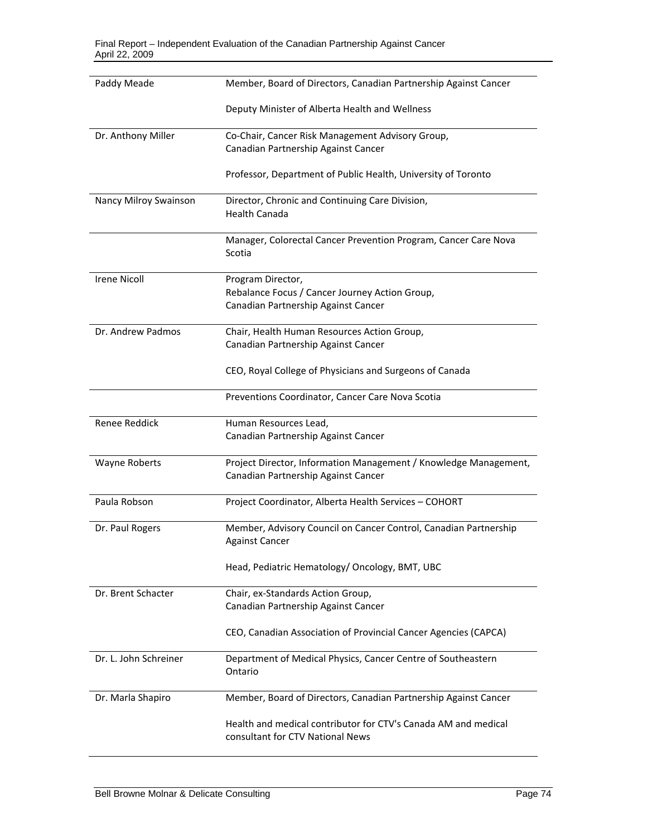| Paddy Meade           | Member, Board of Directors, Canadian Partnership Against Cancer                                    |
|-----------------------|----------------------------------------------------------------------------------------------------|
|                       | Deputy Minister of Alberta Health and Wellness                                                     |
| Dr. Anthony Miller    | Co-Chair, Cancer Risk Management Advisory Group,<br>Canadian Partnership Against Cancer            |
|                       | Professor, Department of Public Health, University of Toronto                                      |
| Nancy Milroy Swainson | Director, Chronic and Continuing Care Division,<br><b>Health Canada</b>                            |
|                       | Manager, Colorectal Cancer Prevention Program, Cancer Care Nova<br>Scotia                          |
| <b>Irene Nicoll</b>   | Program Director,                                                                                  |
|                       | Rebalance Focus / Cancer Journey Action Group,<br>Canadian Partnership Against Cancer              |
| Dr. Andrew Padmos     | Chair, Health Human Resources Action Group,                                                        |
|                       | Canadian Partnership Against Cancer                                                                |
|                       | CEO, Royal College of Physicians and Surgeons of Canada                                            |
|                       | Preventions Coordinator, Cancer Care Nova Scotia                                                   |
| Renee Reddick         | Human Resources Lead,                                                                              |
|                       | Canadian Partnership Against Cancer                                                                |
| Wayne Roberts         | Project Director, Information Management / Knowledge Management,                                   |
|                       | Canadian Partnership Against Cancer                                                                |
| Paula Robson          | Project Coordinator, Alberta Health Services - COHORT                                              |
| Dr. Paul Rogers       | Member, Advisory Council on Cancer Control, Canadian Partnership<br><b>Against Cancer</b>          |
|                       | Head, Pediatric Hematology/ Oncology, BMT, UBC                                                     |
| Dr. Brent Schacter    | Chair, ex-Standards Action Group,                                                                  |
|                       | Canadian Partnership Against Cancer                                                                |
|                       | CEO, Canadian Association of Provincial Cancer Agencies (CAPCA)                                    |
| Dr. L. John Schreiner | Department of Medical Physics, Cancer Centre of Southeastern<br>Ontario                            |
| Dr. Marla Shapiro     | Member, Board of Directors, Canadian Partnership Against Cancer                                    |
|                       | Health and medical contributor for CTV's Canada AM and medical<br>consultant for CTV National News |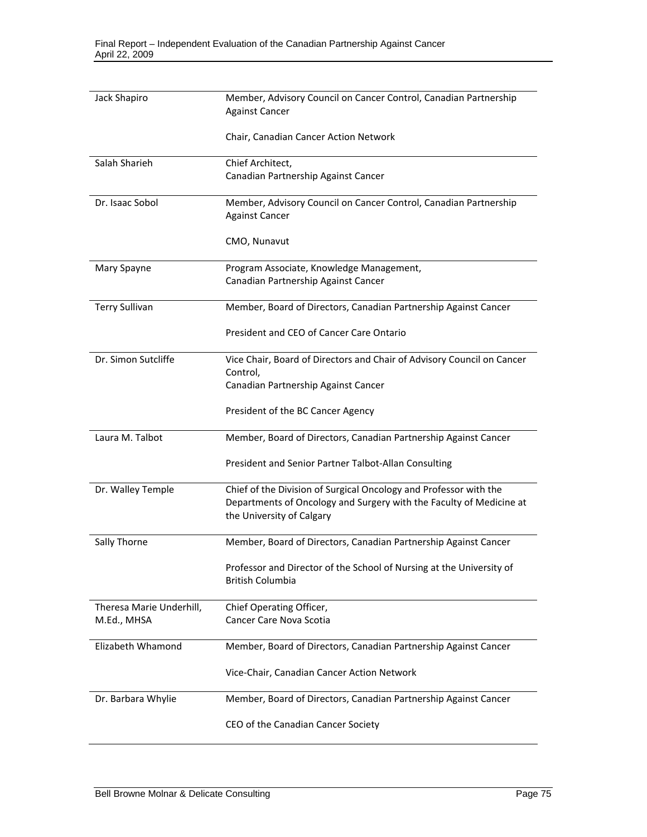| Jack Shapiro                            | Member, Advisory Council on Cancer Control, Canadian Partnership                                                                                                      |
|-----------------------------------------|-----------------------------------------------------------------------------------------------------------------------------------------------------------------------|
|                                         | <b>Against Cancer</b>                                                                                                                                                 |
|                                         | Chair, Canadian Cancer Action Network                                                                                                                                 |
| Salah Sharieh                           | Chief Architect,                                                                                                                                                      |
|                                         | Canadian Partnership Against Cancer                                                                                                                                   |
| Dr. Isaac Sobol                         | Member, Advisory Council on Cancer Control, Canadian Partnership<br><b>Against Cancer</b>                                                                             |
|                                         | CMO, Nunavut                                                                                                                                                          |
| Mary Spayne                             | Program Associate, Knowledge Management,<br>Canadian Partnership Against Cancer                                                                                       |
| <b>Terry Sullivan</b>                   | Member, Board of Directors, Canadian Partnership Against Cancer                                                                                                       |
|                                         | President and CEO of Cancer Care Ontario                                                                                                                              |
| Dr. Simon Sutcliffe                     | Vice Chair, Board of Directors and Chair of Advisory Council on Cancer<br>Control,                                                                                    |
|                                         | Canadian Partnership Against Cancer                                                                                                                                   |
|                                         | President of the BC Cancer Agency                                                                                                                                     |
| Laura M. Talbot                         | Member, Board of Directors, Canadian Partnership Against Cancer                                                                                                       |
|                                         | President and Senior Partner Talbot-Allan Consulting                                                                                                                  |
| Dr. Walley Temple                       | Chief of the Division of Surgical Oncology and Professor with the<br>Departments of Oncology and Surgery with the Faculty of Medicine at<br>the University of Calgary |
| Sally Thorne                            | Member, Board of Directors, Canadian Partnership Against Cancer                                                                                                       |
|                                         | Professor and Director of the School of Nursing at the University of<br><b>British Columbia</b>                                                                       |
| Theresa Marie Underhill,<br>M.Ed., MHSA | Chief Operating Officer,<br>Cancer Care Nova Scotia                                                                                                                   |
| Elizabeth Whamond                       | Member, Board of Directors, Canadian Partnership Against Cancer                                                                                                       |
|                                         | Vice-Chair, Canadian Cancer Action Network                                                                                                                            |
| Dr. Barbara Whylie                      | Member, Board of Directors, Canadian Partnership Against Cancer                                                                                                       |
|                                         | CEO of the Canadian Cancer Society                                                                                                                                    |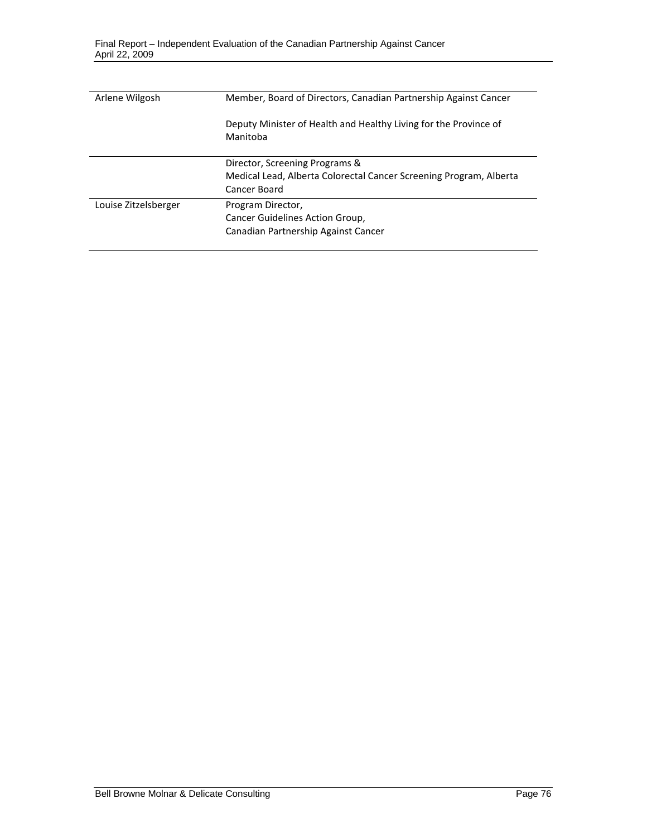| Arlene Wilgosh       | Member, Board of Directors, Canadian Partnership Against Cancer              |
|----------------------|------------------------------------------------------------------------------|
|                      | Deputy Minister of Health and Healthy Living for the Province of<br>Manitoba |
|                      | Director, Screening Programs &                                               |
|                      | Medical Lead, Alberta Colorectal Cancer Screening Program, Alberta           |
|                      | Cancer Board                                                                 |
| Louise Zitzelsberger | Program Director,                                                            |
|                      | Cancer Guidelines Action Group,                                              |
|                      | Canadian Partnership Against Cancer                                          |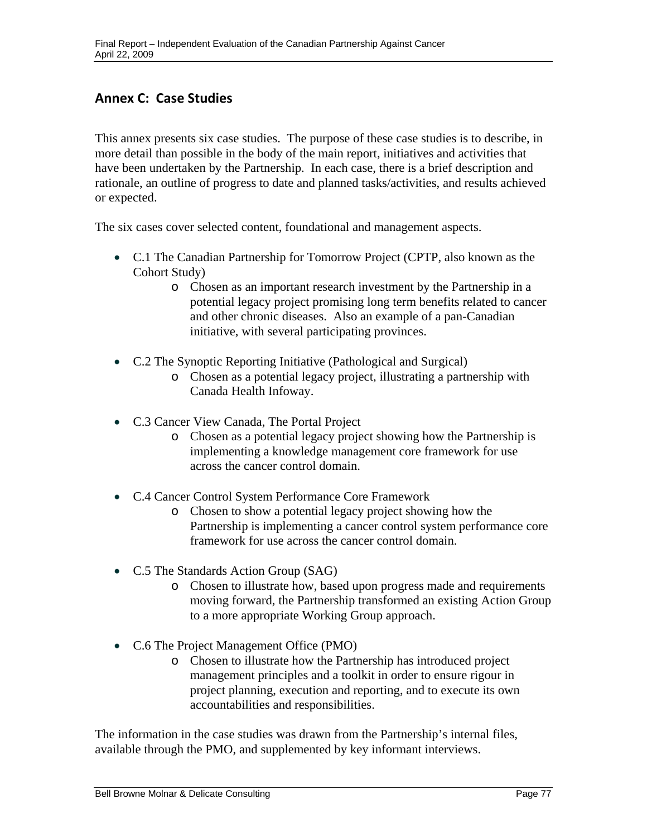## **Annex C: Case Studies**

This annex presents six case studies. The purpose of these case studies is to describe, in more detail than possible in the body of the main report, initiatives and activities that have been undertaken by the Partnership. In each case, there is a brief description and rationale, an outline of progress to date and planned tasks/activities, and results achieved or expected.

The six cases cover selected content, foundational and management aspects.

- C.1 The Canadian Partnership for Tomorrow Project (CPTP, also known as the Cohort Study)
	- o Chosen as an important research investment by the Partnership in a potential legacy project promising long term benefits related to cancer and other chronic diseases. Also an example of a pan-Canadian initiative, with several participating provinces.
- C.2 The Synoptic Reporting Initiative (Pathological and Surgical)
	- o Chosen as a potential legacy project, illustrating a partnership with Canada Health Infoway.
- C.3 Cancer View Canada, The Portal Project
	- o Chosen as a potential legacy project showing how the Partnership is implementing a knowledge management core framework for use across the cancer control domain.
- C.4 Cancer Control System Performance Core Framework
	- o Chosen to show a potential legacy project showing how the Partnership is implementing a cancer control system performance core framework for use across the cancer control domain.
- C.5 The Standards Action Group (SAG)
	- o Chosen to illustrate how, based upon progress made and requirements moving forward, the Partnership transformed an existing Action Group to a more appropriate Working Group approach.
- C.6 The Project Management Office (PMO)
	- o Chosen to illustrate how the Partnership has introduced project management principles and a toolkit in order to ensure rigour in project planning, execution and reporting, and to execute its own accountabilities and responsibilities.

The information in the case studies was drawn from the Partnership's internal files, available through the PMO, and supplemented by key informant interviews.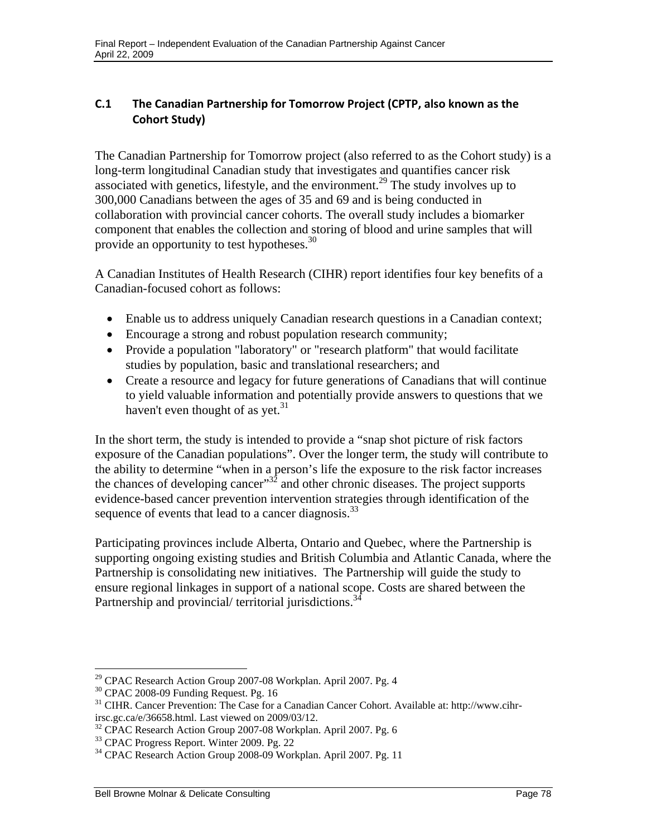## **C.1 The Canadian Partnership for Tomorrow Project (CPTP, also known as the Cohort Study)**

The Canadian Partnership for Tomorrow project (also referred to as the Cohort study) is a long-term longitudinal Canadian study that investigates and quantifies cancer risk associated with genetics, lifestyle, and the environment.<sup>29</sup> The study involves up to 300,000 Canadians between the ages of 35 and 69 and is being conducted in collaboration with provincial cancer cohorts. The overall study includes a biomarker component that enables the collection and storing of blood and urine samples that will provide an opportunity to test hypotheses.<sup>30</sup>

A Canadian Institutes of Health Research (CIHR) report identifies four key benefits of a Canadian-focused cohort as follows:

- Enable us to address uniquely Canadian research questions in a Canadian context;
- Encourage a strong and robust population research community;
- Provide a population "laboratory" or "research platform" that would facilitate studies by population, basic and translational researchers; and
- Create a resource and legacy for future generations of Canadians that will continue to yield valuable information and potentially provide answers to questions that we haven't even thought of as yet. $31$

sequence of events that lead to a cancer diagnosis.<sup>33</sup> In the short term, the study is intended to provide a "snap shot picture of risk factors exposure of the Canadian populations". Over the longer term, the study will contribute to the ability to determine "when in a person's life the exposure to the risk factor increases the chances of developing cancer"<sup>32</sup> and other chronic diseases. The project supports evidence-based cancer prevention intervention strategies through identification of the

Partnership and provincial/ territorial jurisdictions.<sup>34</sup> Participating provinces include Alberta, Ontario and Quebec, where the Partnership is supporting ongoing existing studies and British Columbia and Atlantic Canada, where the Partnership is consolidating new initiatives. The Partnership will guide the study to ensure regional linkages in support of a national scope. Costs are shared between the

<sup>1</sup>  $29$  CPAC Research Action Group 2007-08 Workplan. April 2007. Pg. 4

<sup>&</sup>lt;sup>30</sup> CPAC 2008-09 Funding Request. Pg. 16

<sup>&</sup>lt;sup>31</sup> CIHR. Cancer Prevention: The Case for a Canadian Cancer Cohort. Available at: http://www.cihrirsc.gc.ca/e/36658.html. Last viewed on 2009/03/12.

<sup>32</sup> CPAC Research Action Group 2007-08 Workplan. April 2007. Pg. 6

<sup>&</sup>lt;sup>33</sup> CPAC Progress Report. Winter 2009. Pg. 22

<sup>34</sup> CPAC Research Action Group 2008-09 Workplan. April 2007. Pg. 11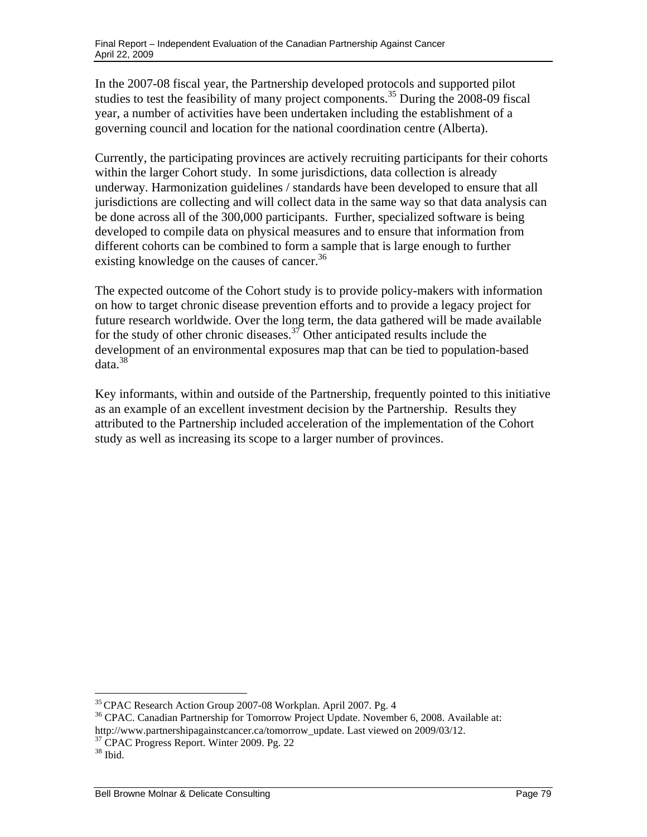In the 2007-08 fiscal year, the Partnership developed protocols and supported pilot studies to test the feasibility of many project components.<sup>35</sup> During the 2008-09 fiscal year, a number of activities have been undertaken including the establishment of a governing council and location for the national coordination centre (Alberta).

existing knowledge on the causes of cancer.<sup>36</sup> Currently, the participating provinces are actively recruiting participants for their cohorts within the larger Cohort study. In some jurisdictions, data collection is already underway. Harmonization guidelines / standards have been developed to ensure that all jurisdictions are collecting and will collect data in the same way so that data analysis can be done across all of the 300,000 participants. Further, specialized software is being developed to compile data on physical measures and to ensure that information from different cohorts can be combined to form a sample that is large enough to further

The expected outcome of the Cohort study is to provide policy-makers with information on how to target chronic disease prevention efforts and to provide a legacy project for future research worldwide. Over the long term, the data gathered will be made available for the study of other chronic diseases.<sup>37</sup> Other anticipated results include the development of an environmental exposures map that can be tied to population-based data.38

Key informants, within and outside of the Partnership, frequently pointed to this initiative as an example of an excellent investment decision by the Partnership. Results they attributed to the Partnership included acceleration of the implementation of the Cohort study as well as increasing its scope to a larger number of provinces.

 $35$  CPAC Research Action Group 2007-08 Workplan. April 2007. Pg. 4<br> $36$  CPAC. Canadian Partnership for Tomorrow Project Update. November 6, 2008. Available at: http://www.partnershipagainstcancer.ca/tomorrow\_update. Last viewed on 2009/03/12.

<sup>&</sup>lt;sup>37</sup> CPAC Progress Report. Winter 2009. Pg. 22

 $38$  Ibid.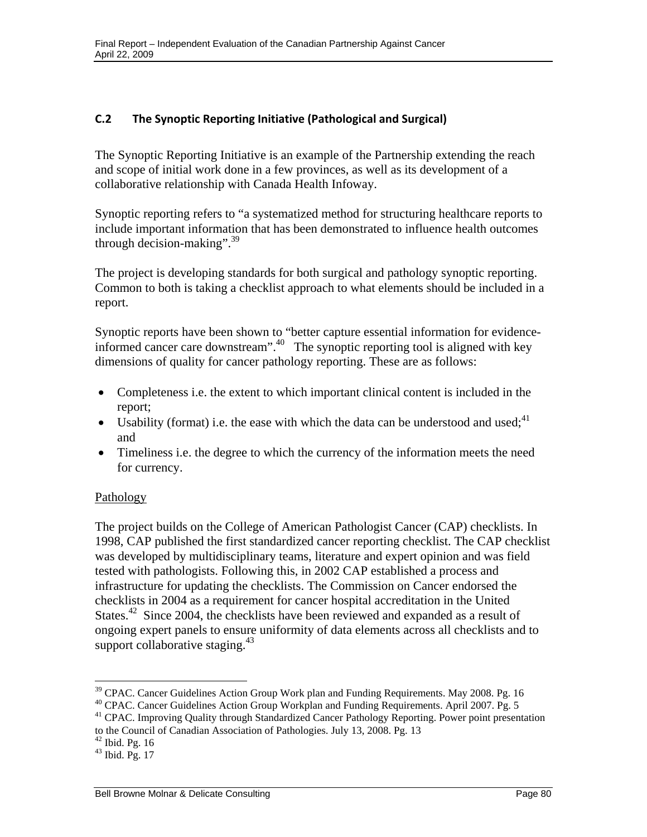#### **C.2 The Synoptic Reporting Initiative (Pathological and Surgical)**

The Synoptic Reporting Initiative is an example of the Partnership extending the reach and scope of initial work done in a few provinces, as well as its development of a collaborative relationship with Canada Health Infoway.

through decision-making". $39$ Synoptic reporting refers to "a systematized method for structuring healthcare reports to include important information that has been demonstrated to influence health outcomes

The project is developing standards for both surgical and pathology synoptic reporting. Common to both is taking a checklist approach to what elements should be included in a report.

Synoptic reports have been shown to "better capture essential information for evidenceinformed cancer care downstream".<sup>40</sup> The synoptic reporting tool is aligned with key dimensions of quality for cancer pathology reporting. These are as follows:

- Completeness i.e. the extent to which important clinical content is included in the report;
- Usability (format) i.e. the ease with which the data can be understood and used;  $4^{1}$ and
- Timeliness i.e. the degree to which the currency of the information meets the need for currency.

#### Pathology

support collaborative staging.<sup>43</sup> The project builds on the College of American Pathologist Cancer (CAP) checklists. In 1998, CAP published the first standardized cancer reporting checklist. The CAP checklist was developed by multidisciplinary teams, literature and expert opinion and was field tested with pathologists. Following this, in 2002 CAP established a process and infrastructure for updating the checklists. The Commission on Cancer endorsed the checklists in 2004 as a requirement for cancer hospital accreditation in the United States.<sup>42</sup> Since 2004, the checklists have been reviewed and expanded as a result of ongoing expert panels to ensure uniformity of data elements across all checklists and to

 $42$  Ibid. Pg. 16

 $39$  CPAC. Cancer Guidelines Action Group Work plan and Funding Requirements. May 2008. Pg. 16

 $^{40}$  CPAC. Cancer Guidelines Action Group Workplan and Funding Requirements. April 2007. Pg. 5

<sup>&</sup>lt;sup>41</sup> CPAC. Improving Quality through Standardized Cancer Pathology Reporting. Power point presentation to the Council of Canadian Association of Pathologies. July 13, 2008. Pg. 13

 $43$  Ibid. Pg. 17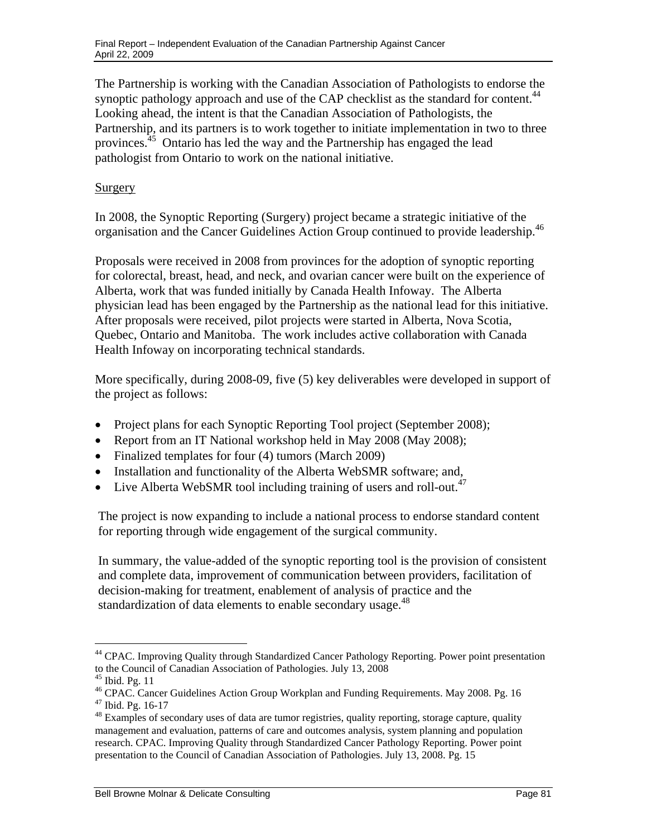The Partnership is working with the Canadian Association of Pathologists to endorse the synoptic pathology approach and use of the CAP checklist as the standard for content.<sup>44</sup> Looking ahead, the intent is that the Canadian Association of Pathologists, the Partnership, and its partners is to work together to initiate implementation in two to three provinces.<sup>45</sup> Ontario has led the way and the Partnership has engaged the lead pathologist from Ontario to work on the national initiative.

#### **Surgery**

 organisation and the Cancer Guidelines Action Group continued to provide leadership.<sup>46</sup> In 2008, the Synoptic Reporting (Surgery) project became a strategic initiative of the

Proposals were received in 2008 from provinces for the adoption of synoptic reporting for colorectal, breast, head, and neck, and ovarian cancer were built on the experience of Alberta, work that was funded initially by Canada Health Infoway. The Alberta physician lead has been engaged by the Partnership as the national lead for this initiative. After proposals were received, pilot projects were started in Alberta, Nova Scotia, Quebec, Ontario and Manitoba. The work includes active collaboration with Canada Health Infoway on incorporating technical standards.

More specifically, during 2008-09, five (5) key deliverables were developed in support of the project as follows:

- Project plans for each Synoptic Reporting Tool project (September 2008);
- Report from an IT National workshop held in May 2008 (May 2008);
- Finalized templates for four (4) tumors (March 2009)
- Installation and functionality of the Alberta WebSMR software; and,
- Live Alberta WebSMR tool including training of users and roll-out.<sup>47</sup>

The project is now expanding to include a national process to endorse standard content for reporting through wide engagement of the surgical community.

In summary, the value-added of the synoptic reporting tool is the provision of consistent and complete data, improvement of communication between providers, facilitation of decision-making for treatment, enablement of analysis of practice and the standardization of data elements to enable secondary usage.<sup>48</sup>

<sup>&</sup>lt;sup>44</sup> CPAC. Improving Quality through Standardized Cancer Pathology Reporting. Power point presentation to the Council of Canadian Association of Pathologies. July 13, 2008

<sup>45</sup> Ibid. Pg. 11

<sup>&</sup>lt;sup>46</sup> CPAC. Cancer Guidelines Action Group Workplan and Funding Requirements. May 2008. Pg. 16 47 Ibid. Pg. 16-17

<sup>&</sup>lt;sup>48</sup> Examples of secondary uses of data are tumor registries, quality reporting, storage capture, quality management and evaluation, patterns of care and outcomes analysis, system planning and population research. CPAC. Improving Quality through Standardized Cancer Pathology Reporting. Power point presentation to the Council of Canadian Association of Pathologies. July 13, 2008. Pg. 15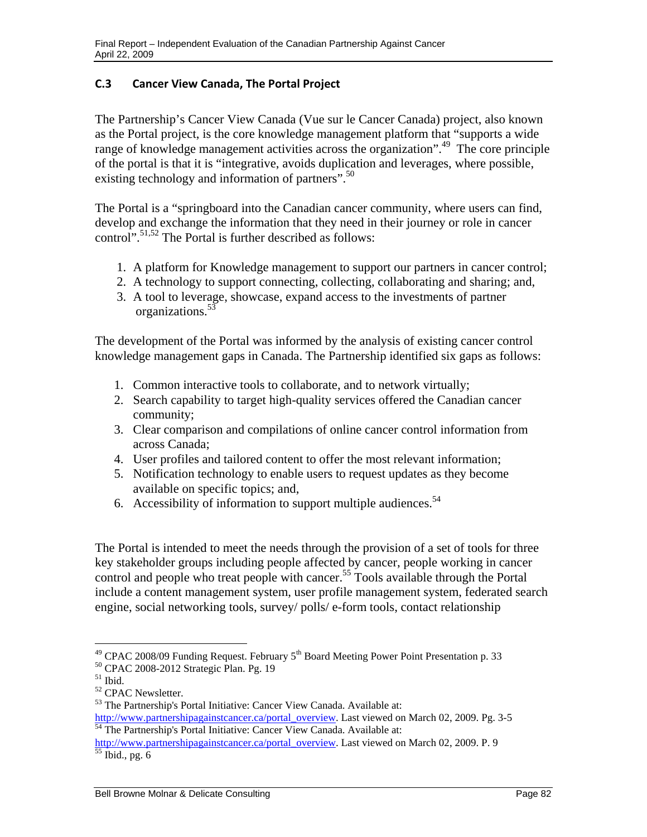## **C.3 Cancer View Canada, The Portal Project**

The Partnership's Cancer View Canada (Vue sur le Cancer Canada) project, also known as the Portal project, is the core knowledge management platform that "supports a wide range of knowledge management activities across the organization".<sup>49</sup> The core principle of the portal is that it is "integrative, avoids duplication and leverages, where possible, existing technology and information of partners".<sup>50</sup>

The Portal is a "springboard into the Canadian cancer community, where users can find, develop and exchange the information that they need in their journey or role in cancer control".<sup>51,52</sup> The Portal is further described as follows:

- 1. A platform for Knowledge management to support our partners in cancer control;
- 2. A technology to support connecting, collecting, collaborating and sharing; and,
- 3. A tool to leverage, showcase, expand access to the investments of partner organizations.53

The development of the Portal was informed by the analysis of existing cancer control knowledge management gaps in Canada. The Partnership identified six gaps as follows:

- 1. Common interactive tools to collaborate, and to network virtually;
- 2. Search capability to target high-quality services offered the Canadian cancer community;
- 3. Clear comparison and compilations of online cancer control information from across Canada;
- 4. User profiles and tailored content to offer the most relevant information;
- 5. Notification technology to enable users to request updates as they become available on specific topics; and,
- 6. Accessibility of information to support multiple audiences. $54$

The Portal is intended to meet the needs through the provision of a set of tools for three key stakeholder groups including people affected by cancer, people working in cancer control and people who treat people with cancer.<sup>55</sup> Tools available through the Portal include a content management system, user profile management system, federated search engine, social networking tools, survey/ polls/ e-form tools, contact relationship

 $\overline{a}$ 

http://www.partnershipagainstcancer.ca/portal\_overview. Last viewed on March 02, 2009. Pg. 3-5<sup>54</sup> The Partnership's Portal Initiative: Cancer View Canada. Available at:

<sup>&</sup>lt;sup>49</sup> CPAC 2008/09 Funding Request. February  $5<sup>th</sup>$  Board Meeting Power Point Presentation p. 33<sup>50</sup> CPAC 2008-2012 Strategic Plan. Pg. 19

 $51$  Ibid.

<sup>52</sup> CPAC Newsletter.

<sup>53</sup> The Partnership's Portal Initiative: Cancer View Canada. Available at:

http://www.partnershipagainstcancer.ca/portal\_overview. Last viewed on March 02, 2009. P. 9 <sup>55</sup> Ibid., pg. 6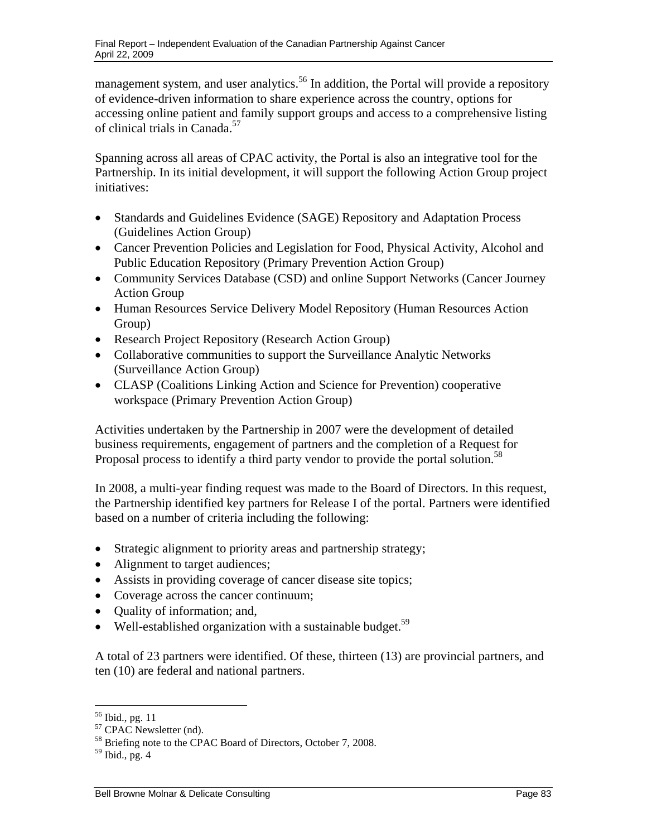management system, and user analytics.<sup>56</sup> In addition, the Portal will provide a repository of evidence-driven information to share experience across the country, options for accessing online patient and family support groups and access to a comprehensive listing of clinical trials in Canada.<sup>57</sup>

Spanning across all areas of CPAC activity, the Portal is also an integrative tool for the Partnership. In its initial development, it will support the following Action Group project initiatives:

- Standards and Guidelines Evidence (SAGE) Repository and Adaptation Process (Guidelines Action Group)
- Cancer Prevention Policies and Legislation for Food, Physical Activity, Alcohol and Public Education Repository (Primary Prevention Action Group)
- Community Services Database (CSD) and online Support Networks (Cancer Journey Action Group
- Human Resources Service Delivery Model Repository (Human Resources Action Group)
- Research Project Repository (Research Action Group)
- Collaborative communities to support the Surveillance Analytic Networks (Surveillance Action Group)
- CLASP (Coalitions Linking Action and Science for Prevention) cooperative workspace (Primary Prevention Action Group)

Proposal process to identify a third party vendor to provide the portal solution.<sup>58</sup> Activities undertaken by the Partnership in 2007 were the development of detailed business requirements, engagement of partners and the completion of a Request for

In 2008, a multi-year finding request was made to the Board of Directors. In this request, the Partnership identified key partners for Release I of the portal. Partners were identified based on a number of criteria including the following:

- Strategic alignment to priority areas and partnership strategy;
- Alignment to target audiences;
- Assists in providing coverage of cancer disease site topics;
- Coverage across the cancer continuum;
- Quality of information; and,
- Well-established organization with a sustainable budget.<sup>59</sup>

A total of 23 partners were identified. Of these, thirteen (13) are provincial partners, and ten (10) are federal and national partners.

<sup>&</sup>lt;sup>56</sup> Ibid., pg. 11

 $57$  CPAC Newsletter (nd).

<sup>&</sup>lt;sup>58</sup> Briefing note to the CPAC Board of Directors, October 7, 2008.

 $<sup>59</sup>$  Ibid., pg. 4</sup>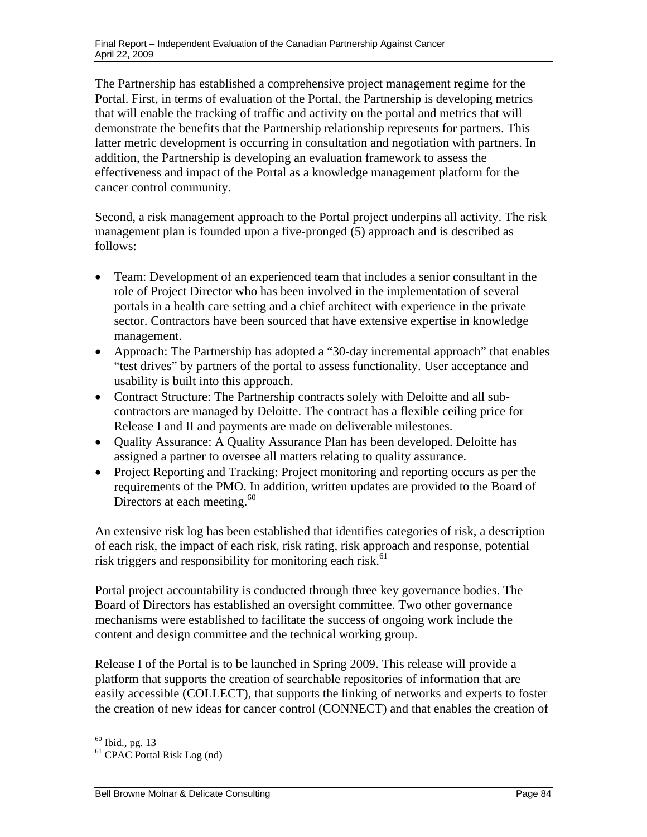The Partnership has established a comprehensive project management regime for the Portal. First, in terms of evaluation of the Portal, the Partnership is developing metrics that will enable the tracking of traffic and activity on the portal and metrics that will demonstrate the benefits that the Partnership relationship represents for partners. This latter metric development is occurring in consultation and negotiation with partners. In addition, the Partnership is developing an evaluation framework to assess the effectiveness and impact of the Portal as a knowledge management platform for the cancer control community.

Second, a risk management approach to the Portal project underpins all activity. The risk management plan is founded upon a five-pronged (5) approach and is described as follows:

- Team: Development of an experienced team that includes a senior consultant in the role of Project Director who has been involved in the implementation of several portals in a health care setting and a chief architect with experience in the private sector. Contractors have been sourced that have extensive expertise in knowledge management.
- Approach: The Partnership has adopted a "30-day incremental approach" that enables "test drives" by partners of the portal to assess functionality. User acceptance and usability is built into this approach.
- Contract Structure: The Partnership contracts solely with Deloitte and all subcontractors are managed by Deloitte. The contract has a flexible ceiling price for Release I and II and payments are made on deliverable milestones.
- Quality Assurance: A Quality Assurance Plan has been developed. Deloitte has assigned a partner to oversee all matters relating to quality assurance.
- Project Reporting and Tracking: Project monitoring and reporting occurs as per the requirements of the PMO. In addition, written updates are provided to the Board of Directors at each meeting.<sup>60</sup>

An extensive risk log has been established that identifies categories of risk, a description of each risk, the impact of each risk, risk rating, risk approach and response, potential risk triggers and responsibility for monitoring each risk.<sup>61</sup>

Portal project accountability is conducted through three key governance bodies. The Board of Directors has established an oversight committee. Two other governance mechanisms were established to facilitate the success of ongoing work include the content and design committee and the technical working group.

Release I of the Portal is to be launched in Spring 2009. This release will provide a platform that supports the creation of searchable repositories of information that are easily accessible (COLLECT), that supports the linking of networks and experts to foster the creation of new ideas for cancer control (CONNECT) and that enables the creation of

 $\overline{a}$  $60$  Ibid., pg. 13

<sup>61</sup> CPAC Portal Risk Log (nd)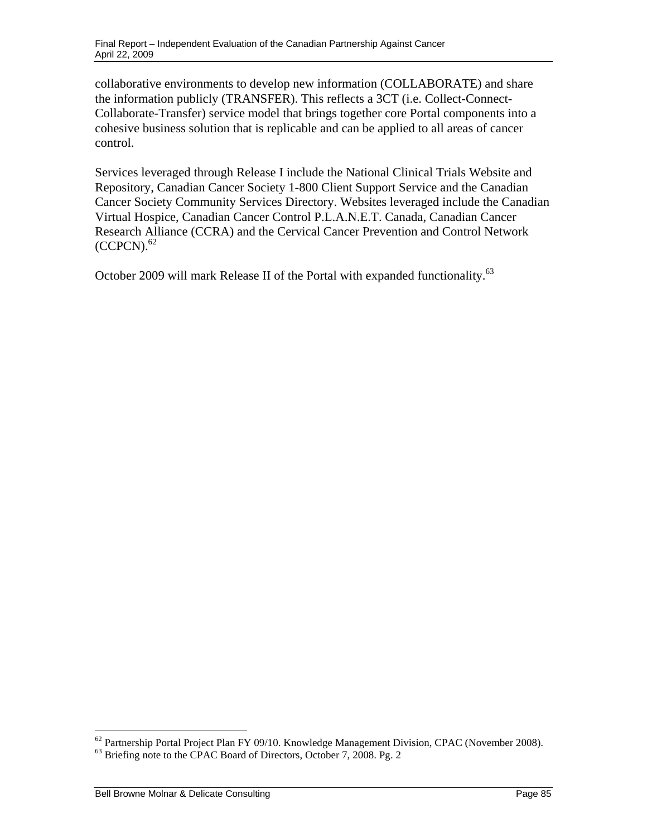collaborative environments to develop new information (COLLABORATE) and share the information publicly (TRANSFER). This reflects a 3CT (i.e. Collect-Connect-Collaborate-Transfer) service model that brings together core Portal components into a cohesive business solution that is replicable and can be applied to all areas of cancer control.

 $(CCPCN).<sup>62</sup>$ Services leveraged through Release I include the National Clinical Trials Website and Repository, Canadian Cancer Society 1-800 Client Support Service and the Canadian Cancer Society Community Services Directory. Websites leveraged include the Canadian Virtual Hospice, Canadian Cancer Control P.L.A.N.E.T. Canada, Canadian Cancer Research Alliance (CCRA) and the Cervical Cancer Prevention and Control Network

October 2009 will mark Release II of the Portal with expanded functionality.<sup>63</sup>

 $62$  Partnership Portal Project Plan FY 09/10. Knowledge Management Division, CPAC (November 2008).

<sup>&</sup>lt;sup>63</sup> Briefing note to the CPAC Board of Directors, October 7, 2008. Pg. 2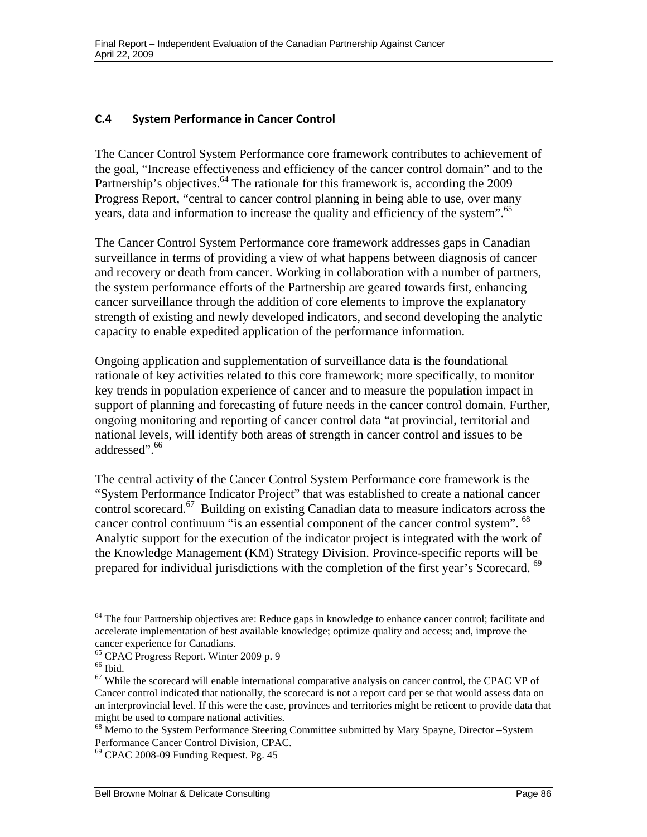## **C.4 System Performance in Cancer Control**

The Cancer Control System Performance core framework contributes to achievement of the goal, "Increase effectiveness and efficiency of the cancer control domain" and to the Partnership's objectives.<sup>64</sup> The rationale for this framework is, according the 2009 Progress Report, "central to cancer control planning in being able to use, over many years, data and information to increase the quality and efficiency of the system".<sup>65</sup>

The Cancer Control System Performance core framework addresses gaps in Canadian surveillance in terms of providing a view of what happens between diagnosis of cancer and recovery or death from cancer. Working in collaboration with a number of partners, the system performance efforts of the Partnership are geared towards first, enhancing cancer surveillance through the addition of core elements to improve the explanatory strength of existing and newly developed indicators, and second developing the analytic capacity to enable expedited application of the performance information.

Ongoing application and supplementation of surveillance data is the foundational rationale of key activities related to this core framework; more specifically, to monitor key trends in population experience of cancer and to measure the population impact in support of planning and forecasting of future needs in the cancer control domain. Further, ongoing monitoring and reporting of cancer control data "at provincial, territorial and national levels, will identify both areas of strength in cancer control and issues to be addressed".<sup>66</sup>

The central activity of the Cancer Control System Performance core framework is the "System Performance Indicator Project" that was established to create a national cancer control scorecard.<sup>67</sup> Building on existing Canadian data to measure indicators across the cancer control continuum "is an essential component of the cancer control system". <sup>68</sup> Analytic support for the execution of the indicator project is integrated with the work of the Knowledge Management (KM) Strategy Division. Province-specific reports will be prepared for individual jurisdictions with the completion of the first year's Scorecard. <sup>69</sup>

1

<sup>&</sup>lt;sup>64</sup> The four Partnership objectives are: Reduce gaps in knowledge to enhance cancer control; facilitate and accelerate implementation of best available knowledge; optimize quality and access; and, improve the cancer experience for Canadians.

<sup>65</sup> CPAC Progress Report. Winter 2009 p. 9

 $^{66}$  Ibid.

 $67$  While the scorecard will enable international comparative analysis on cancer control, the CPAC VP of Cancer control indicated that nationally, the scorecard is not a report card per se that would assess data on an interprovincial level. If this were the case, provinces and territories might be reticent to provide data that might be used to compare national activities.

<sup>&</sup>lt;sup>68</sup> Memo to the System Performance Steering Committee submitted by Mary Spayne, Director –System Performance Cancer Control Division, CPAC.

 $69$  CPAC 2008-09 Funding Request. Pg. 45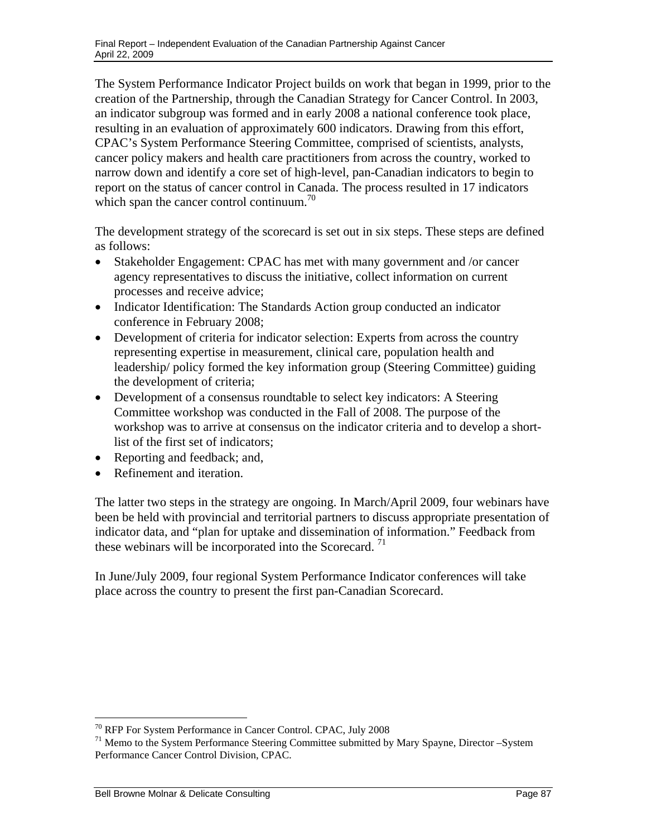which span the cancer control continuum.<sup>70</sup> The System Performance Indicator Project builds on work that began in 1999, prior to the creation of the Partnership, through the Canadian Strategy for Cancer Control. In 2003, an indicator subgroup was formed and in early 2008 a national conference took place, resulting in an evaluation of approximately 600 indicators. Drawing from this effort, CPAC's System Performance Steering Committee, comprised of scientists, analysts, cancer policy makers and health care practitioners from across the country, worked to narrow down and identify a core set of high-level, pan-Canadian indicators to begin to report on the status of cancer control in Canada. The process resulted in 17 indicators

The development strategy of the scorecard is set out in six steps. These steps are defined as follows:

- Stakeholder Engagement: CPAC has met with many government and /or cancer agency representatives to discuss the initiative, collect information on current processes and receive advice;
- Indicator Identification: The Standards Action group conducted an indicator conference in February 2008;
- Development of criteria for indicator selection: Experts from across the country representing expertise in measurement, clinical care, population health and leadership/ policy formed the key information group (Steering Committee) guiding the development of criteria;
- Development of a consensus roundtable to select key indicators: A Steering Committee workshop was conducted in the Fall of 2008. The purpose of the workshop was to arrive at consensus on the indicator criteria and to develop a shortlist of the first set of indicators;
- Reporting and feedback; and,
- Refinement and iteration.

these webinars will be incorporated into the Scorecard.<sup>71</sup> The latter two steps in the strategy are ongoing. In March/April 2009, four webinars have been be held with provincial and territorial partners to discuss appropriate presentation of indicator data, and "plan for uptake and dissemination of information." Feedback from

In June/July 2009, four regional System Performance Indicator conferences will take place across the country to present the first pan-Canadian Scorecard.

<sup>70</sup> RFP For System Performance in Cancer Control. CPAC, July 2008

<sup>71</sup> Memo to the System Performance Steering Committee submitted by Mary Spayne, Director –System Performance Cancer Control Division, CPAC.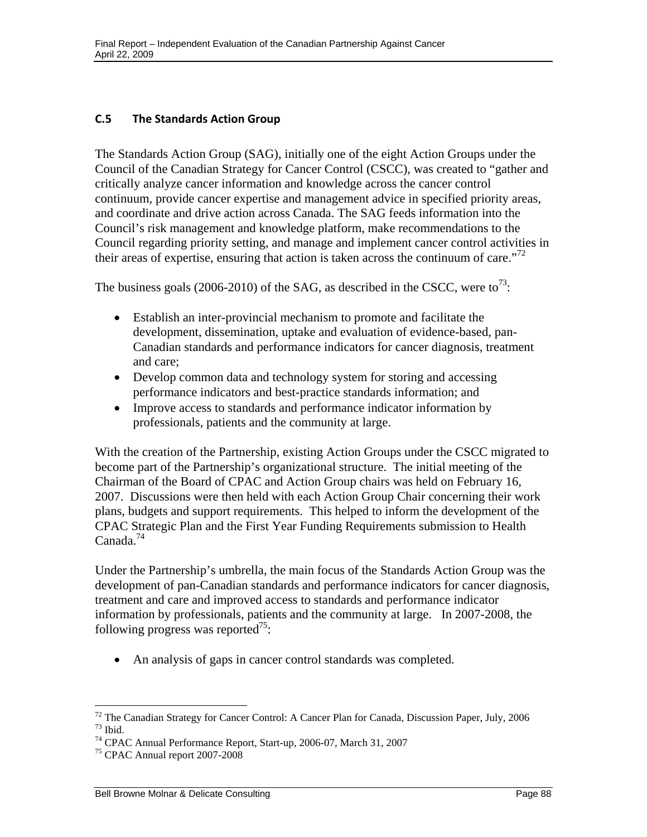#### **C.5 The Standards Action Group**

The Standards Action Group (SAG), initially one of the eight Action Groups under the Council of the Canadian Strategy for Cancer Control (CSCC), was created to "gather and critically analyze cancer information and knowledge across the cancer control continuum, provide cancer expertise and management advice in specified priority areas, and coordinate and drive action across Canada. The SAG feeds information into the Council's risk management and knowledge platform, make recommendations to the Council regarding priority setting, and manage and implement cancer control activities in their areas of expertise, ensuring that action is taken across the continuum of care."<sup>72</sup>

The business goals (2006-2010) of the SAG, as described in the CSCC, were to<sup>73</sup>:

- Establish an inter-provincial mechanism to promote and facilitate the development, dissemination, uptake and evaluation of evidence-based, pan-Canadian standards and performance indicators for cancer diagnosis, treatment and care;
- Develop common data and technology system for storing and accessing performance indicators and best-practice standards information; and
- Improve access to standards and performance indicator information by professionals, patients and the community at large.

Canada.<sup>74</sup> With the creation of the Partnership, existing Action Groups under the CSCC migrated to become part of the Partnership's organizational structure. The initial meeting of the Chairman of the Board of CPAC and Action Group chairs was held on February 16, 2007. Discussions were then held with each Action Group Chair concerning their work plans, budgets and support requirements. This helped to inform the development of the CPAC Strategic Plan and the First Year Funding Requirements submission to Health

Under the Partnership's umbrella, the main focus of the Standards Action Group was the development of pan-Canadian standards and performance indicators for cancer diagnosis, treatment and care and improved access to standards and performance indicator information by professionals, patients and the community at large. In 2007-2008, the following progress was reported<sup>75</sup>:

An analysis of gaps in cancer control standards was completed.

 $72$  The Canadian Strategy for Cancer Control: A Cancer Plan for Canada, Discussion Paper, July, 2006  $73$  Ibid.

<sup>74</sup> CPAC Annual Performance Report, Start-up, 2006-07, March 31, 2007

<sup>&</sup>lt;sup>75</sup> CPAC Annual report 2007-2008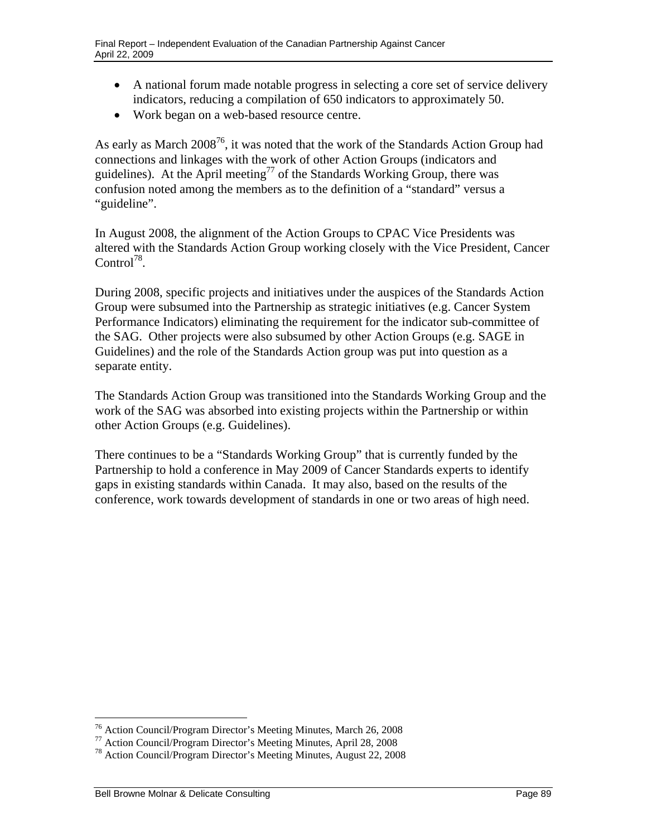- A national forum made notable progress in selecting a core set of service delivery indicators, reducing a compilation of 650 indicators to approximately 50.
- Work began on a web-based resource centre.

As early as March 2008<sup>76</sup>, it was noted that the work of the Standards Action Group had connections and linkages with the work of other Action Groups (indicators and guidelines). At the April meeting<sup>77</sup> of the Standards Working Group, there was confusion noted among the members as to the definition of a "standard" versus a "guideline".

In August 2008, the alignment of the Action Groups to CPAC Vice Presidents was altered with the Standards Action Group working closely with the Vice President, Cancer Control<sup>78</sup>.

During 2008, specific projects and initiatives under the auspices of the Standards Action Group were subsumed into the Partnership as strategic initiatives (e.g. Cancer System Performance Indicators) eliminating the requirement for the indicator sub-committee of the SAG. Other projects were also subsumed by other Action Groups (e.g. SAGE in Guidelines) and the role of the Standards Action group was put into question as a separate entity.

The Standards Action Group was transitioned into the Standards Working Group and the work of the SAG was absorbed into existing projects within the Partnership or within other Action Groups (e.g. Guidelines).

There continues to be a "Standards Working Group" that is currently funded by the Partnership to hold a conference in May 2009 of Cancer Standards experts to identify gaps in existing standards within Canada. It may also, based on the results of the conference, work towards development of standards in one or two areas of high need.

<sup>&</sup>lt;sup>76</sup> Action Council/Program Director's Meeting Minutes, March 26, 2008<br><sup>77</sup> Action Council/Program Director's Meeting Minutes, April 28, 2008

<sup>78</sup> Action Council/Program Director's Meeting Minutes, August 22, 2008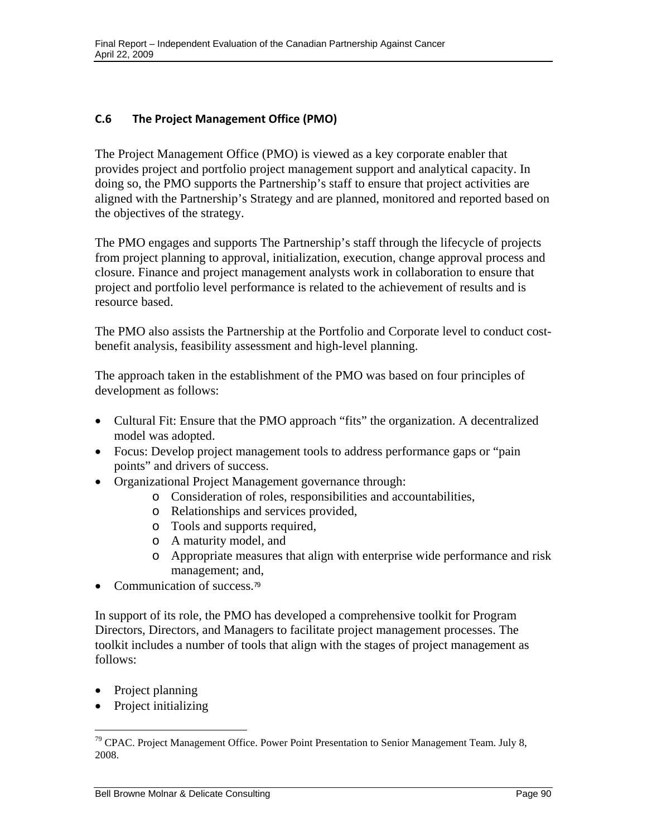## **C.6 The Project Management Office (PMO)**

The Project Management Office (PMO) is viewed as a key corporate enabler that provides project and portfolio project management support and analytical capacity. In doing so, the PMO supports the Partnership's staff to ensure that project activities are aligned with the Partnership's Strategy and are planned, monitored and reported based on the objectives of the strategy.

The PMO engages and supports The Partnership's staff through the lifecycle of projects from project planning to approval, initialization, execution, change approval process and closure. Finance and project management analysts work in collaboration to ensure that project and portfolio level performance is related to the achievement of results and is resource based.

The PMO also assists the Partnership at the Portfolio and Corporate level to conduct costbenefit analysis, feasibility assessment and high-level planning.

The approach taken in the establishment of the PMO was based on four principles of development as follows:

- Cultural Fit: Ensure that the PMO approach "fits" the organization. A decentralized model was adopted.
- Focus: Develop project management tools to address performance gaps or "pain points" and drivers of success.
- Organizational Project Management governance through:
	- o Consideration of roles, responsibilities and accountabilities,
	- o Relationships and services provided,
	- o Tools and supports required,
	- o A maturity model, and
	- o Appropriate measures that align with enterprise wide performance and risk management; and,
- Communication of success.<sup>79</sup>

In support of its role, the PMO has developed a comprehensive toolkit for Program Directors, Directors, and Managers to facilitate project management processes. The toolkit includes a number of tools that align with the stages of project management as follows:

• Project planning

 $\overline{a}$ 

Project initializing

<sup>&</sup>lt;sup>79</sup> CPAC. Project Management Office. Power Point Presentation to Senior Management Team. July 8, 2008.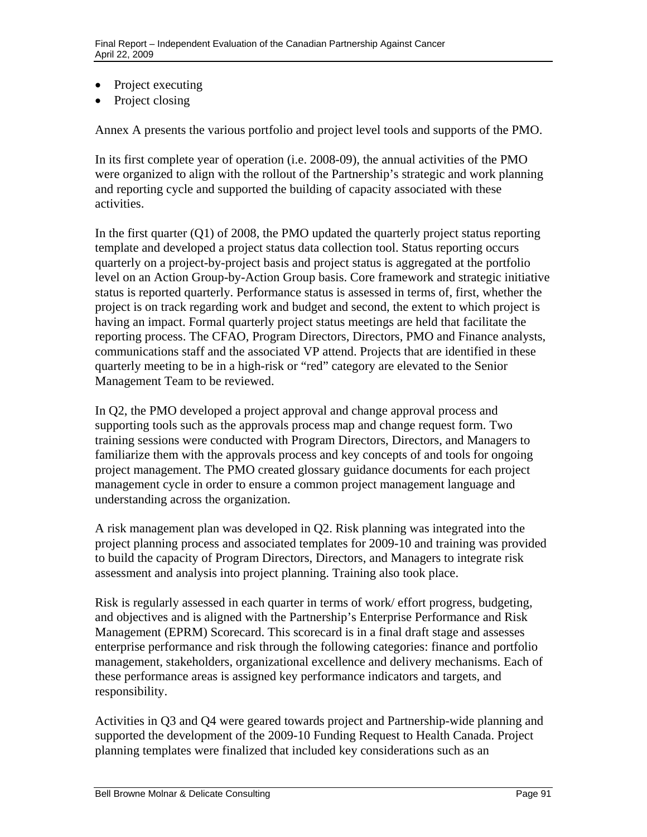- Project executing
- Project closing

Annex A presents the various portfolio and project level tools and supports of the PMO.

In its first complete year of operation (i.e. 2008-09), the annual activities of the PMO were organized to align with the rollout of the Partnership's strategic and work planning and reporting cycle and supported the building of capacity associated with these activities.

In the first quarter (Q1) of 2008, the PMO updated the quarterly project status reporting template and developed a project status data collection tool. Status reporting occurs quarterly on a project-by-project basis and project status is aggregated at the portfolio level on an Action Group-by-Action Group basis. Core framework and strategic initiative status is reported quarterly. Performance status is assessed in terms of, first, whether the project is on track regarding work and budget and second, the extent to which project is having an impact. Formal quarterly project status meetings are held that facilitate the reporting process. The CFAO, Program Directors, Directors, PMO and Finance analysts, communications staff and the associated VP attend. Projects that are identified in these quarterly meeting to be in a high-risk or "red" category are elevated to the Senior Management Team to be reviewed.

In Q2, the PMO developed a project approval and change approval process and supporting tools such as the approvals process map and change request form. Two training sessions were conducted with Program Directors, Directors, and Managers to familiarize them with the approvals process and key concepts of and tools for ongoing project management. The PMO created glossary guidance documents for each project management cycle in order to ensure a common project management language and understanding across the organization.

A risk management plan was developed in Q2. Risk planning was integrated into the project planning process and associated templates for 2009-10 and training was provided to build the capacity of Program Directors, Directors, and Managers to integrate risk assessment and analysis into project planning. Training also took place.

Risk is regularly assessed in each quarter in terms of work/ effort progress, budgeting, and objectives and is aligned with the Partnership's Enterprise Performance and Risk Management (EPRM) Scorecard. This scorecard is in a final draft stage and assesses enterprise performance and risk through the following categories: finance and portfolio management, stakeholders, organizational excellence and delivery mechanisms. Each of these performance areas is assigned key performance indicators and targets, and responsibility.

Activities in Q3 and Q4 were geared towards project and Partnership-wide planning and supported the development of the 2009-10 Funding Request to Health Canada. Project planning templates were finalized that included key considerations such as an